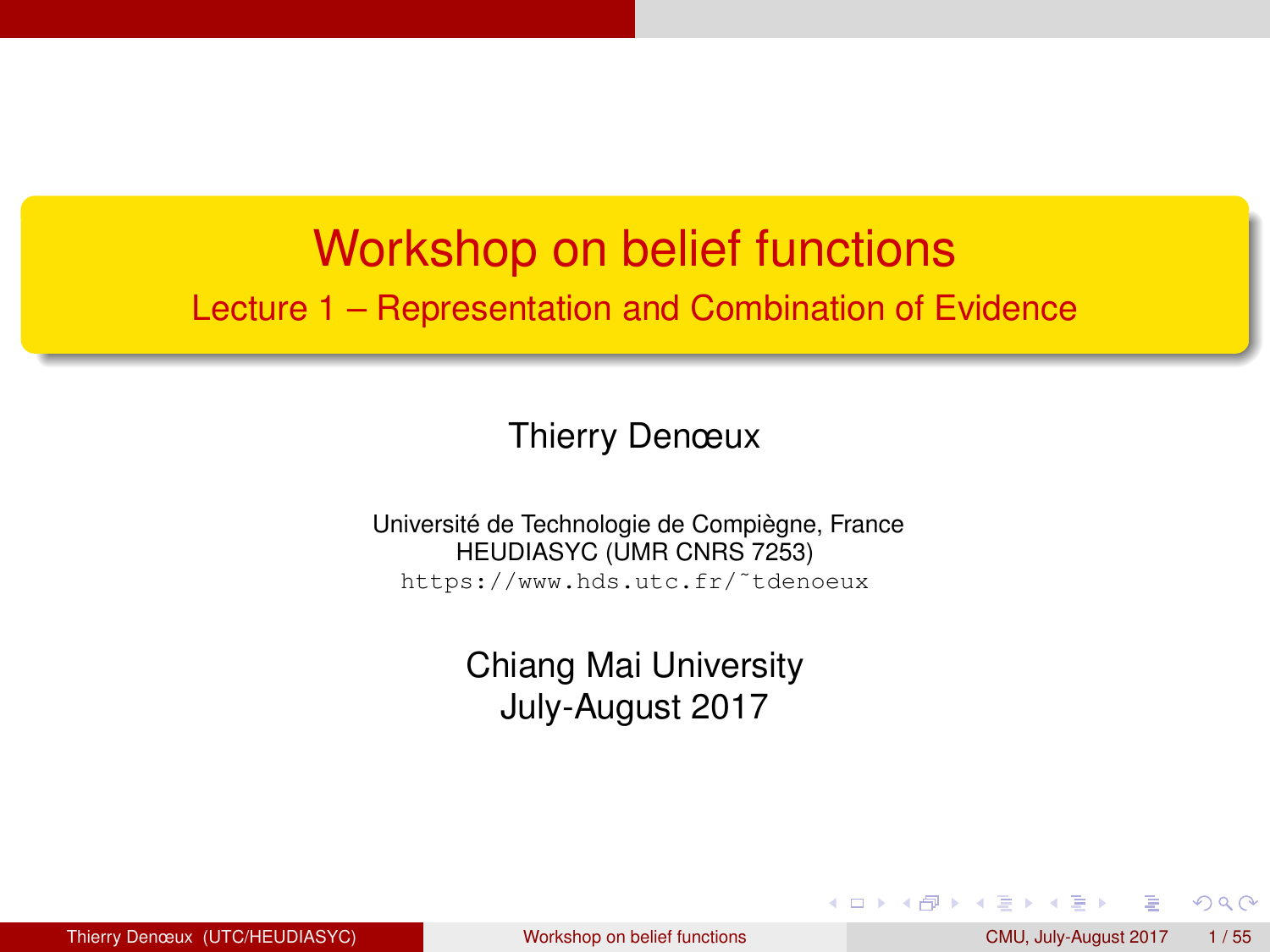#### <span id="page-0-0"></span>Workshop on belief functions Lecture 1 – Representation and Combination of Evidence

#### Thierry Denœux

Université de Technologie de Compiègne, France HEUDIASYC (UMR CNRS 7253) https://www.hds.utc.fr/˜tdenoeux

> Chiang Mai University July-August 2017

 $QQ$ 

化重新润滑脂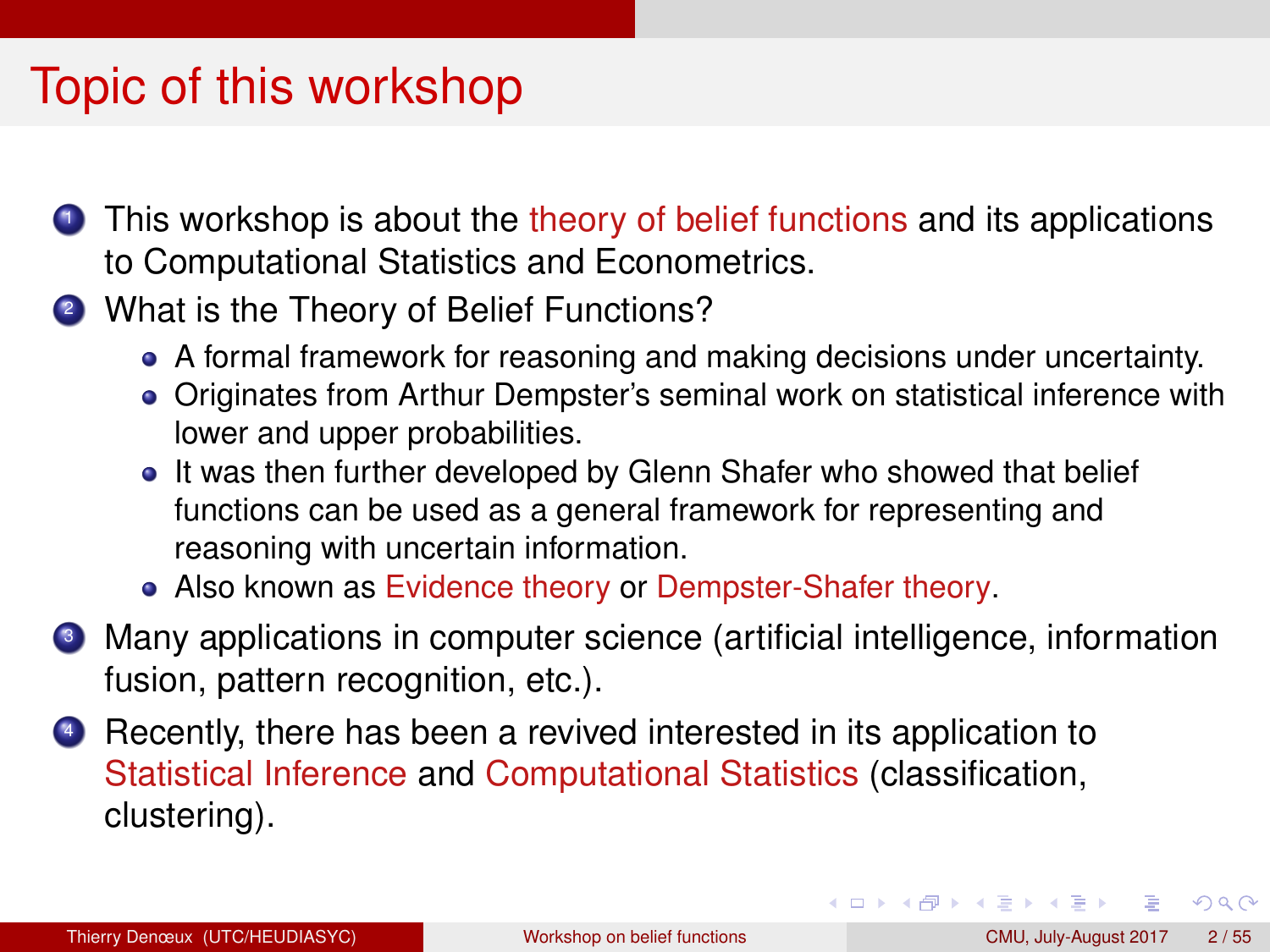## Topic of this workshop

- **1** This workshop is about the theory of belief functions and its applications to Computational Statistics and Econometrics.
- 2 What is the Theory of Belief Functions?
	- A formal framework for reasoning and making decisions under uncertainty.
	- Originates from Arthur Dempster's seminal work on statistical inference with lower and upper probabilities.
	- It was then further developed by Glenn Shafer who showed that belief functions can be used as a general framework for representing and reasoning with uncertain information.
	- Also known as Evidence theory or Dempster-Shafer theory.
- <sup>3</sup> Many applications in computer science (artificial intelligence, information fusion, pattern recognition, etc.).
- <sup>4</sup> Recently, there has been a revived interested in its application to Statistical Inference and Computational Statistics (classification, clustering).

 $QQ$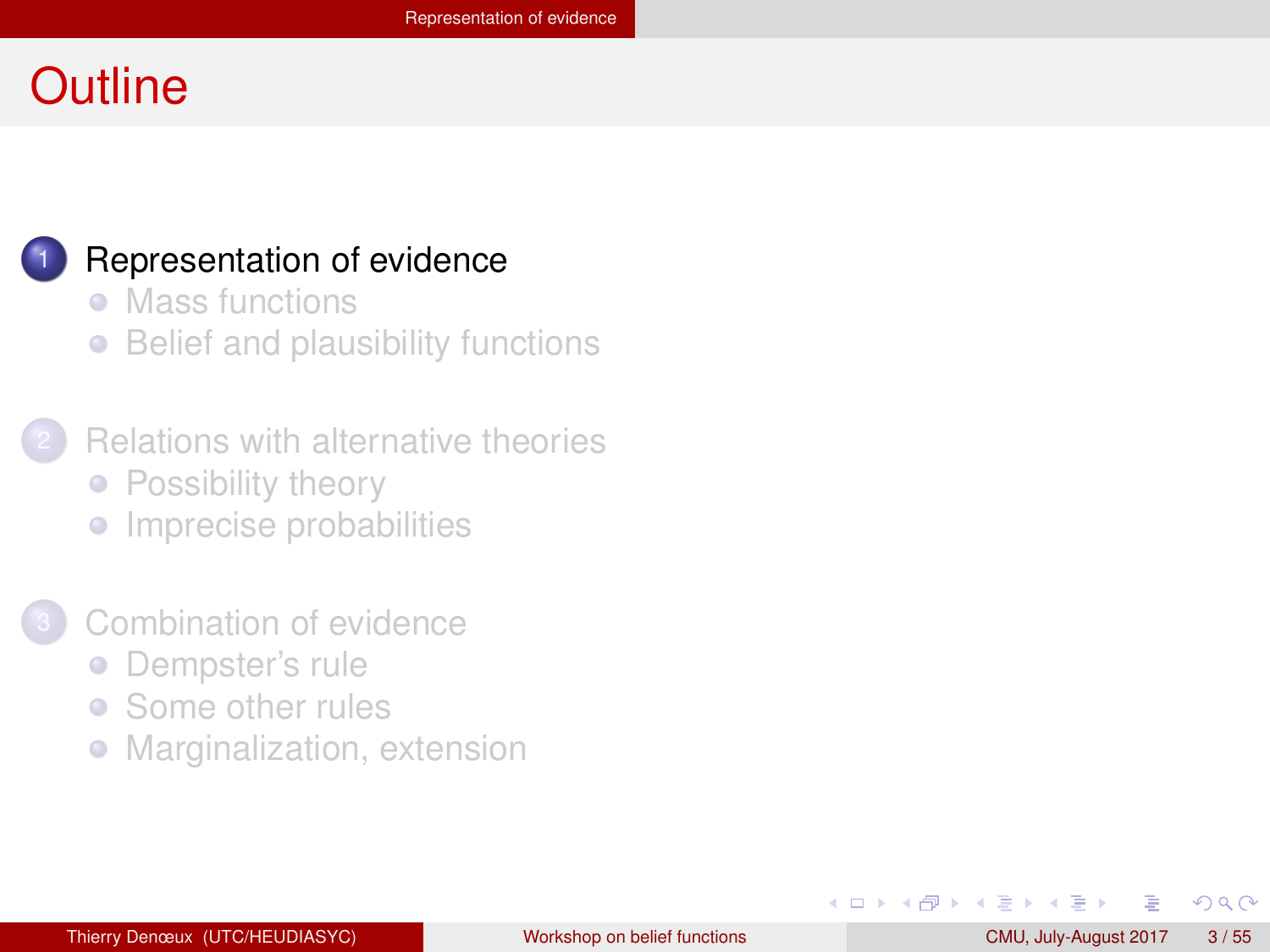#### <span id="page-2-0"></span>**Outline**



#### [Representation of evidence](#page-2-0)

- [Mass functions](#page-3-0)
- [Belief and plausibility functions](#page-9-0)
- **[Relations with alternative theories](#page-17-0)** • [Possibility theory](#page-18-0)
	-
	- **•** [Imprecise probabilities](#page-23-0)
- [Combination of evidence](#page-30-0)
	- [Dempster's rule](#page-31-0)  $\bullet$
	- [Some other rules](#page-43-0)  $\bullet$
	- $\bullet$ [Marginalization, extension](#page-50-0)

 $QQ$ 

D-B

 $\sim$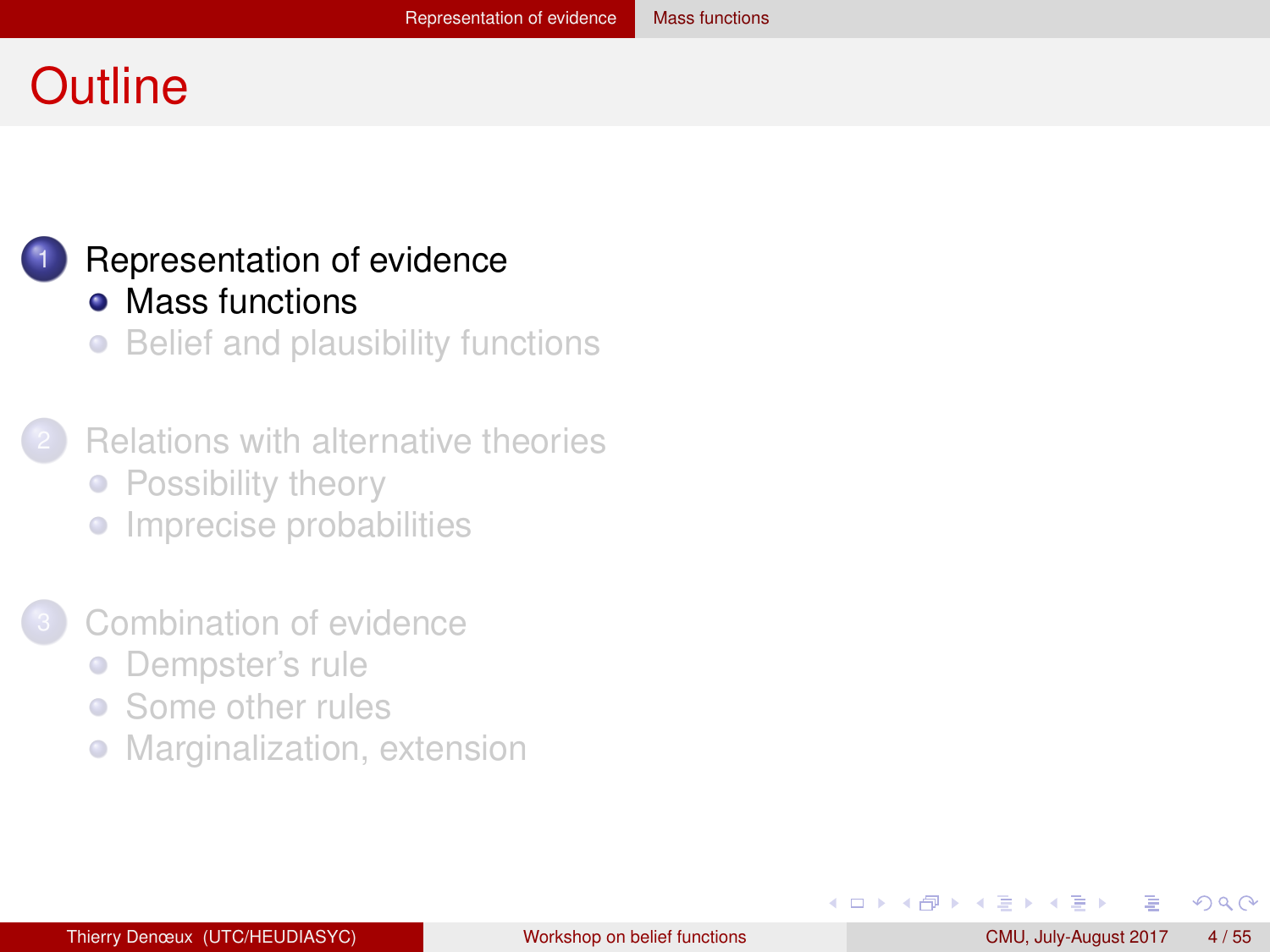#### <span id="page-3-0"></span>**Outline**



## [Representation of evidence](#page-2-0)

- [Mass functions](#page-3-0)
- [Belief and plausibility functions](#page-9-0)  $\bullet$
- **[Relations with alternative theories](#page-17-0)** • [Possibility theory](#page-18-0)
	-
	- **•** [Imprecise probabilities](#page-23-0)
- [Combination of evidence](#page-30-0)
	- [Dempster's rule](#page-31-0)  $\bullet$
	- [Some other rules](#page-43-0)  $\bullet$
	- [Marginalization, extension](#page-50-0)  $\bullet$

÷.  $\rightarrow$  $\sim$   $QQ$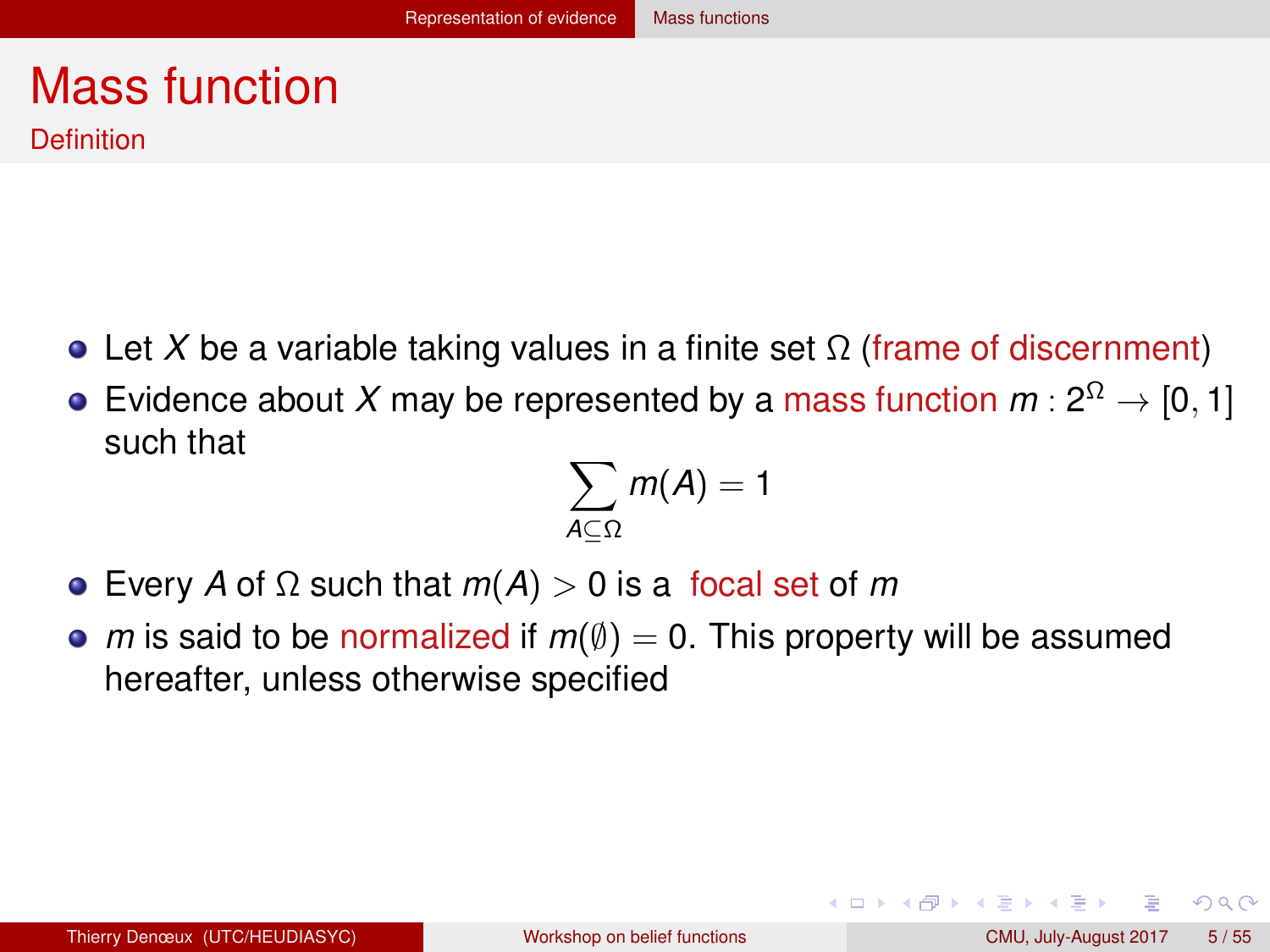#### <span id="page-4-0"></span>Mass function **Definition**

- $\bullet$  Let *X* be a variable taking values in a finite set Ω (frame of discernment)
- Evidence about X may be represented by a mass function  $m: 2^{\Omega} \rightarrow [0,1]$ such that

$$
\sum_{A\subseteq\Omega}m(A)=1
$$

- Every *A* of Ω such that *m*(*A*) > 0 is a focal set of *m*
- *m* is said to be normalized if  $m(\emptyset) = 0$ . This property will be assumed hereafter, unless otherwise specified

 $QQQ$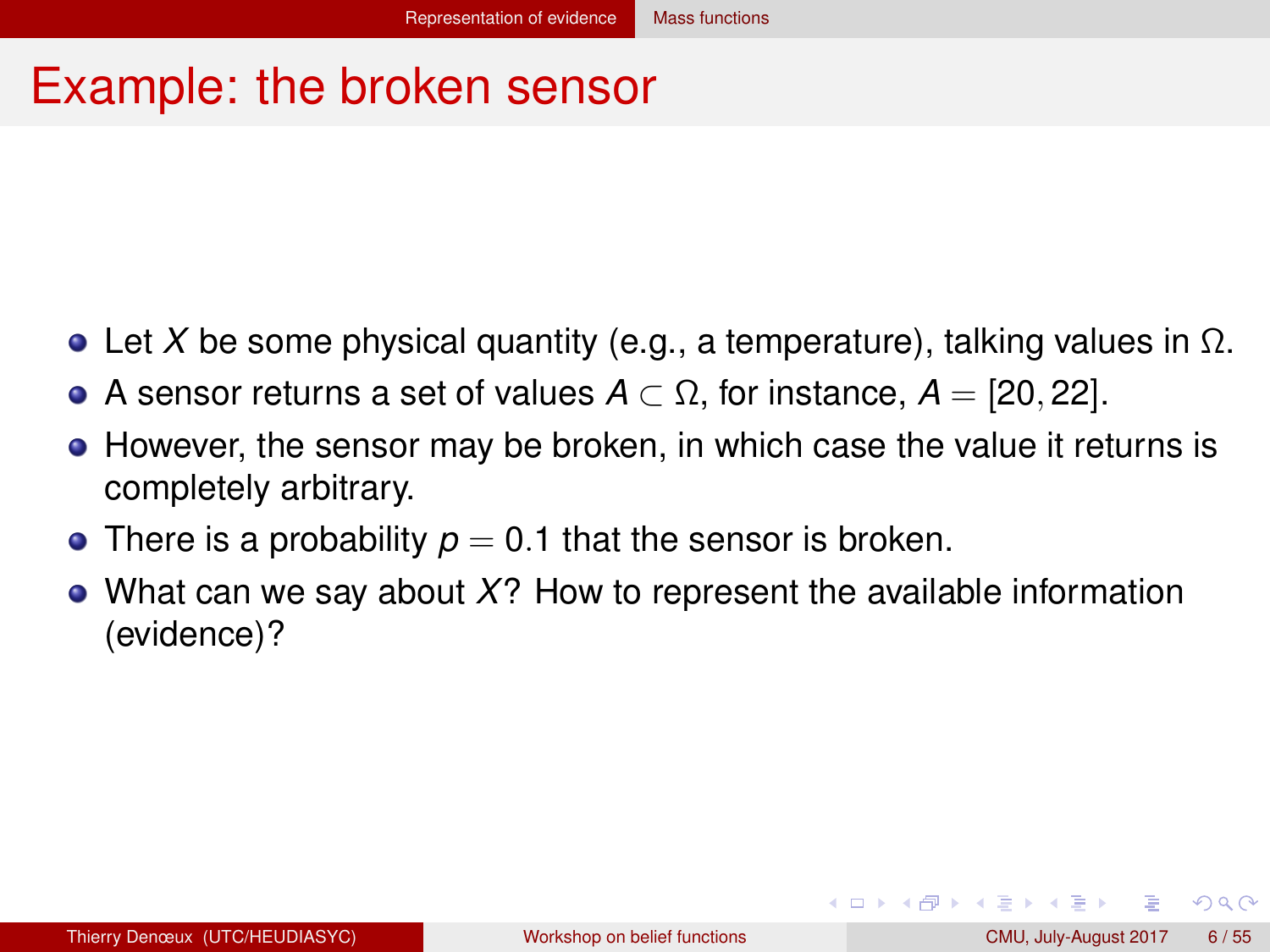#### <span id="page-5-0"></span>Example: the broken sensor

- **Let X** be some physical quantity (e.g., a temperature), talking values in  $\Omega$ .
- $\bullet$  A sensor returns a set of values  $A \subset \Omega$ , for instance,  $A = [20, 22]$ .
- $\bullet$  However, the sensor may be broken, in which case the value it returns is completely arbitrary.
- There is a probability  $p = 0.1$  that the sensor is broken.
- What can we say about *X*? How to represent the available information (evidence)?

 $QQ$ 

イロト イ母 トイラト イラト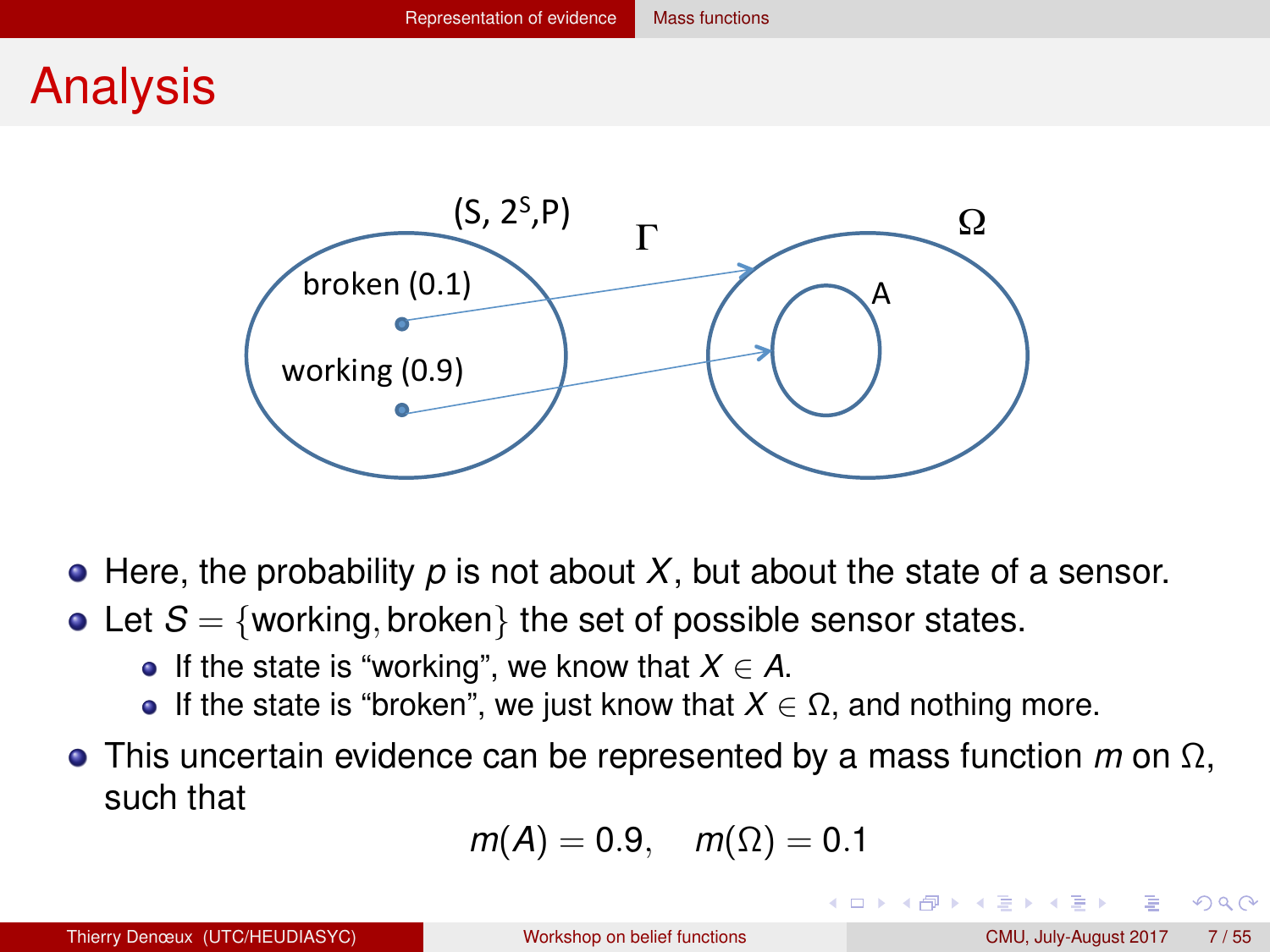#### <span id="page-6-0"></span>Analysis



- $\bullet$  Here, the probability  $p$  is not about  $X$ , but about the state of a sensor.
- Let  $S = \{working, broken\}$  the set of possible sensor states.
	- $\bullet$  If the state is "working", we know that *X* ∈ *A*.
	- $\bullet$  If the state is "broken", we just know that *X* ∈ Ω, and nothing more.
- This uncertain evidence can be represented by a mass function *m* on Ω, such that

$$
m(A)=0.9, \quad m(\Omega)=0.1
$$

 $QQ$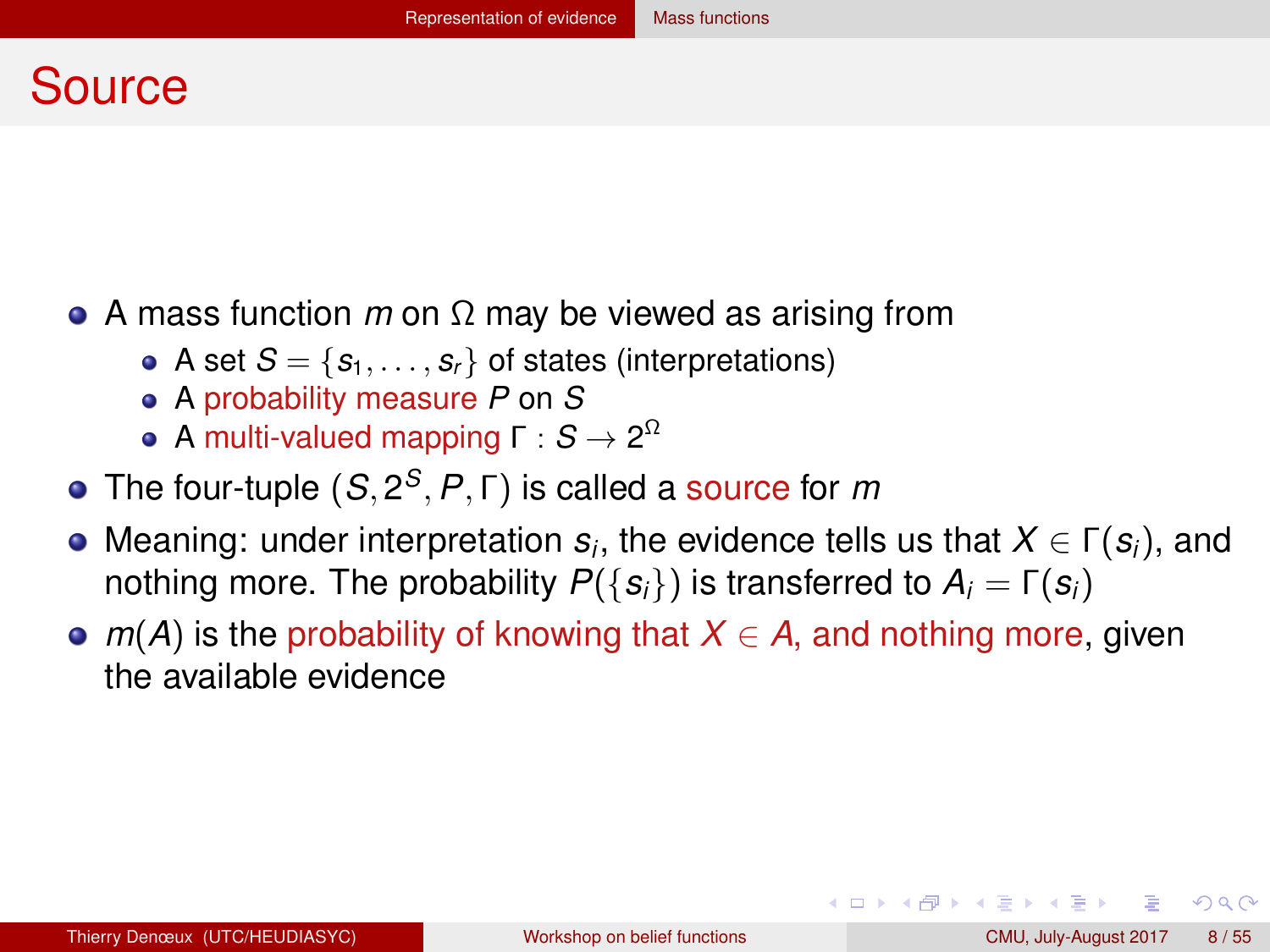#### <span id="page-7-0"></span>Source

- A mass function *m* on Ω may be viewed as arising from
	- A set  $S = \{s_1, \ldots, s_r\}$  of states (interpretations)
	- A probability measure *P* on *S*
	- **A** multi-valued mapping Γ :  $S \to 2^{\Omega}$
- The four-tuple (*S*, 2 *S* , *P*, Γ) is called a source for *m*
- **Meaning: under interpretation**  $s_i$ **, the evidence tells us that**  $X \in \Gamma(\bm{s}_i)$ **, and** nothing more. The probability  $P({s_i})$  is transferred to  $A_i = Γ(s_i)$
- $m(A)$  is the probability of knowing that  $X \in A$ , and nothing more, given the available evidence

 $QQQ$ 

≮ロト (御) (連) (連) (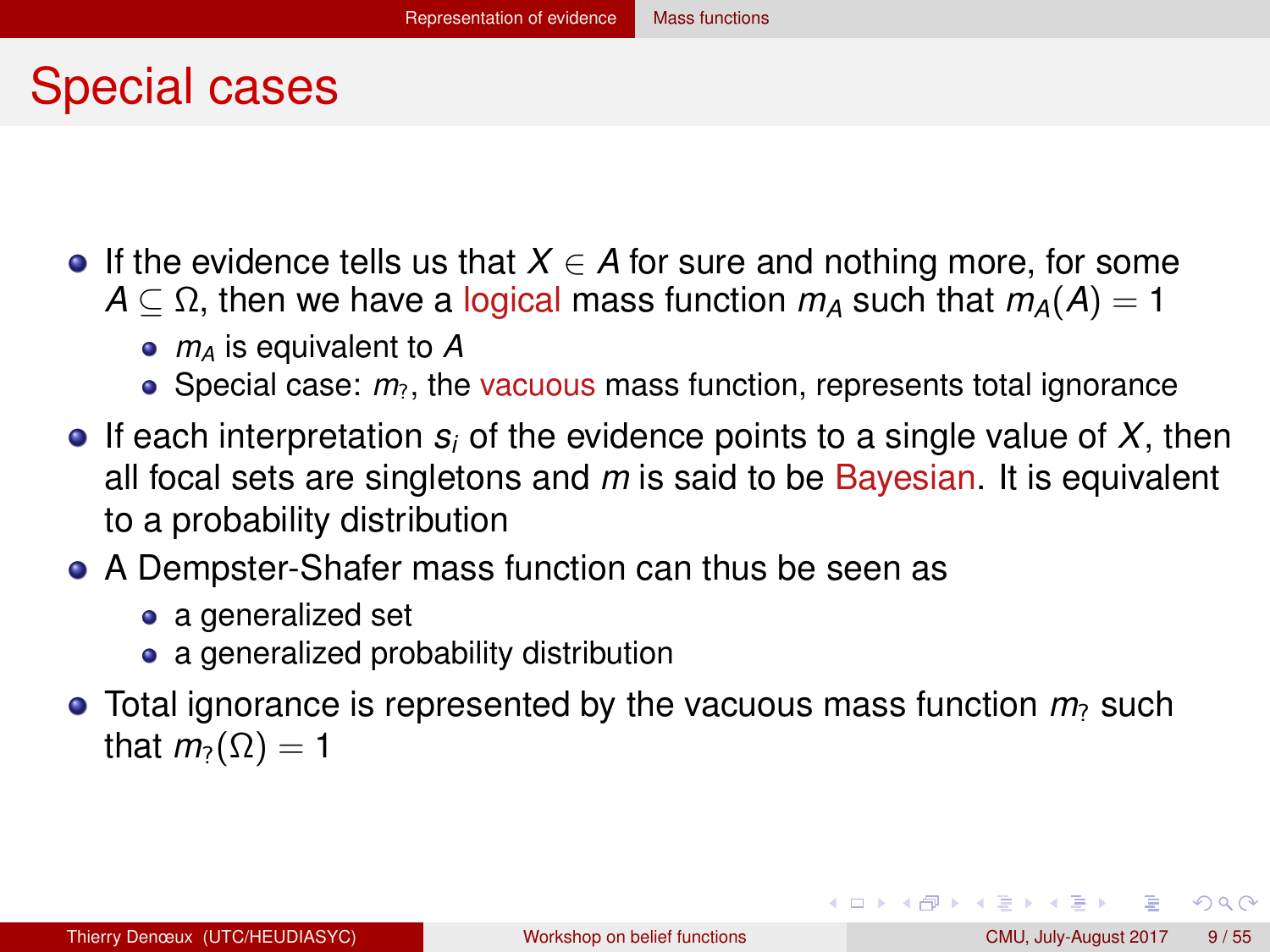#### <span id="page-8-0"></span>Special cases

- **If the evidence tells us that**  $X \in A$  **for sure and nothing more, for some** 
	- $A \subset \Omega$ , then we have a logical mass function  $m_A$  such that  $m_A(A) = 1$ 
		- *m<sup>A</sup>* is equivalent to *A*
		- $\bullet$  Special case:  $m_2$ , the vacuous mass function, represents total ignorance
- If each interpretation  $s_i$  of the evidence points to a single value of X, then all focal sets are singletons and *m* is said to be Bayesian. It is equivalent to a probability distribution
- A Dempster-Shafer mass function can thus be seen as
	- a generalized set
	- a generalized probability distribution
- $\bullet$  Total ignorance is represented by the vacuous mass function  $m_2$  such that  $m_2(\Omega) = 1$

 $QQQ$ 

イロト イ母 トイラ トイラトー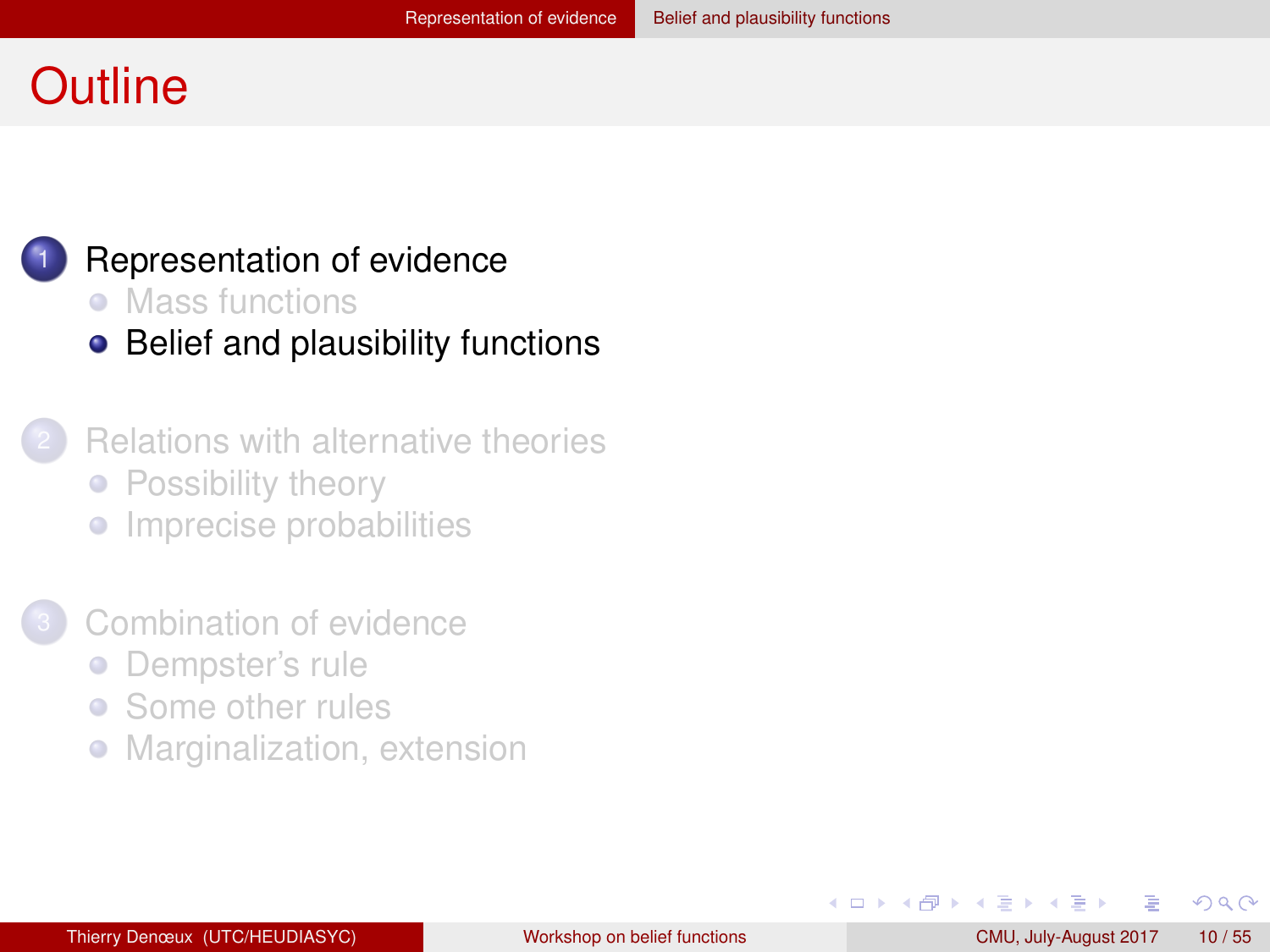#### <span id="page-9-0"></span>**Outline**



#### [Representation of evidence](#page-2-0)

- [Mass functions](#page-3-0)
- [Belief and plausibility functions](#page-9-0)
- **[Relations with alternative theories](#page-17-0)** • [Possibility theory](#page-18-0)
	- **•** [Imprecise probabilities](#page-23-0)
- [Combination of evidence](#page-30-0)
	- [Dempster's rule](#page-31-0)  $\bullet$
	- [Some other rules](#page-43-0)  $\bullet$
	- [Marginalization, extension](#page-50-0)  $\bullet$

 $QQ$ 

化重新润滑脂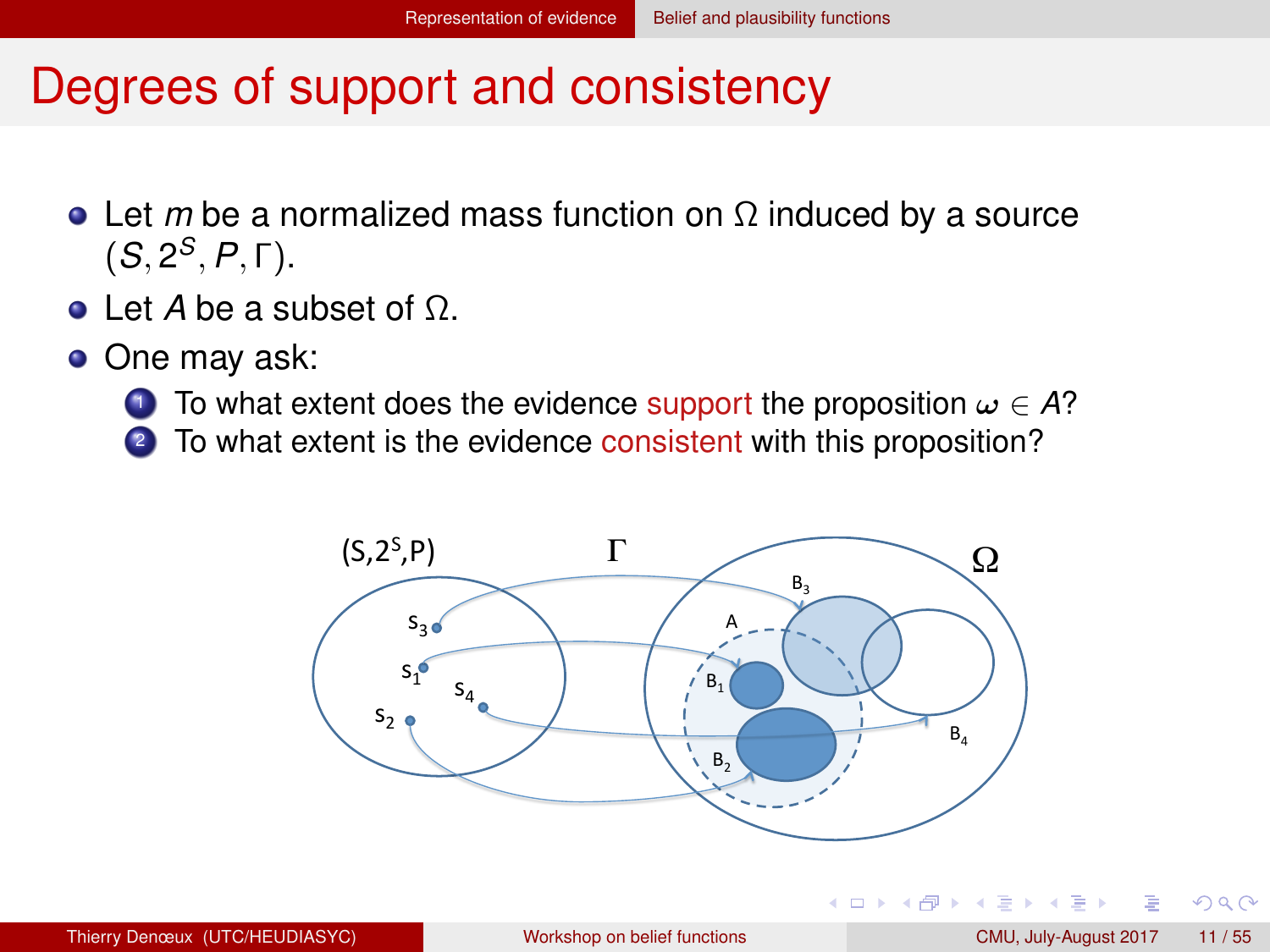#### <span id="page-10-0"></span>Degrees of support and consistency

- Let *m* be a normalized mass function on Ω induced by a source  $(S, 2^S, P, \Gamma).$
- Let *A* be a subset of Ω.
- One may ask:
	- 1 To what extent does the evidence support the proposition  $\omega \in A$ ?
	- <sup>2</sup> To what extent is the evidence consistent with this proposition?



 $QQ$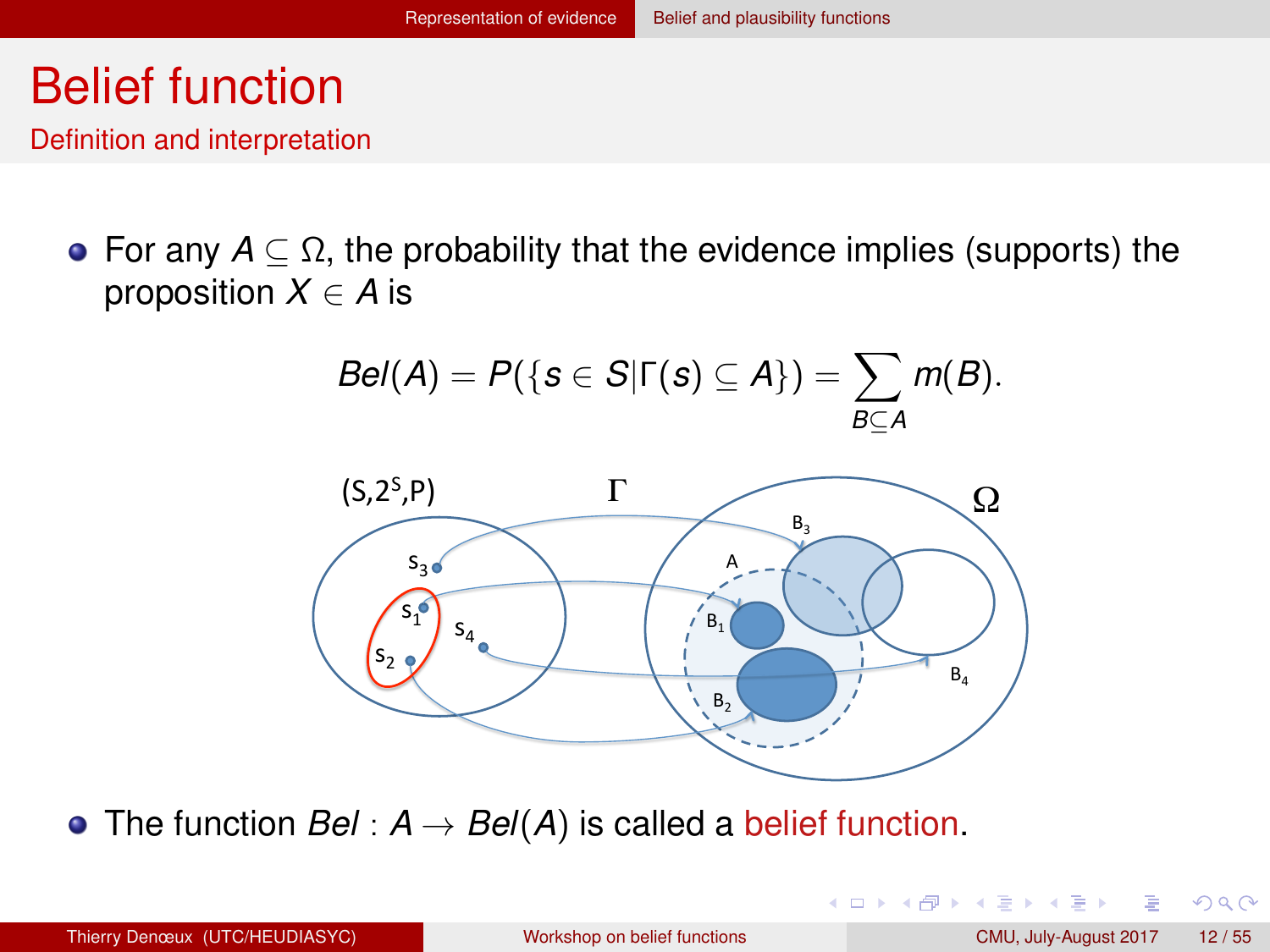#### <span id="page-11-0"></span>Belief function

Definition and interpretation

• For any  $A \subseteq \Omega$ , the probability that the evidence implies (supports) the proposition  $X \in A$  is

$$
Bel(A) = P({S \in S | \Gamma(s) \subseteq A}) = \sum_{B \subseteq A} m(B).
$$



• The function  $Bel : A \rightarrow Bel(A)$  is called a belief function.

 $QQ$ 

メロトメ 伊 トメ ミトメ ミト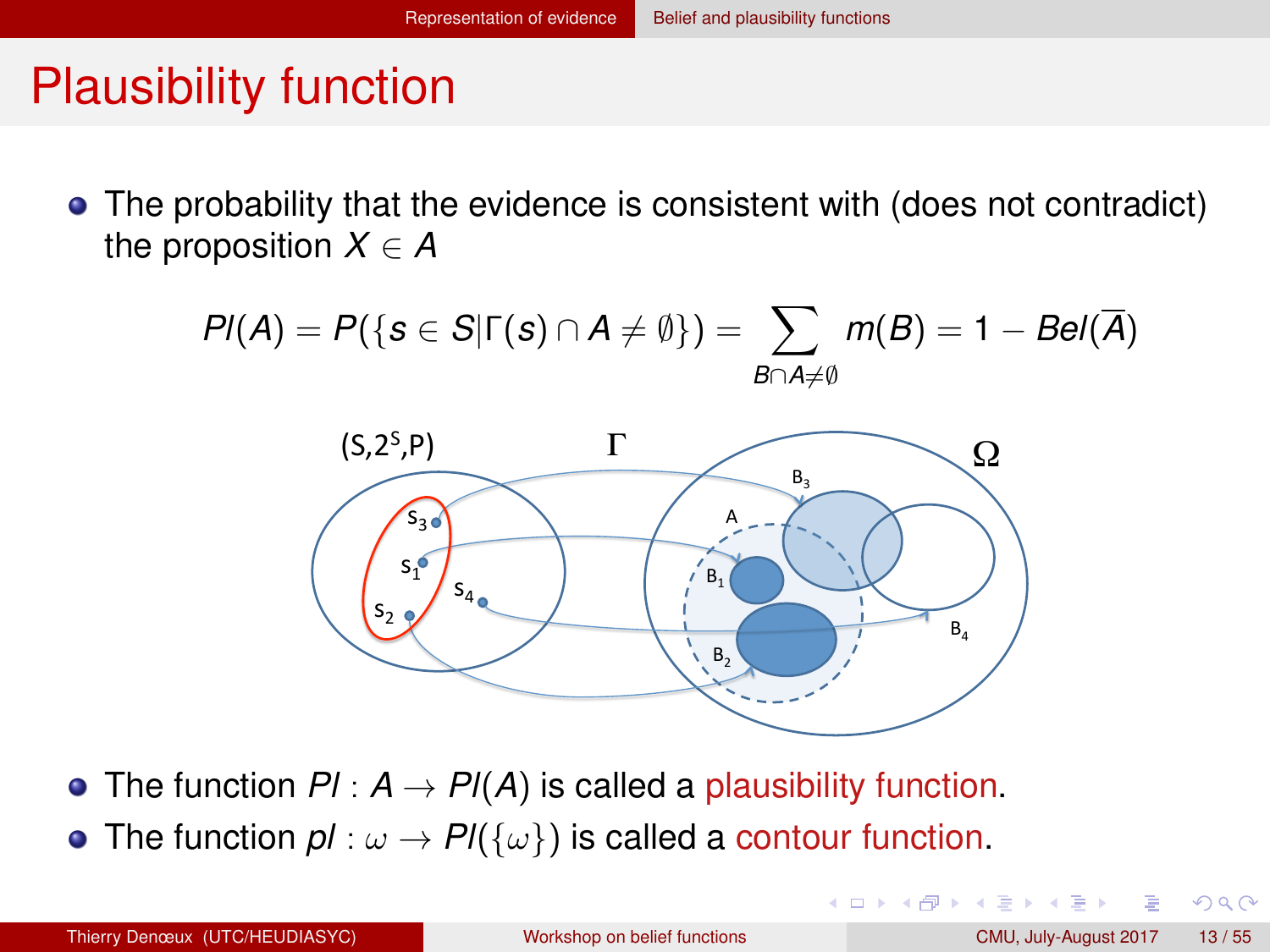## <span id="page-12-0"></span>Plausibility function

• The probability that the evidence is consistent with (does not contradict) the proposition  $X \in A$ 

$$
Pl(A) = P(\{s \in S | \Gamma(s) \cap A \neq \emptyset\}) = \sum_{B \cap A \neq \emptyset} m(B) = 1 - Bel(\overline{A})
$$



- The function  $PI: A \rightarrow PI(A)$  is called a plausibility function.
- The function  $\mathsf{p}$ *l* :  $\omega \to \mathsf{Pl}(\{\omega\})$  is called a contour function.

 $QQ$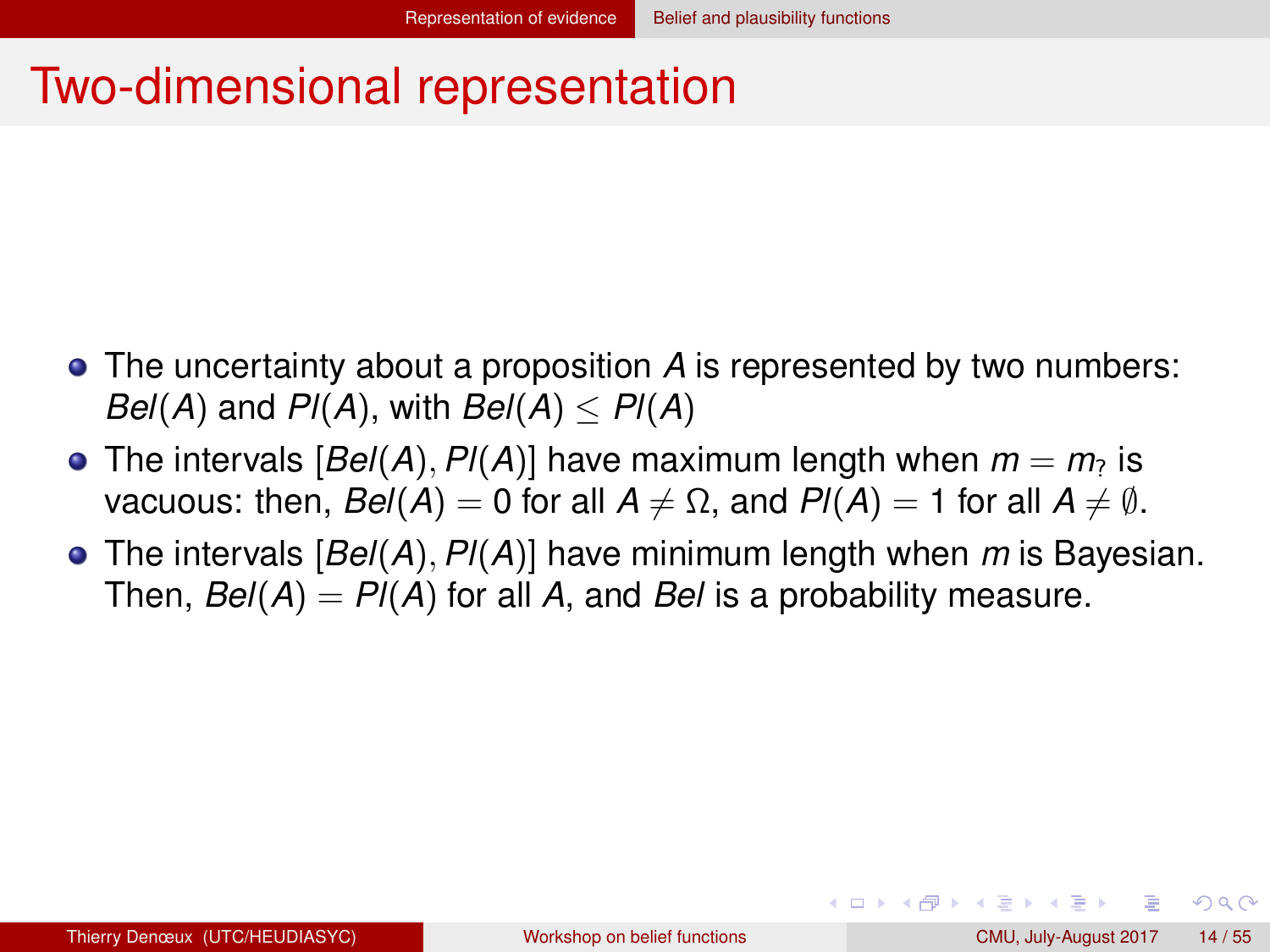#### <span id="page-13-0"></span>Two-dimensional representation

- The uncertainty about a proposition *A* is represented by two numbers: *Bel*(*A*) and *Pl*(*A*), with *Bel*(*A*)  $\lt$  *Pl*(*A*)
- The intervals  $[Bel(A), Pl(A)]$  have maximum length when  $m = m<sub>2</sub>$  is vacuous: then,  $Bel(A) = 0$  for all  $A \neq \Omega$ , and  $Pl(A) = 1$  for all  $A \neq \emptyset$ .
- The intervals [*Bel*(*A*), *Pl*(*A*)] have minimum length when *m* is Bayesian. Then,  $Bel(A) = Pl(A)$  for all A, and *Bel* is a probability measure.

 $QQ$ 

イロト イ母 トイラ トイラトー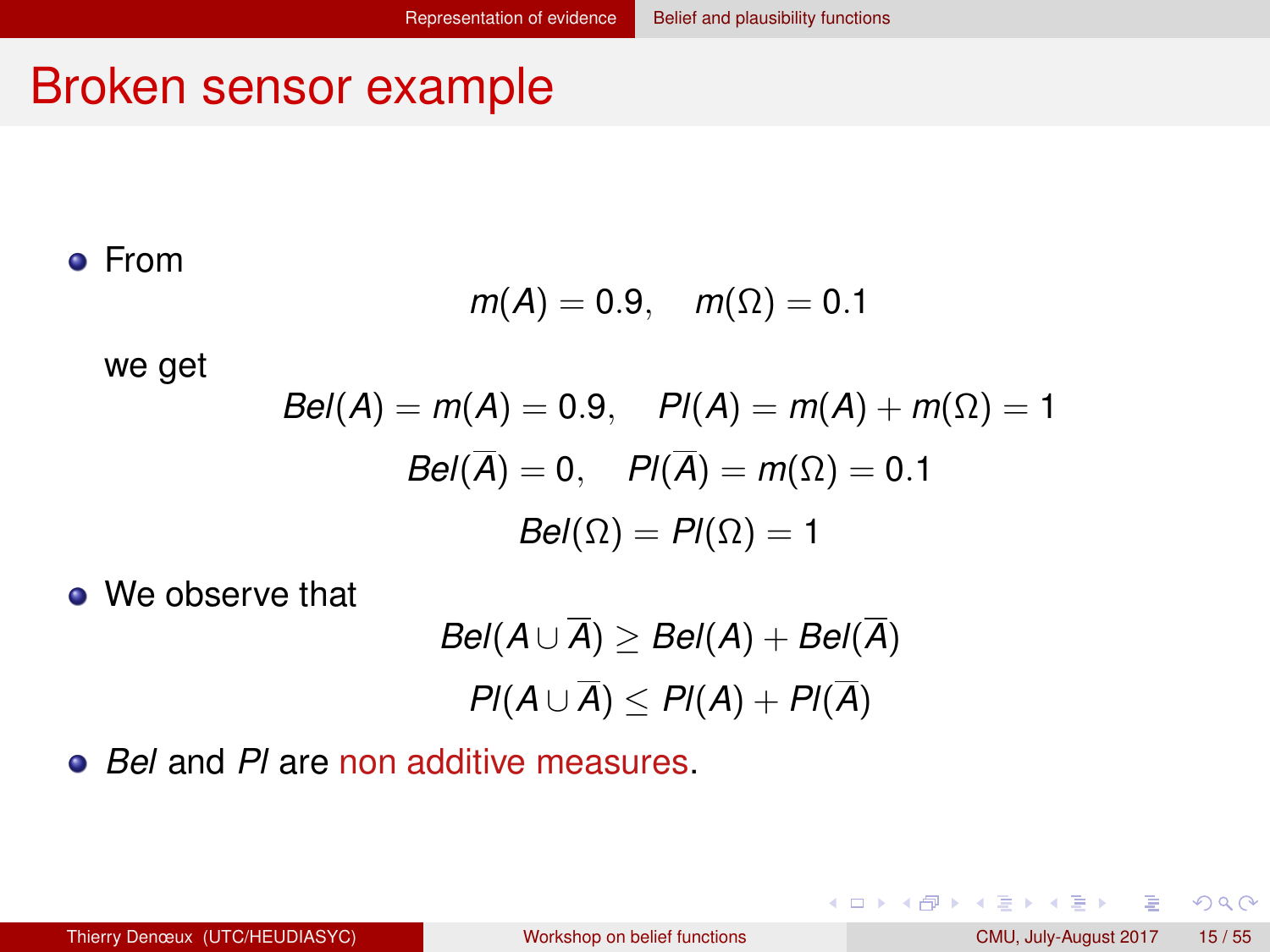#### <span id="page-14-0"></span>Broken sensor example

From

$$
m(A)=0.9, \quad m(\Omega)=0.1
$$

we get

$$
Bel(A) = m(A) = 0.9, \quad Pl(A) = m(A) + m(\Omega) = 1
$$

$$
Bel(\overline{A}) = 0, \quad Pl(\overline{A}) = m(\Omega) = 0.1
$$

$$
Bel(\Omega) = Pl(\Omega) = 1
$$

**.** We observe that

$$
Bel(A \cup \overline{A}) \ge Bel(A) + Bel(\overline{A})
$$
  

$$
Pl(A \cup \overline{A}) \le Pl(A) + Pl(\overline{A})
$$

*Bel* and *Pl* are non additive measures.

Þ

 $2Q$ 

K ロ ⊁ K 倒 ≯ K 走 ⊁ K 走 ⊁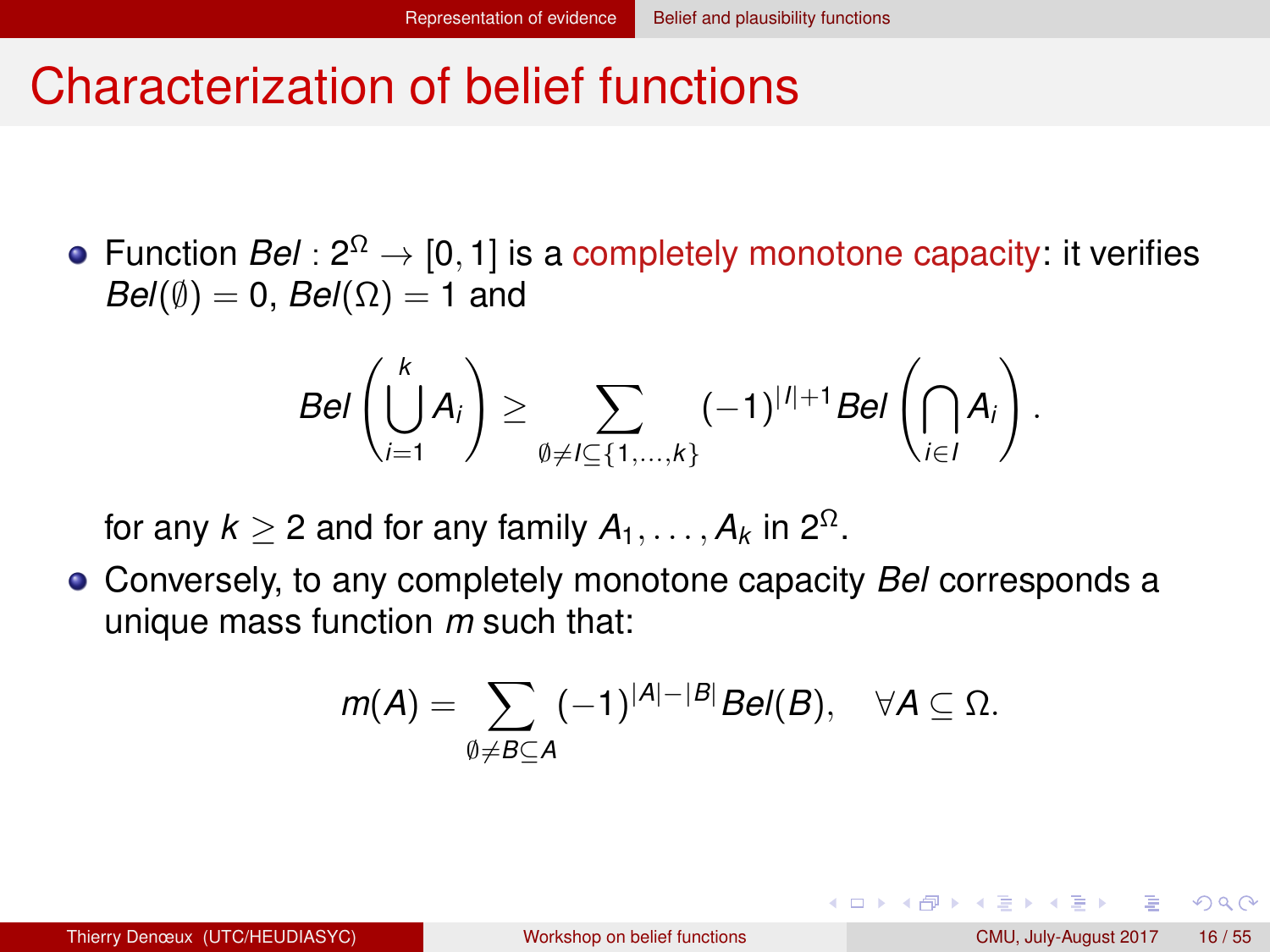#### <span id="page-15-0"></span>Characterization of belief functions

Function  $Bel: 2^{\Omega} \rightarrow [0,1]$  is a completely monotone capacity: it verifies  $Bel(\emptyset) = 0$ ,  $Bel(\Omega) = 1$  and

$$
Bel\left(\bigcup_{i=1}^k A_i\right) \geq \sum_{\emptyset \neq l \subseteq \{1,\dots,k\}} (-1)^{|l|+1} Bel\left(\bigcap_{i \in I} A_i\right).
$$

for any  $k \geq 2$  and for any family  $A_1, \ldots, A_k$  in  $2^{\Omega}$ .

Conversely, to any completely monotone capacity *Bel* corresponds a unique mass function *m* such that:

$$
m(A)=\sum_{\emptyset\neq B\subseteq A}(-1)^{|A|-|B|}Bel(B),\quad \forall A\subseteq \Omega.
$$

 $QQQ$ 

イロト イ押 トイヨ トイヨ トーヨ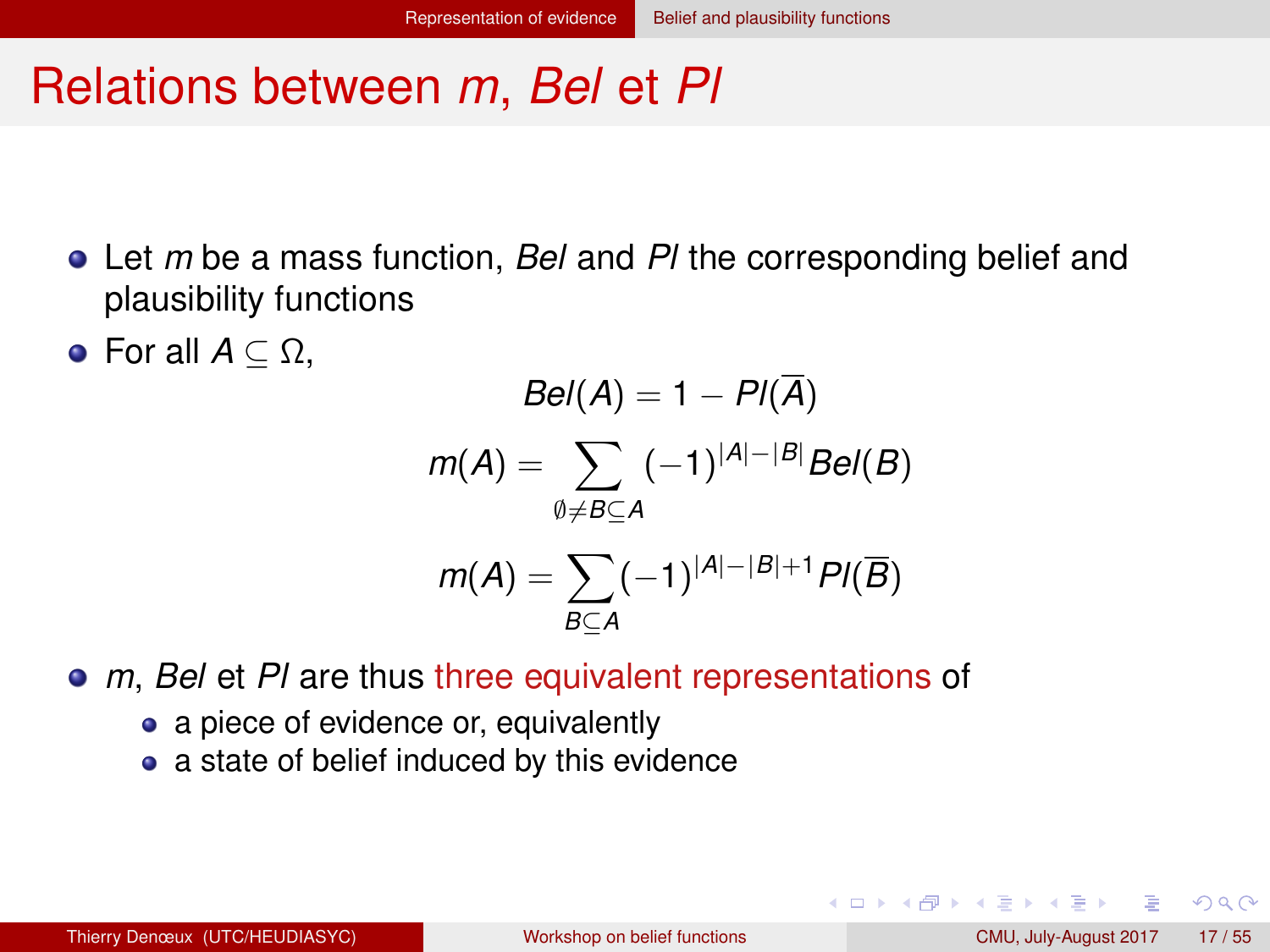#### <span id="page-16-0"></span>Relations between *m*, *Bel* et *Pl*

- Let *m* be a mass function, *Bel* and *Pl* the corresponding belief and plausibility functions
- **•** For all  $A \subseteq \Omega$ ,

$$
Bel(A) = 1 - Pl(\overline{A})
$$

$$
m(A) = \sum_{\emptyset \neq B \subseteq A} (-1)^{|A| - |B|} Bel(B)
$$

$$
m(A) = \sum_{B \subseteq A} (-1)^{|A| - |B| + 1} Pl(\overline{B})
$$

- *m*, *Bel* et *Pl* are thus three equivalent representations of
	- a piece of evidence or, equivalently
	- a state of belief induced by this evidence

 $QQQ$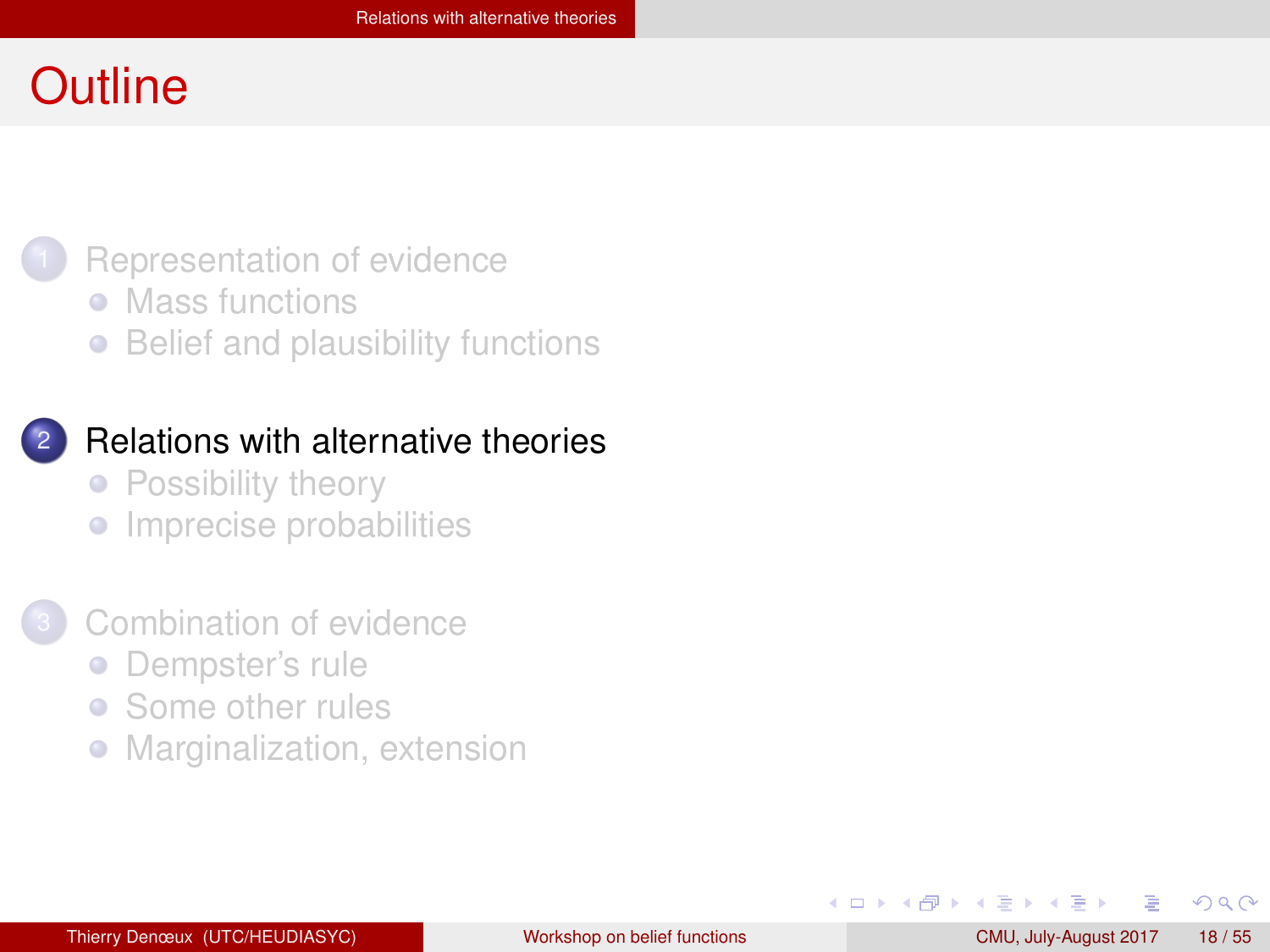#### <span id="page-17-0"></span>**Outline**



- [Mass functions](#page-3-0)
- [Belief and plausibility functions](#page-9-0)

#### **[Relations with alternative theories](#page-17-0)**

- [Possibility theory](#page-18-0)
- **•** [Imprecise probabilities](#page-23-0)

#### [Combination of evidence](#page-30-0)

- [Dempster's rule](#page-31-0)  $\bullet$
- [Some other rules](#page-43-0)  $\bullet$
- [Marginalization, extension](#page-50-0)  $\bullet$

4 B F 4 B F

 $QQ$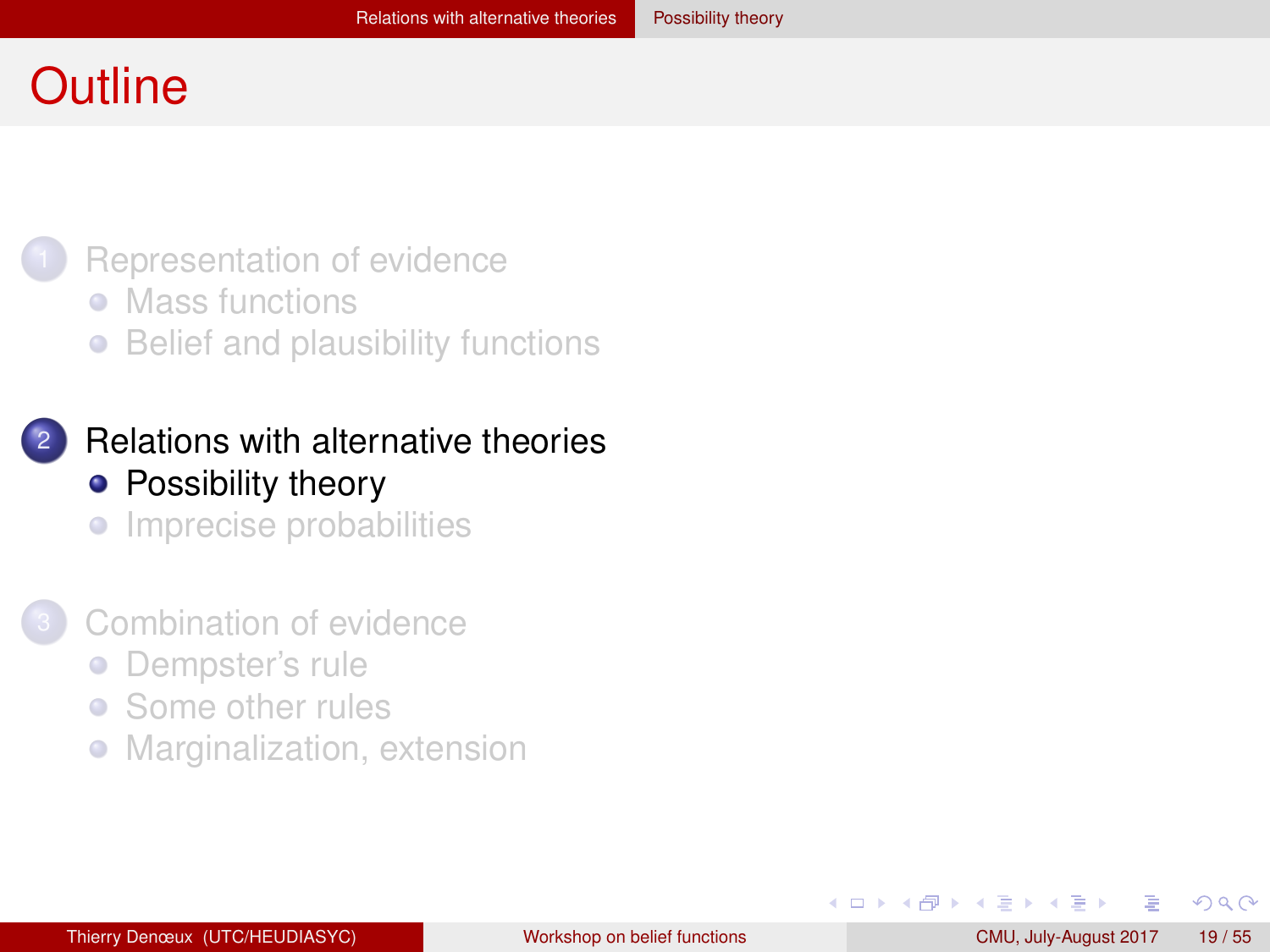#### <span id="page-18-0"></span>**Outline**



- [Mass functions](#page-3-0)
- [Belief and plausibility functions](#page-9-0)  $\bullet$
- **[Relations with alternative theories](#page-17-0)** • [Possibility theory](#page-18-0)
	- **•** [Imprecise probabilities](#page-23-0)
- [Combination of evidence](#page-30-0)
	- [Dempster's rule](#page-31-0)  $\bullet$
	- [Some other rules](#page-43-0)  $\bullet$
	- [Marginalization, extension](#page-50-0)  $\bullet$

4 B F 4 B F

 $QQ$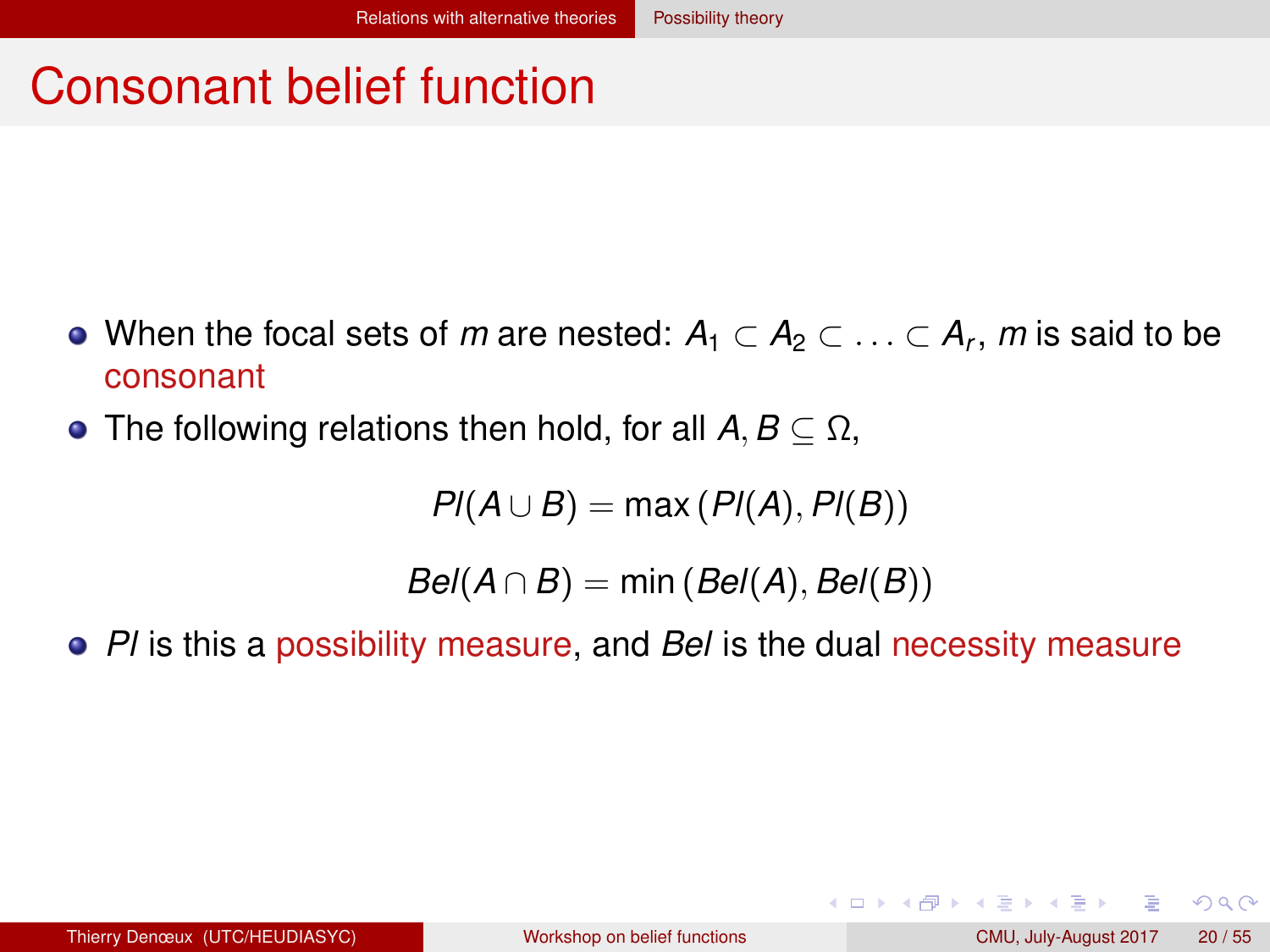## <span id="page-19-0"></span>Consonant belief function

- When the focal sets of  $m$  are nested:  $A_1 \subset A_2 \subset \ldots \subset A_r, \, m$  is said to be consonant
- The following relations then hold, for all  $A, B \subset \Omega$ ,

$$
PI(A \cup B) = \max (PI(A), PI(B))
$$

 $Bel(A \cap B) = min(Bel(A), Bel(B))$ 

*Pl* is this a possibility measure, and *Bel* is the dual necessity measure

 $QQQ$ 

イロト イ母 トイラト イラト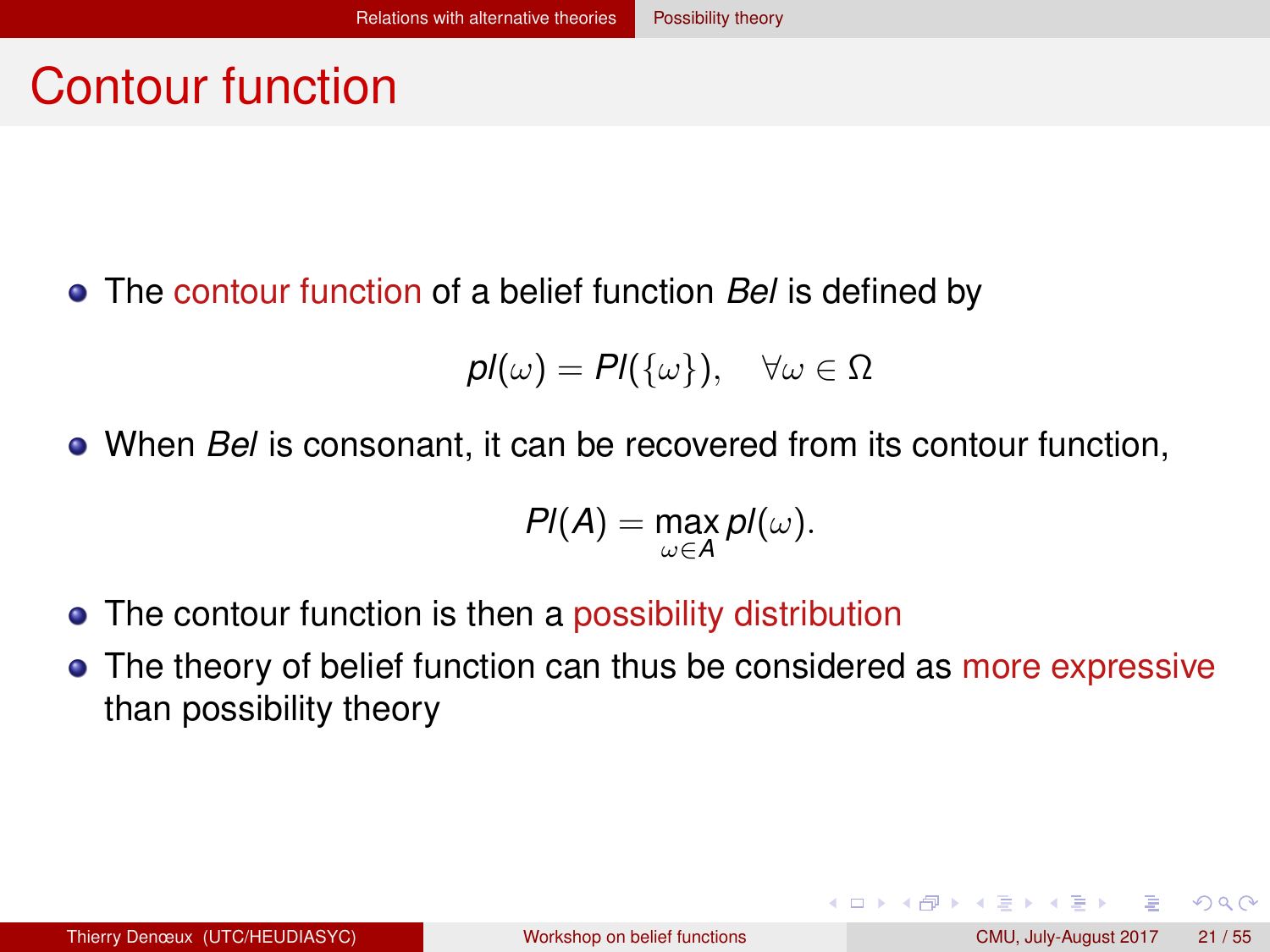#### <span id="page-20-0"></span>Contour function

The contour function of a belief function *Bel* is defined by

$$
pl(\omega) = Pl(\{\omega\}), \quad \forall \omega \in \Omega
$$

When *Bel* is consonant, it can be recovered from its contour function,

$$
Pl(A)=\max_{\omega\in A}pl(\omega).
$$

- The contour function is then a possibility distribution
- The theory of belief function can thus be considered as more expressive than possibility theory

 $QQ$ 

イロト イ母 トイラト イラト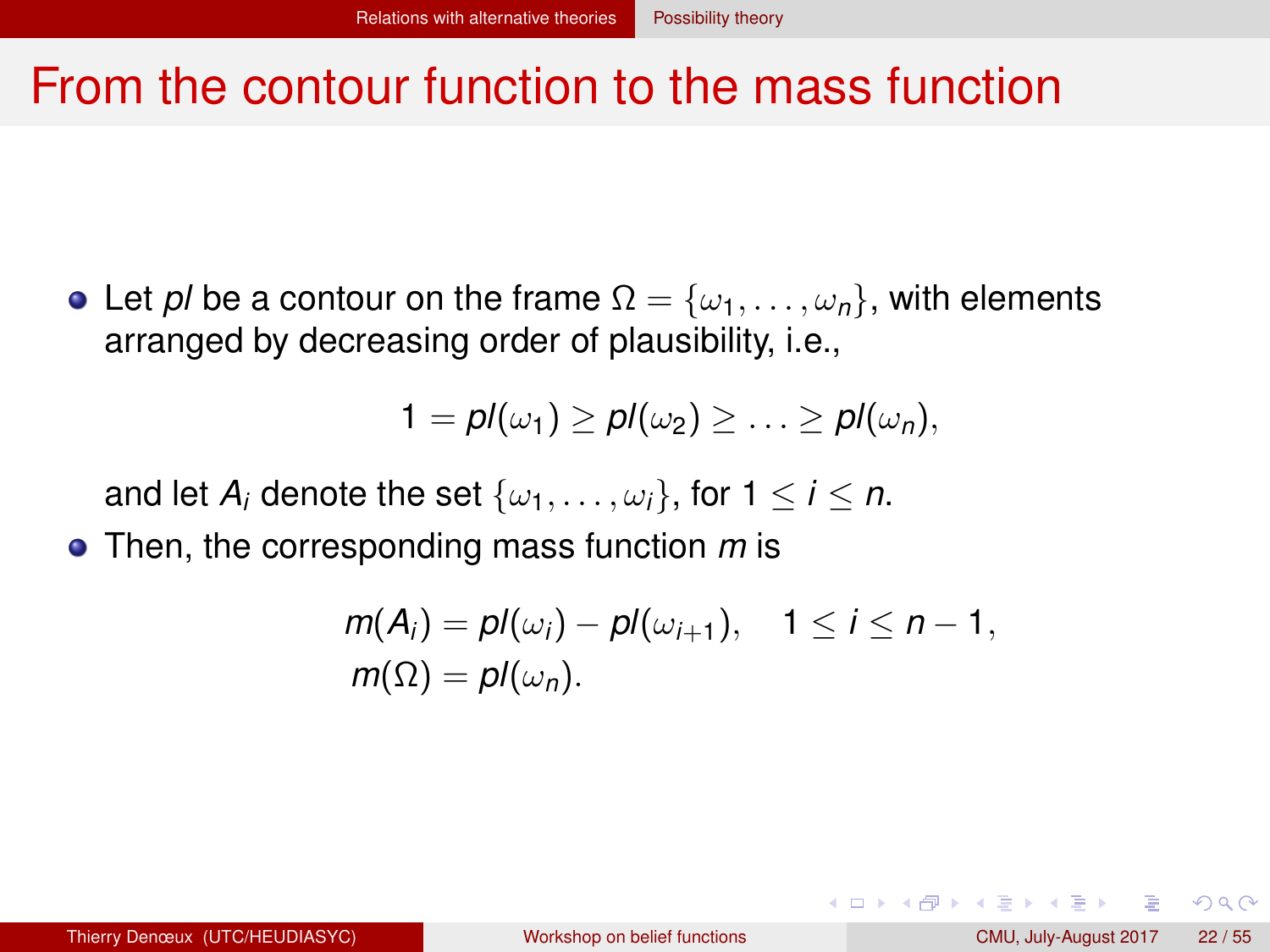#### <span id="page-21-0"></span>From the contour function to the mass function

• Let *pl* be a contour on the frame  $\Omega = {\omega_1, \ldots, \omega_n}$ , with elements arranged by decreasing order of plausibility, i.e.,

$$
1 = pl(\omega_1) \geq pl(\omega_2) \geq \ldots \geq pl(\omega_n),
$$

and let  $A_i$  denote the set  $\{\omega_1, \ldots, \omega_i\}$ , for  $1 \le i \le n$ .

Then, the corresponding mass function *m* is

$$
m(A_i) = pl(\omega_i) - pl(\omega_{i+1}), \quad 1 \leq i \leq n-1,
$$
  

$$
m(\Omega) = pl(\omega_n).
$$

 $QQQ$ 

イロト イ押ト イヨト イヨト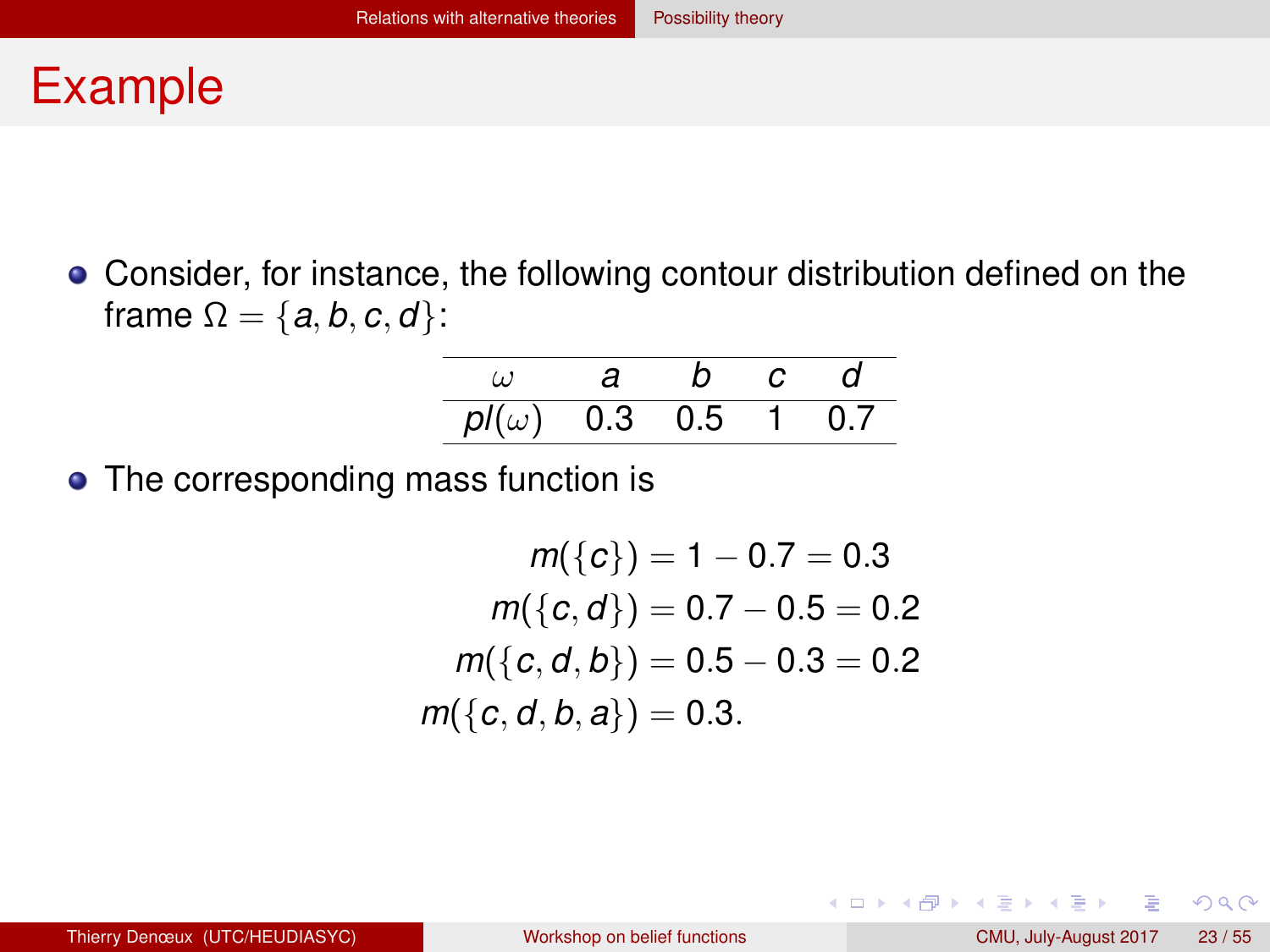#### <span id="page-22-0"></span>Example

Consider, for instance, the following contour distribution defined on the frame  $\Omega = \{a, b, c, d\}$ :

|                      | a | n. | C              | d   |
|----------------------|---|----|----------------|-----|
| $pl(\omega)$ 0.3 0.5 |   |    | $\blacksquare$ | 0 7 |

• The corresponding mass function is

$$
m({c}) = 1 - 0.7 = 0.3
$$
  
\n
$$
m({c, d}) = 0.7 - 0.5 = 0.2
$$
  
\n
$$
m({c, d, b}) = 0.5 - 0.3 = 0.2
$$
  
\n
$$
m({c, d, b, a}) = 0.3.
$$

 $QQQ$ 

イロト イ母 トイラト イラト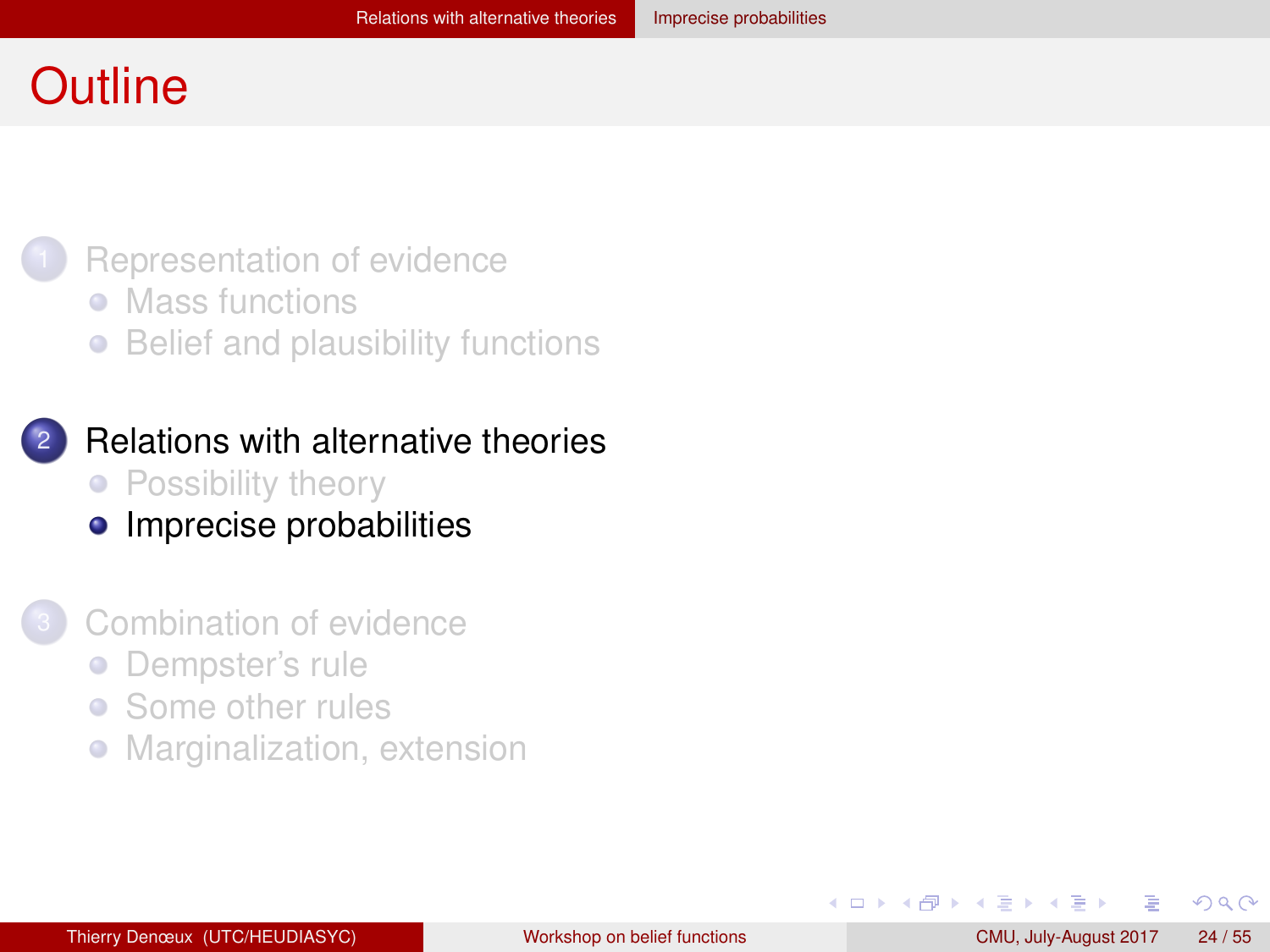#### <span id="page-23-0"></span>**Outline**

#### [Representation of evidence](#page-2-0)

- [Mass functions](#page-3-0)
- [Belief and plausibility functions](#page-9-0)  $\bullet$
- **[Relations with alternative theories](#page-17-0)** • [Possibility theory](#page-18-0)
	- [Imprecise probabilities](#page-23-0)

#### [Combination of evidence](#page-30-0)

- [Dempster's rule](#page-31-0)  $\bullet$
- [Some other rules](#page-43-0)  $\bullet$
- [Marginalization, extension](#page-50-0)  $\bullet$

 $QQ$ 

化重新润滑脂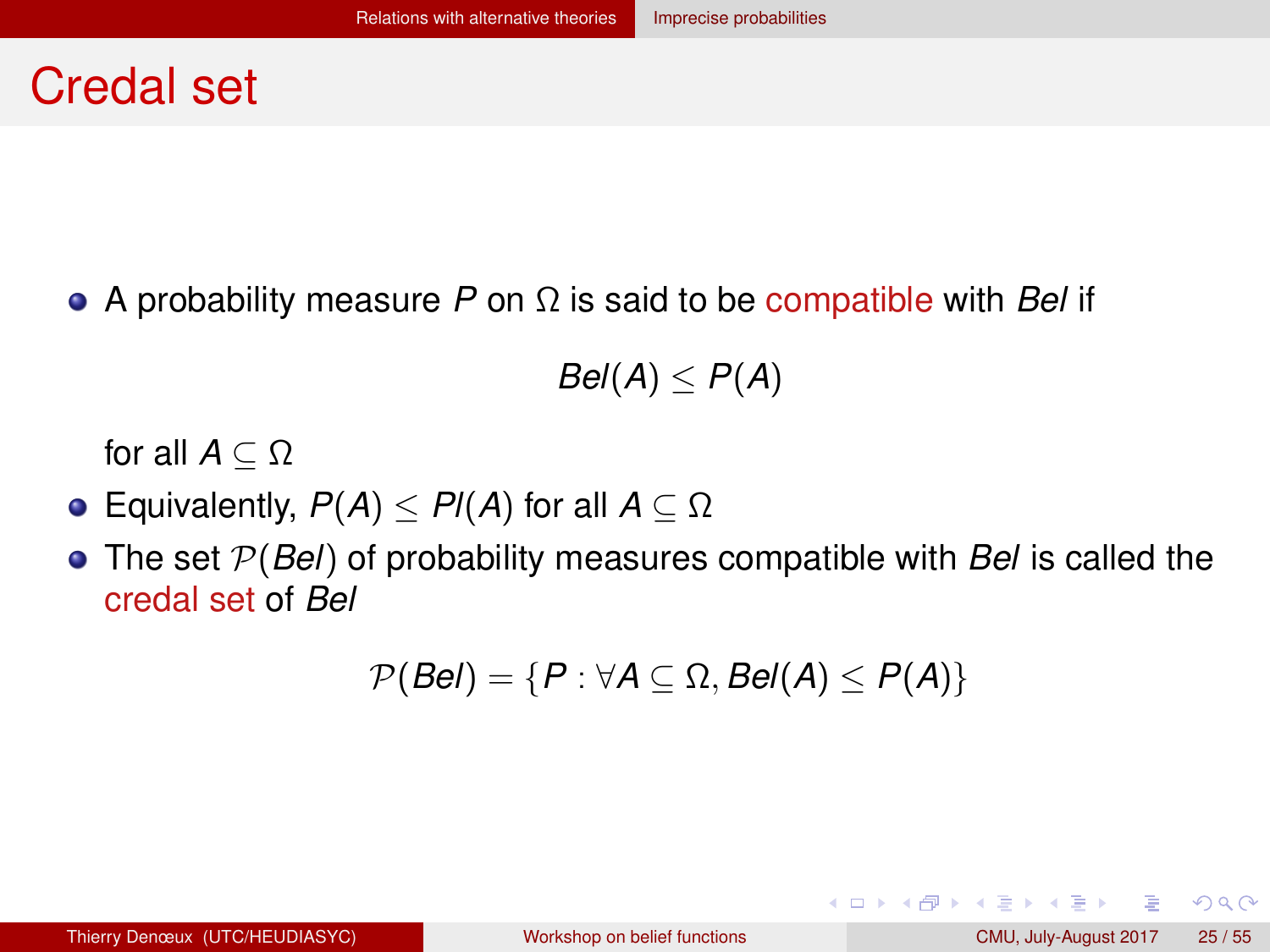#### <span id="page-24-0"></span>Credal set

A probability measure *P* on Ω is said to be compatible with *Bel* if

 $Bel(A) \leq P(A)$ 

for all  $A \subset \Omega$ 

- **•** Equivalently,  $P(A) \leq P(A)$  for all  $A \subseteq \Omega$
- The set P(*Bel*) of probability measures compatible with *Bel* is called the credal set of *Bel*

$$
\mathcal{P}(Bel) = \{P : \forall A \subseteq \Omega, Bel(A) \leq P(A)\}
$$

 $QQQ$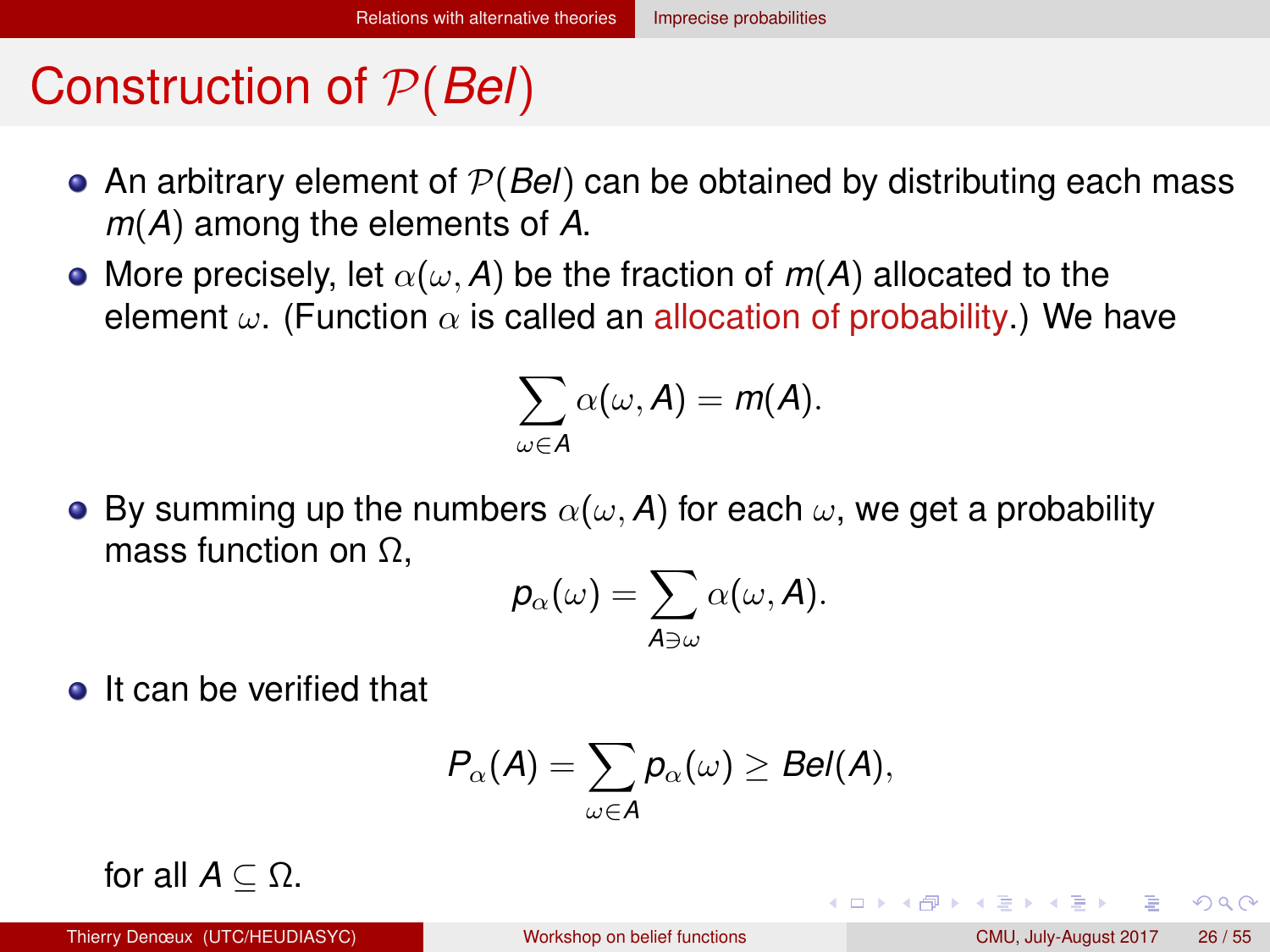## <span id="page-25-0"></span>Construction of P(*Bel*)

- An arbitrary element of P(*Bel*) can be obtained by distributing each mass *m*(*A*) among the elements of *A*.
- More precisely, let  $\alpha(\omega, A)$  be the fraction of  $m(A)$  allocated to the element  $\omega$ . (Function  $\alpha$  is called an allocation of probability.) We have

$$
\sum_{\omega \in A} \alpha(\omega, A) = m(A).
$$

**•** By summing up the numbers  $\alpha(\omega, A)$  for each  $\omega$ , we get a probability mass function on Ω,

$$
p_\alpha(\omega)=\sum_{\mathcal{A}\ni\omega}\alpha(\omega,\mathcal{A}).
$$

**o** It can be verified that

$$
P_{\alpha}(A)=\sum_{\omega\in A}p_{\alpha}(\omega)\geq Bel(A),
$$

for all  $A \subset \Omega$ .

 $\Omega$ 

イロト イ母ト イヨト イヨト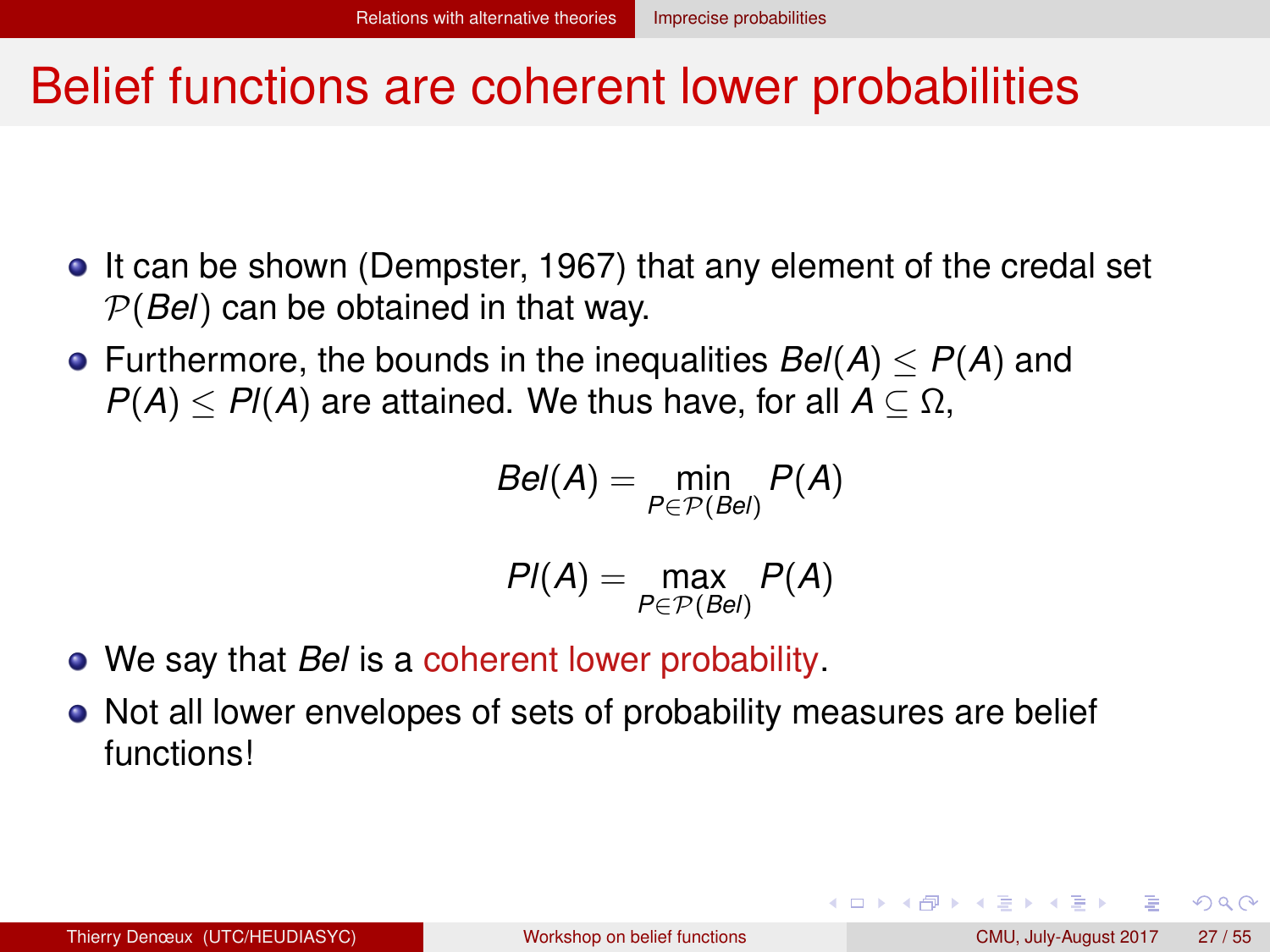#### <span id="page-26-0"></span>Belief functions are coherent lower probabilities

- It can be shown (Dempster, 1967) that any element of the credal set P(*Bel*) can be obtained in that way.
- Furthermore, the bounds in the inequalities  $Bel(A) \leq P(A)$  and  $P(A) \leq P(A)$  are attained. We thus have, for all  $A \subseteq \Omega$ ,

$$
Bel(A) = \min_{P \in \mathcal{P}(Bel)} P(A)
$$

$$
PI(A) = \max_{P \in \mathcal{P}(Bel)} P(A)
$$

- We say that *Bel* is a coherent lower probability.
- Not all lower envelopes of sets of probability measures are belief functions!

 $QQQ$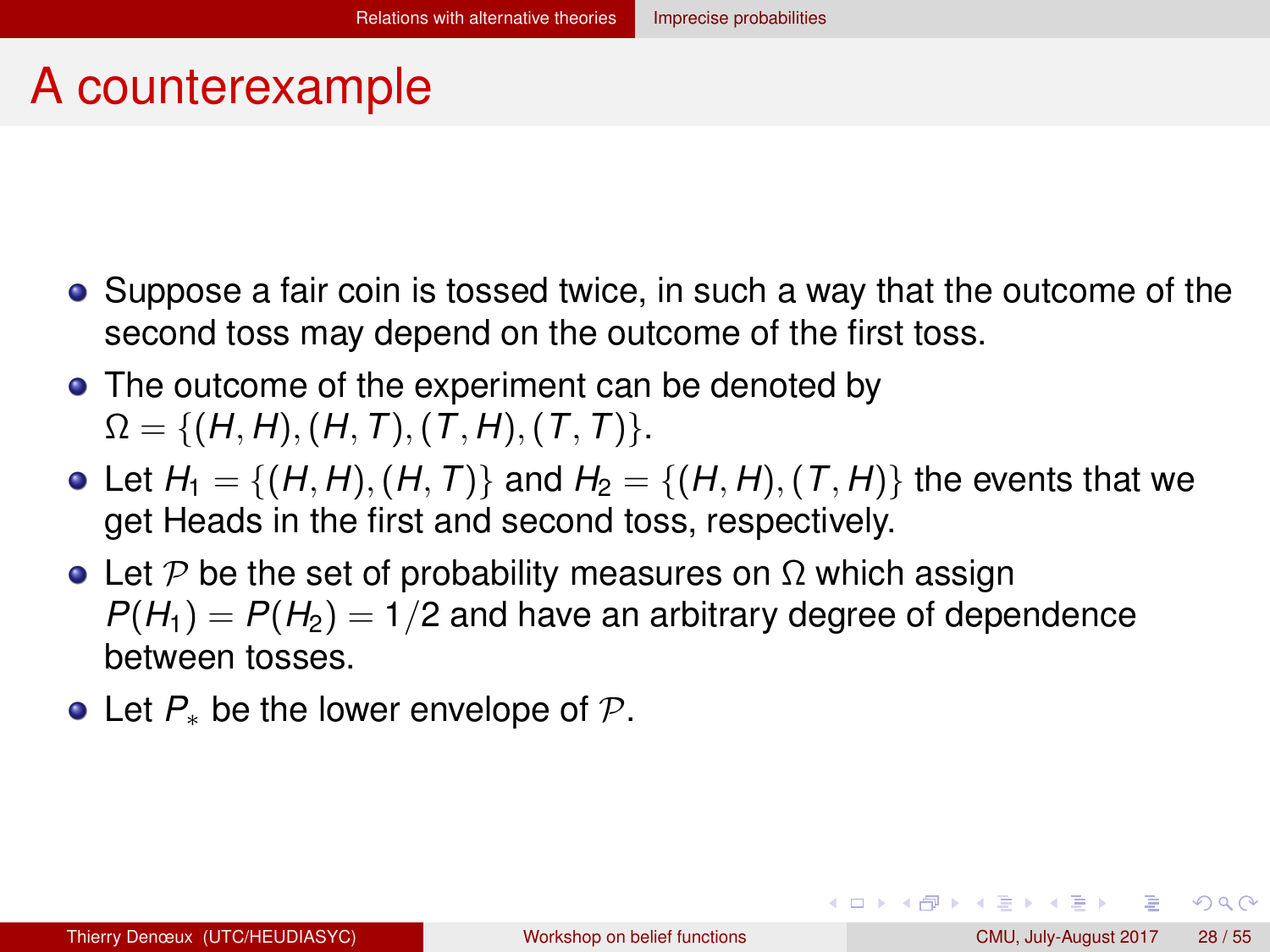### <span id="page-27-0"></span>A counterexample

- Suppose a fair coin is tossed twice, in such a way that the outcome of the second toss may depend on the outcome of the first toss.
- The outcome of the experiment can be denoted by  $\Omega = \{(H, H), (H, T), (T, H), (T, T)\}.$
- Let  $H_1 = \{(H, H), (H, T)\}$  and  $H_2 = \{(H, H), (T, H)\}$  the events that we get Heads in the first and second toss, respectively.
- Let P be the set of probability measures on  $\Omega$  which assign  $P(H_1) = P(H_2) = 1/2$  and have an arbitrary degree of dependence between tosses.
- Let *P*<sup>∗</sup> be the lower envelope of P.

 $\Omega$ 

イロト イ押 トイヨ トイヨ トーヨ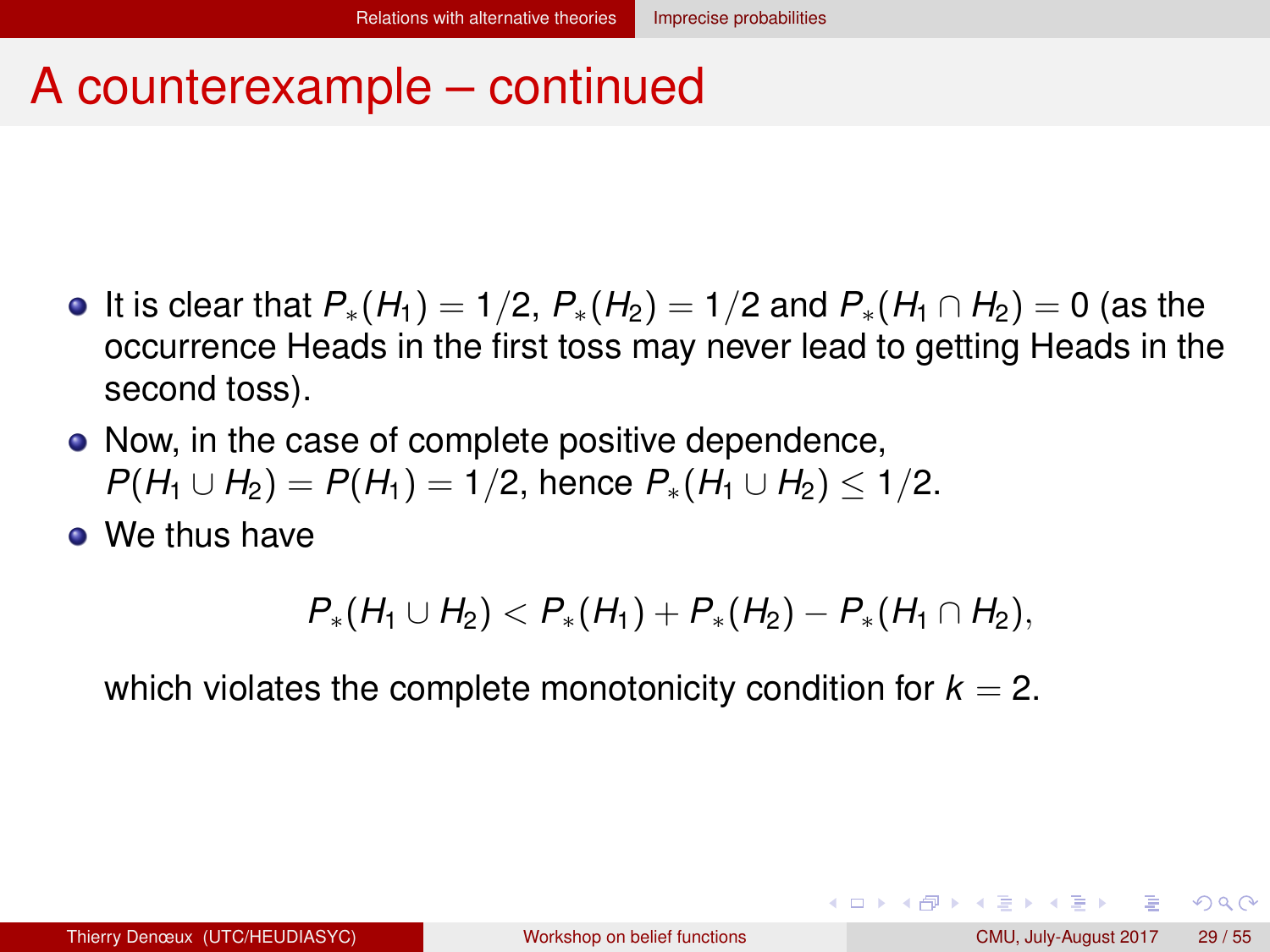#### <span id="page-28-0"></span>A counterexample – continued

- $\bullet$  It is clear that  $P_*(H_1) = 1/2$ ,  $P_*(H_2) = 1/2$  and  $P_*(H_1 \cap H_2) = 0$  (as the occurrence Heads in the first toss may never lead to getting Heads in the second toss).
- Now, in the case of complete positive dependence, *P*(*H*<sub>1</sub> ∪ *H*<sub>2</sub>) = *P*(*H*<sub>1</sub>) = 1/2, hence  $P_*(H_1 \cup H_2)$  ≤ 1/2.
- **•** We thus have

$$
P_*(H_1\cup H_2)
$$

which violates the complete monotonicity condition for  $k = 2$ .

 $QQQ$ 

イロト イ押 トイヨ トイヨ トーヨ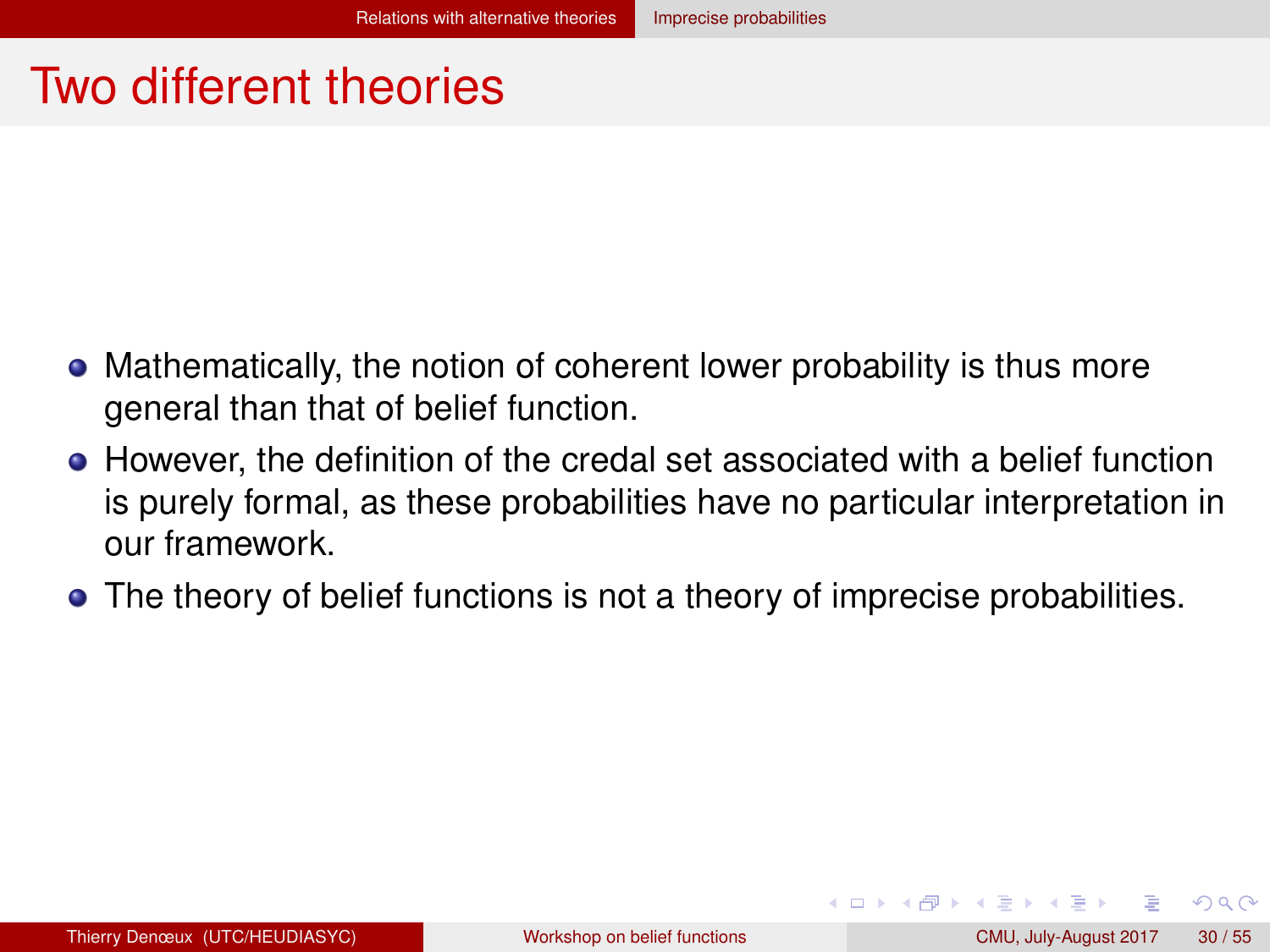#### <span id="page-29-0"></span>Two different theories

- Mathematically, the notion of coherent lower probability is thus more general than that of belief function.
- However, the definition of the credal set associated with a belief function is purely formal, as these probabilities have no particular interpretation in our framework.
- The theory of belief functions is not a theory of imprecise probabilities.

 $QQ$ 

イロト イ母 トイラト イラト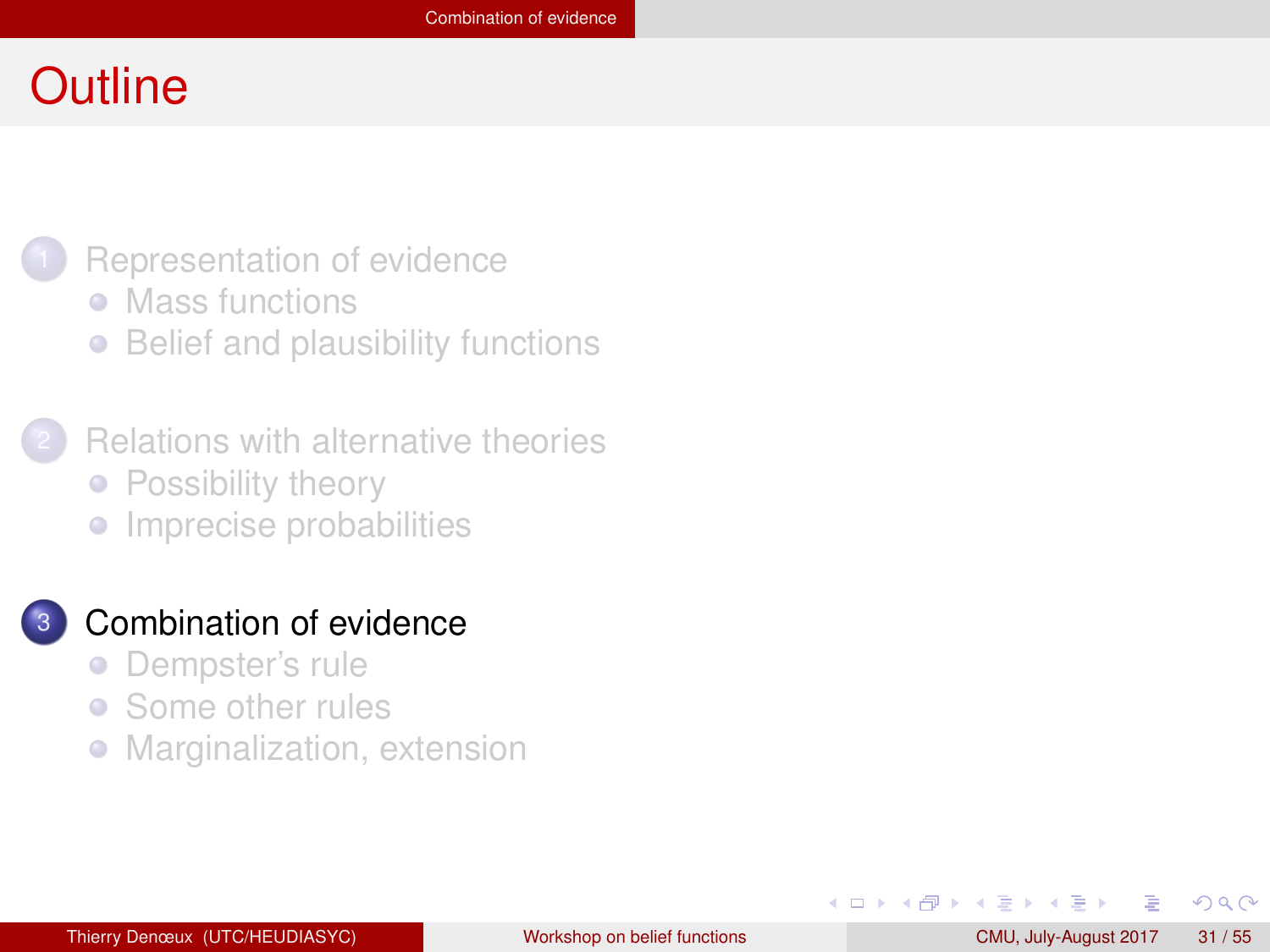#### <span id="page-30-0"></span>**Outline**



- [Mass functions](#page-3-0)
- [Belief and plausibility functions](#page-9-0)  $\bullet$
- **[Relations with alternative theories](#page-17-0)** • [Possibility theory](#page-18-0)
	- **•** [Imprecise probabilities](#page-23-0)

#### [Combination of evidence](#page-30-0)

- [Dempster's rule](#page-31-0)  $\bullet$
- [Some other rules](#page-43-0)  $\bullet$
- $\bullet$ [Marginalization, extension](#page-50-0)

4 B F 4 B F

 $QQ$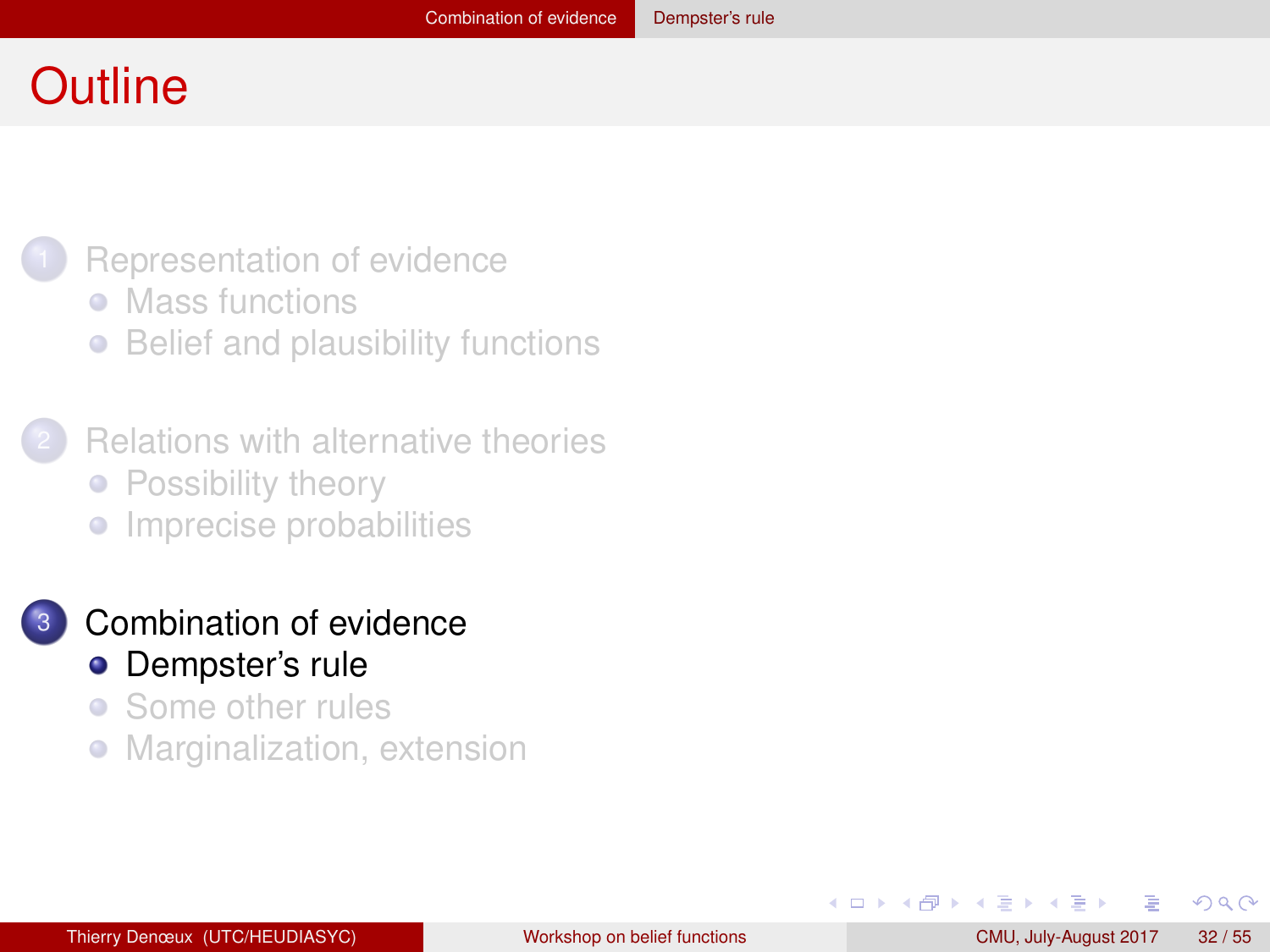#### <span id="page-31-0"></span>**Outline**



- [Mass functions](#page-3-0)
- [Belief and plausibility functions](#page-9-0)  $\bullet$
- **[Relations with alternative theories](#page-17-0)** • [Possibility theory](#page-18-0)
	- **•** [Imprecise probabilities](#page-23-0)

#### [Combination of evidence](#page-30-0) **•** [Dempster's rule](#page-31-0)

- [Some other rules](#page-43-0)  $\bullet$
- $\bullet$ [Marginalization, extension](#page-50-0)

化重 经收回

 $QQ$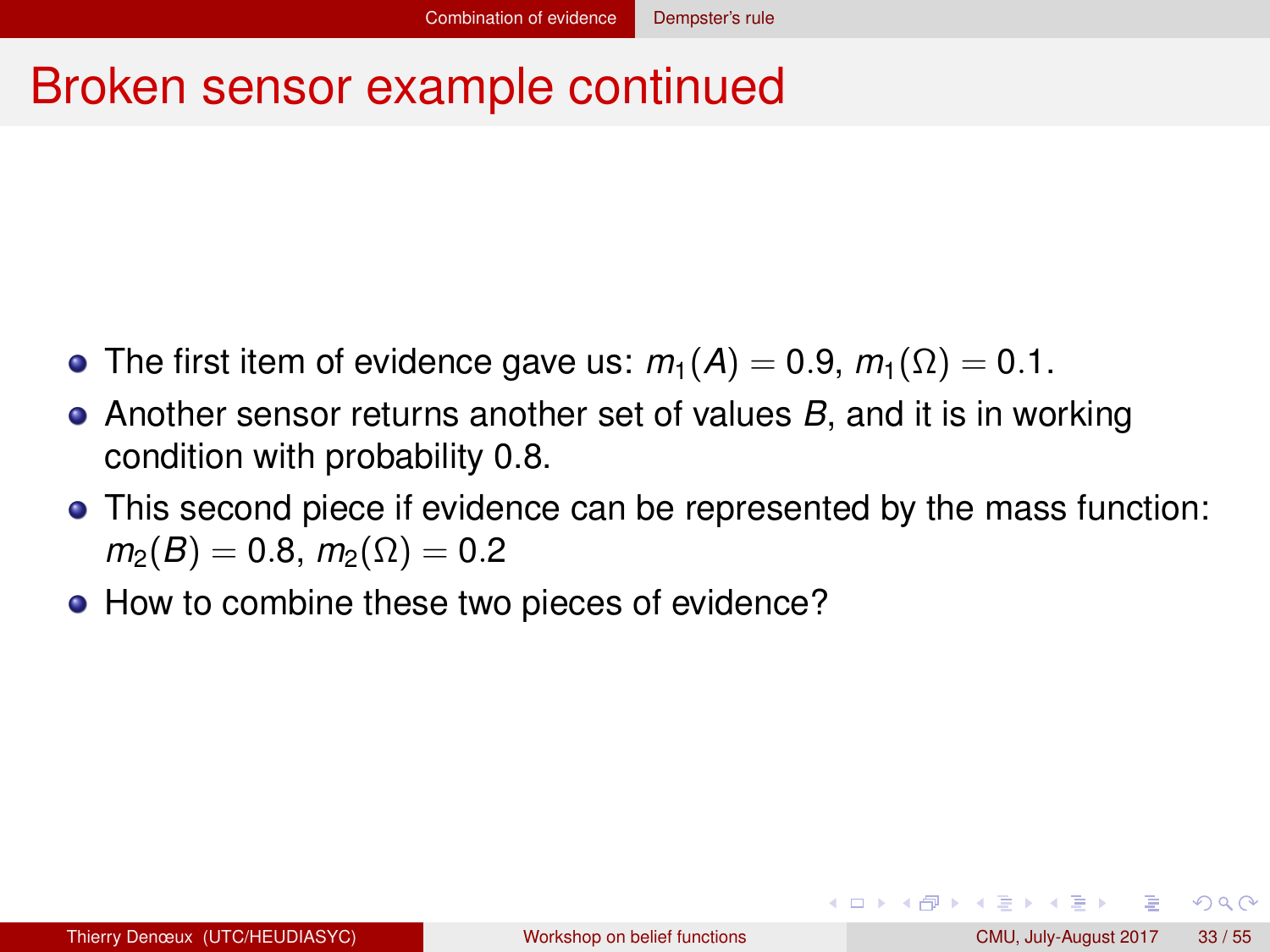#### <span id="page-32-0"></span>Broken sensor example continued

- $\bullet$  The first item of evidence gave us:  $m_1(A) = 0.9$ ,  $m_1(\Omega) = 0.1$ .
- Another sensor returns another set of values *B*, and it is in working condition with probability 0.8.
- This second piece if evidence can be represented by the mass function:  $m_2(B) = 0.8$ ,  $m_2(\Omega) = 0.2$
- How to combine these two pieces of evidence?

 $QQQ$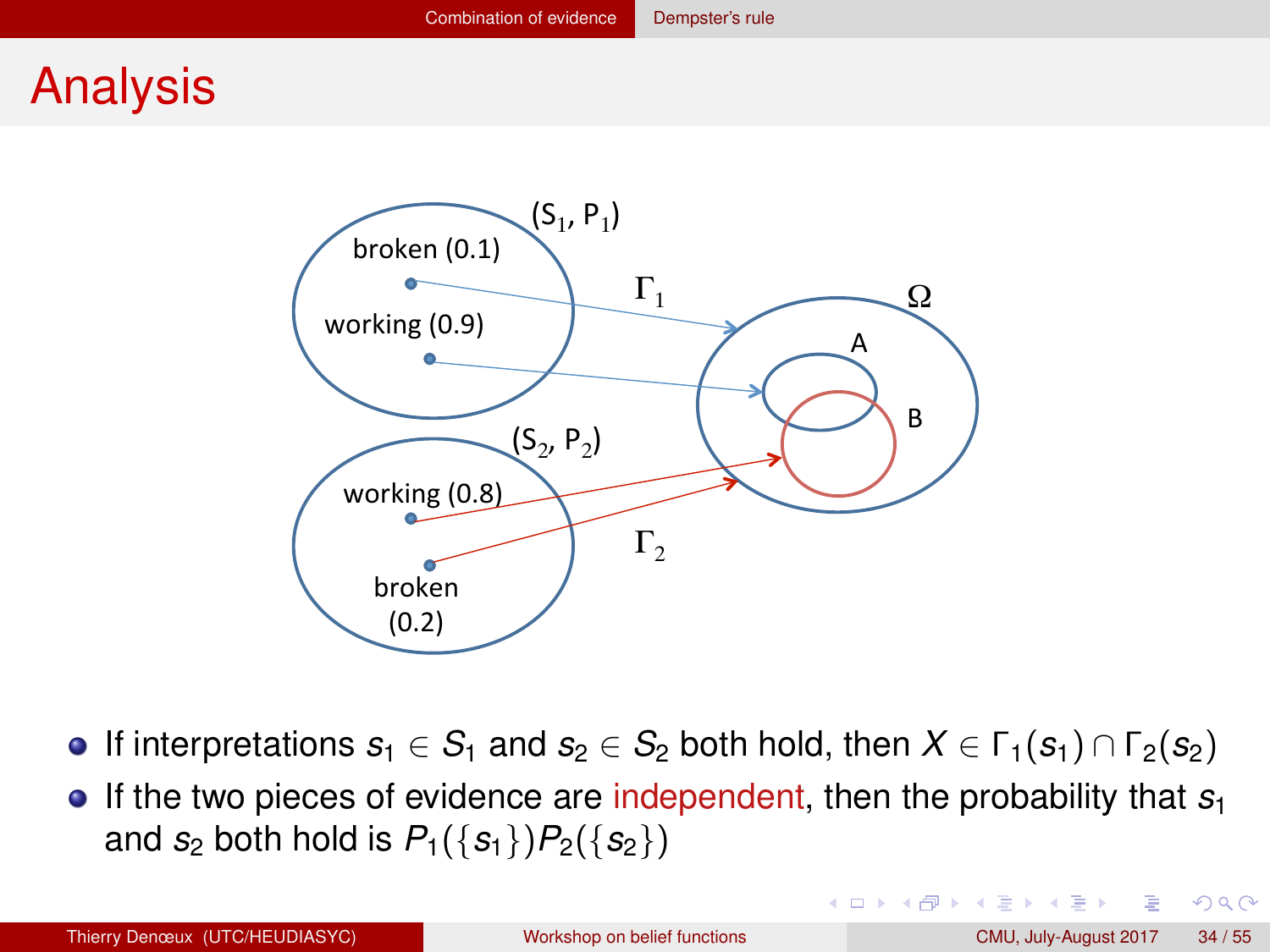#### <span id="page-33-0"></span>Analysis



- **If interpretations**  $s_1 \in S_1$  **and**  $s_2 \in S_2$  **both hold, then**  $X \in \Gamma_1(s_1) \cap \Gamma_2(s_2)$
- If the two pieces of evidence are independent, then the probability that *s*<sub>1</sub> and *s*<sub>2</sub> both hold is  $P_1({s_1})P_2({s_2})$

 $QQ$ 

イロト イ母 トイラト イラト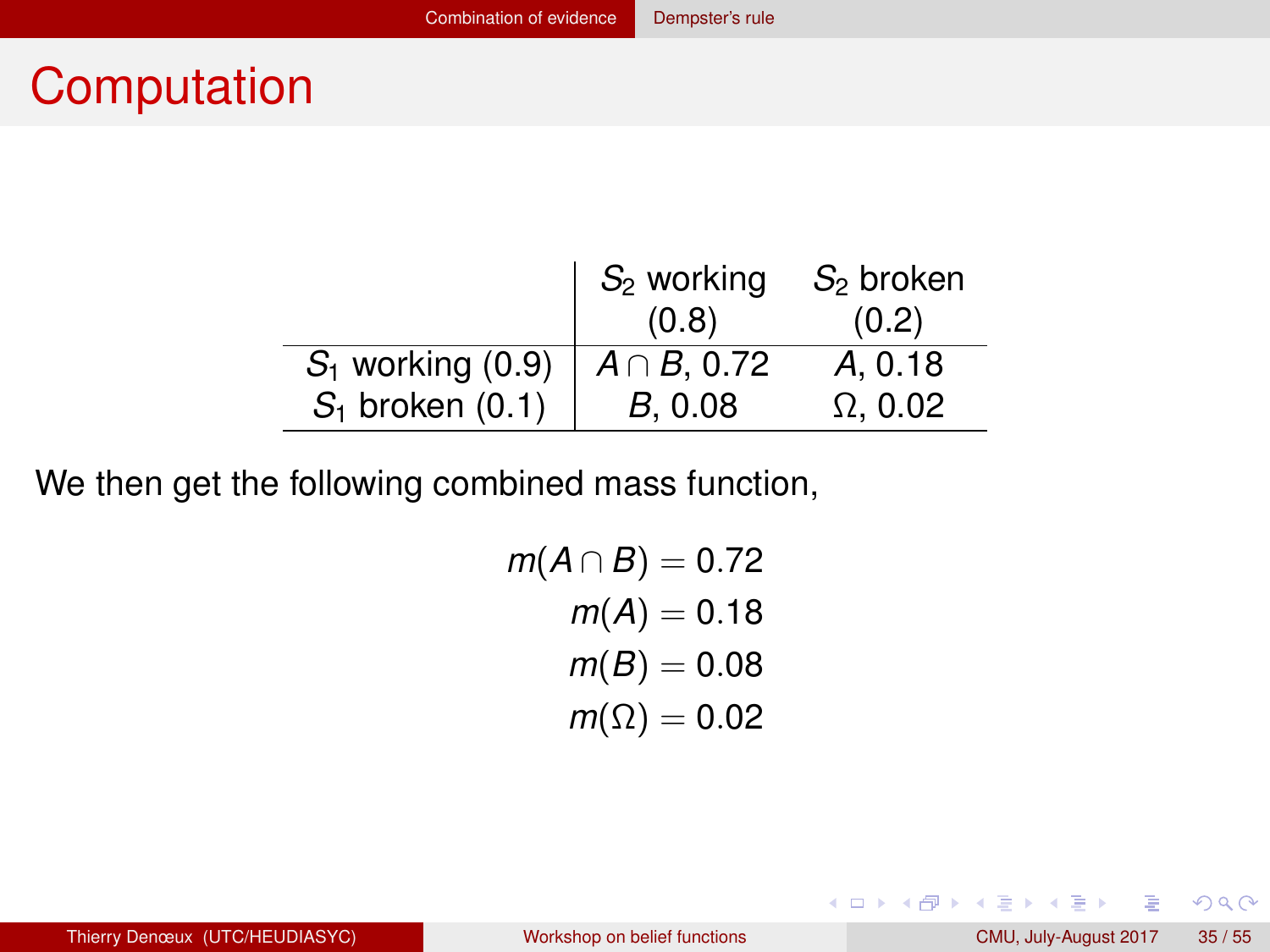## <span id="page-34-0"></span>**Computation**

|                     | $S_2$ working     | $S2$ broken     |
|---------------------|-------------------|-----------------|
|                     | (0.8)             | (0.2)           |
| $S_1$ working (0.9) | $A \cap B$ , 0.72 | A, 0.18         |
| $S_1$ broken (0.1)  | B. 0.08           | $\Omega$ . 0.02 |

We then get the following combined mass function,

$$
m(A \cap B) = 0.72
$$

$$
m(A) = 0.18
$$

$$
m(B) = 0.08
$$

$$
m(\Omega) = 0.02
$$

画

 $2Q$ 

メロトメ 伊 トメ ミトメ ミト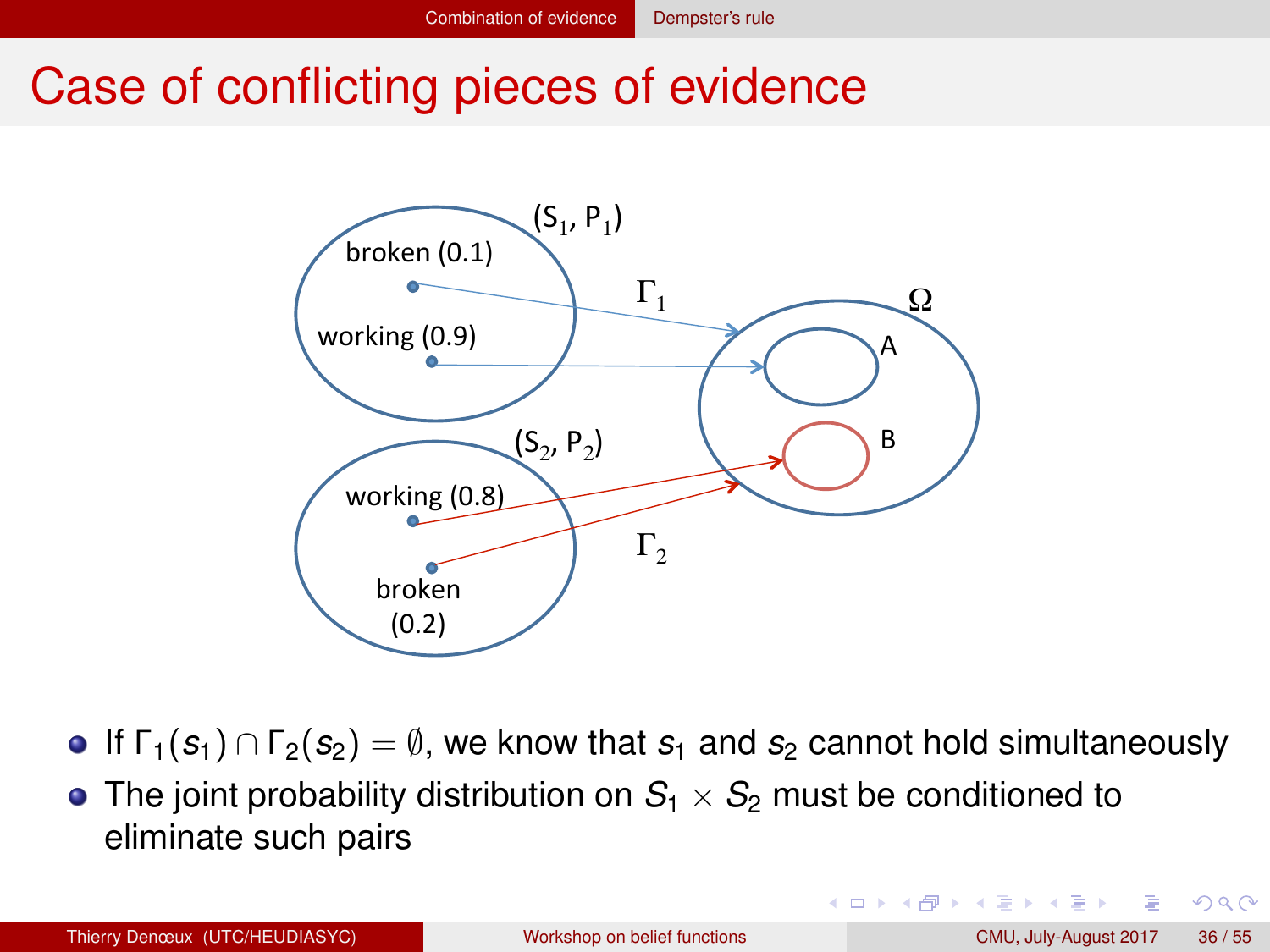#### <span id="page-35-0"></span>Case of conflicting pieces of evidence



- **If**  $\Gamma_1(s_1) \cap \Gamma_2(s_2) = \emptyset$ , we know that  $s_1$  and  $s_2$  cannot hold simultaneously
- The joint probability distribution on  $S_1 \times S_2$  must be conditioned to eliminate such pairs

 $QQ$ 

化重新润滑脂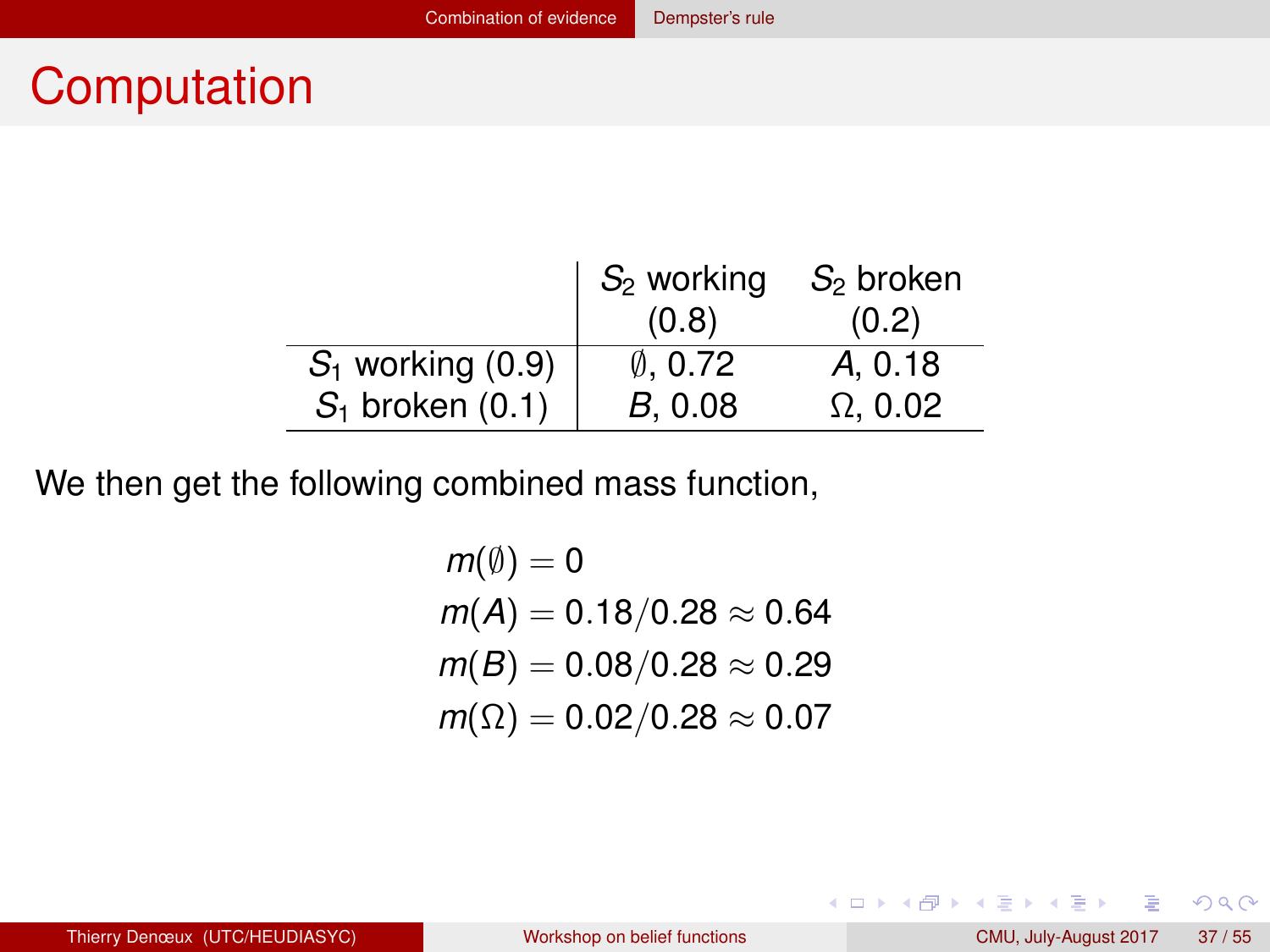## <span id="page-36-0"></span>**Computation**

|                     | $S_2$ working | $S_2$ broken    |
|---------------------|---------------|-----------------|
|                     | (0.8)         | (0.2)           |
| $S_1$ working (0.9) | 0.0.72        | A, 0.18         |
| $S_1$ broken (0.1)  | B. 0.08       | $\Omega$ . 0.02 |

We then get the following combined mass function,

$$
m(\emptyset) = 0
$$
  
\n
$$
m(A) = 0.18/0.28 \approx 0.64
$$
  
\n
$$
m(B) = 0.08/0.28 \approx 0.29
$$
  
\n
$$
m(\Omega) = 0.02/0.28 \approx 0.07
$$

画

 $2Q$ 

メロトメ 伊 トメ ミトメ ミト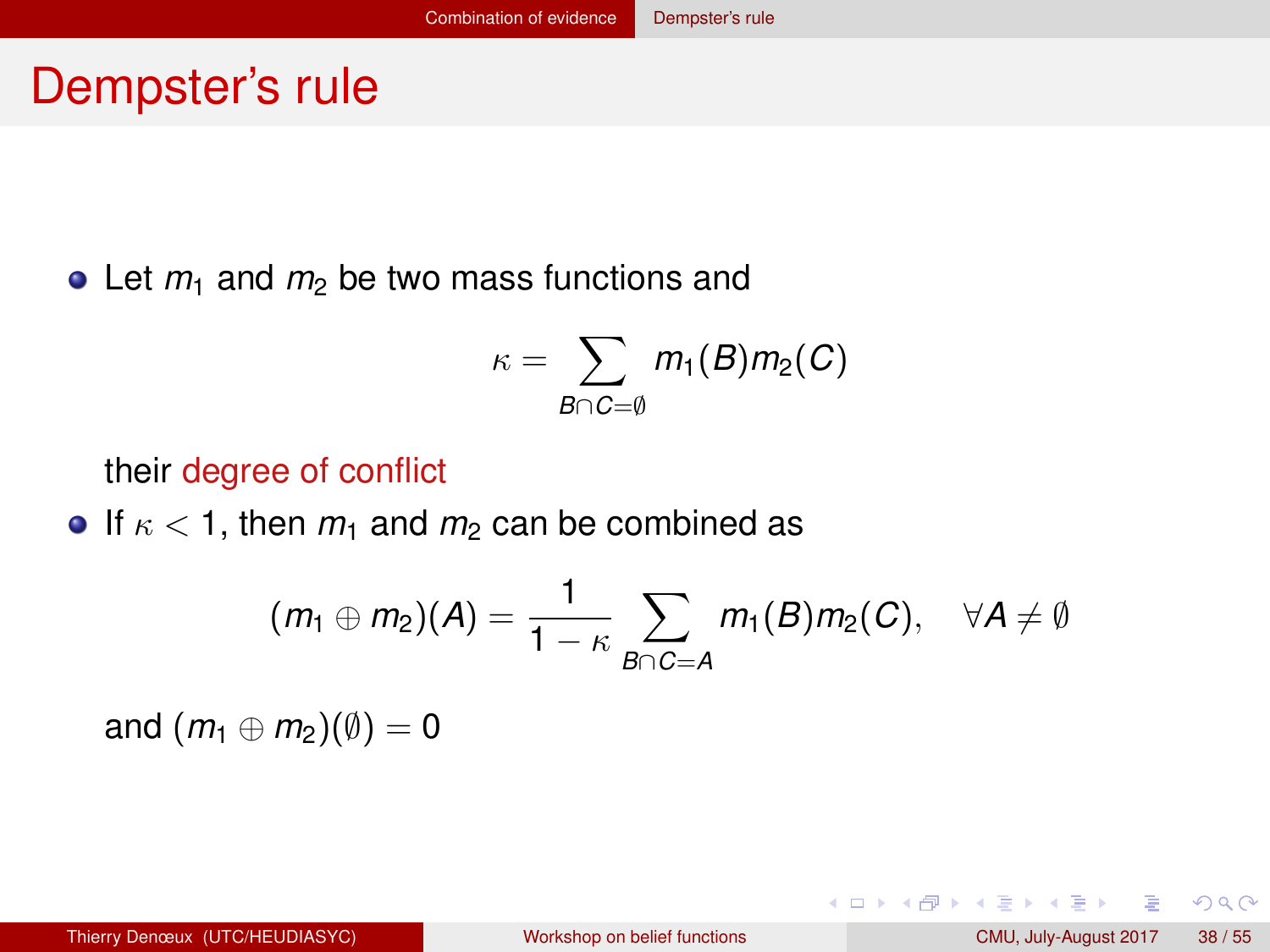#### <span id="page-37-0"></span>Dempster's rule

 $\bullet$  Let  $m_1$  and  $m_2$  be two mass functions and

$$
\kappa = \sum_{B \cap C = \emptyset} m_1(B)m_2(C)
$$

their degree of conflict

**If**  $\kappa$  < 1, then  $m_1$  and  $m_2$  can be combined as

$$
(m_1 \oplus m_2)(A) = \frac{1}{1 - \kappa} \sum_{B \cap C = A} m_1(B) m_2(C), \quad \forall A \neq \emptyset
$$

and  $(m_1 \oplus m_2)(\emptyset) = 0$ 

 $QQQ$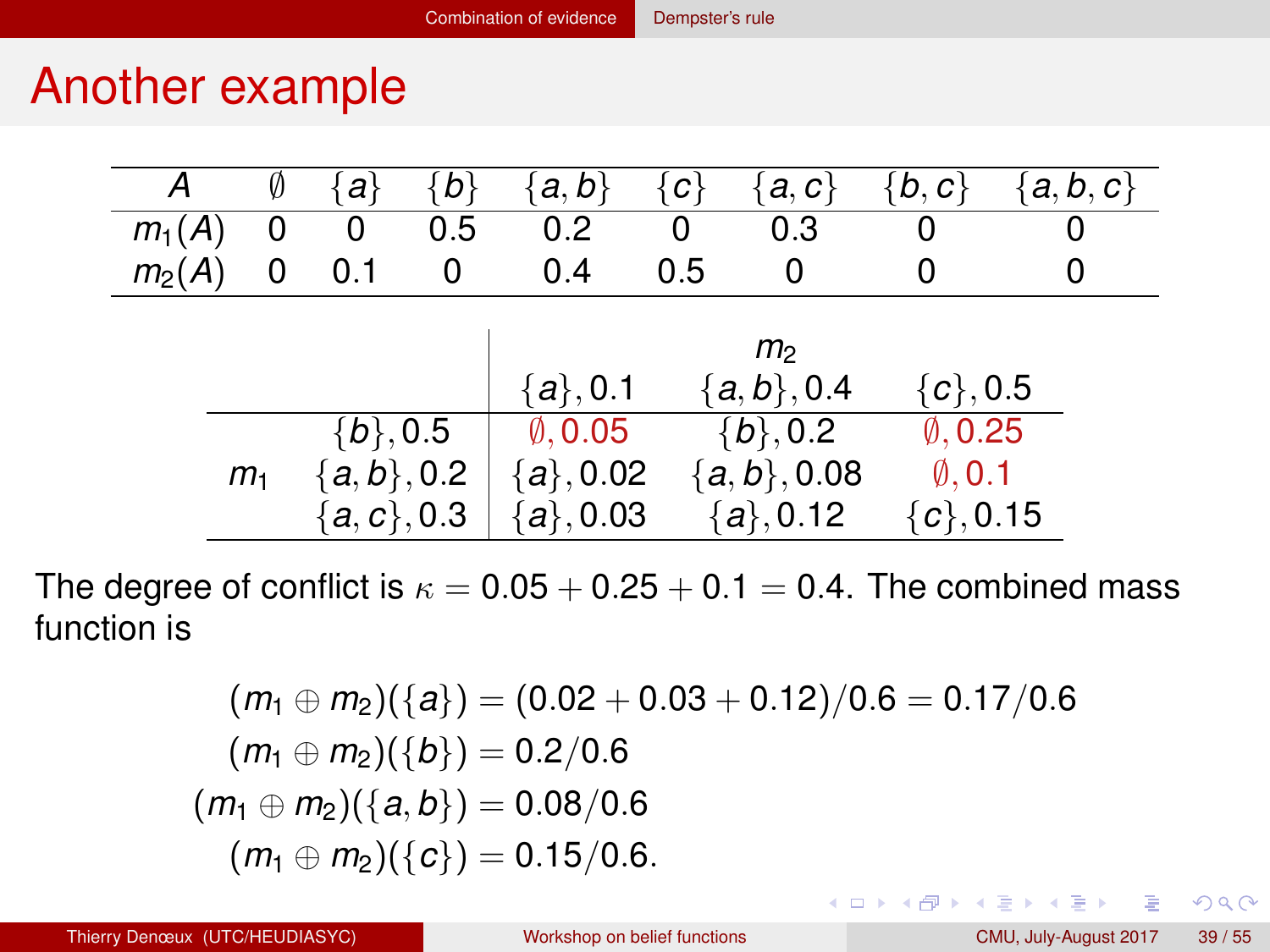## <span id="page-38-0"></span>Another example

| А        |                | Ø | a             | $\{b_i$ | a, b               | łс. | a, c           | $\{b,c\}$          | a, b, c |
|----------|----------------|---|---------------|---------|--------------------|-----|----------------|--------------------|---------|
| $m_1(A)$ |                | O | O             | 0.5     | 0.2                | O   | 0.3            | U                  |         |
| $m_2(A)$ |                | 0 | 0.1           | 0       | 0.4                | 0.5 | 0              |                    |         |
|          |                |   |               |         |                    |     |                |                    |         |
|          |                |   |               |         |                    |     | m <sub>2</sub> |                    |         |
|          |                |   |               |         | $\{a\}, 0.1$       |     | ${a,b}, 0.4$   | $\{c\}, 0.5$       |         |
|          |                |   | $\{b\},0.5$   |         | $\emptyset$ , 0.05 |     | ${b\}, 0.2$    | $\emptyset$ , 0.25 |         |
|          | m <sub>1</sub> |   | ${a,b}, 0.2$  |         | ${a}, 0.02$        |     | ${a, b}, 0.08$ | $\emptyset$ , 0.1  |         |
|          |                |   | $\{a,c\},0.3$ |         | ${a}, 0.03$        |     | $\{a\}, 0.12$  | ${c}$ , 0.15       |         |

The degree of conflict is  $\kappa = 0.05 + 0.25 + 0.1 = 0.4$ . The combined mass function is

$$
(m_1 \oplus m_2)(\{a\}) = (0.02 + 0.03 + 0.12)/0.6 = 0.17/0.6
$$
  
\n
$$
(m_1 \oplus m_2)(\{b\}) = 0.2/0.6
$$
  
\n
$$
(m_1 \oplus m_2)(\{a, b\}) = 0.08/0.6
$$
  
\n
$$
(m_1 \oplus m_2)(\{c\}) = 0.15/0.6.
$$

 $2Q$ 

イロト イ母 トイラト イラト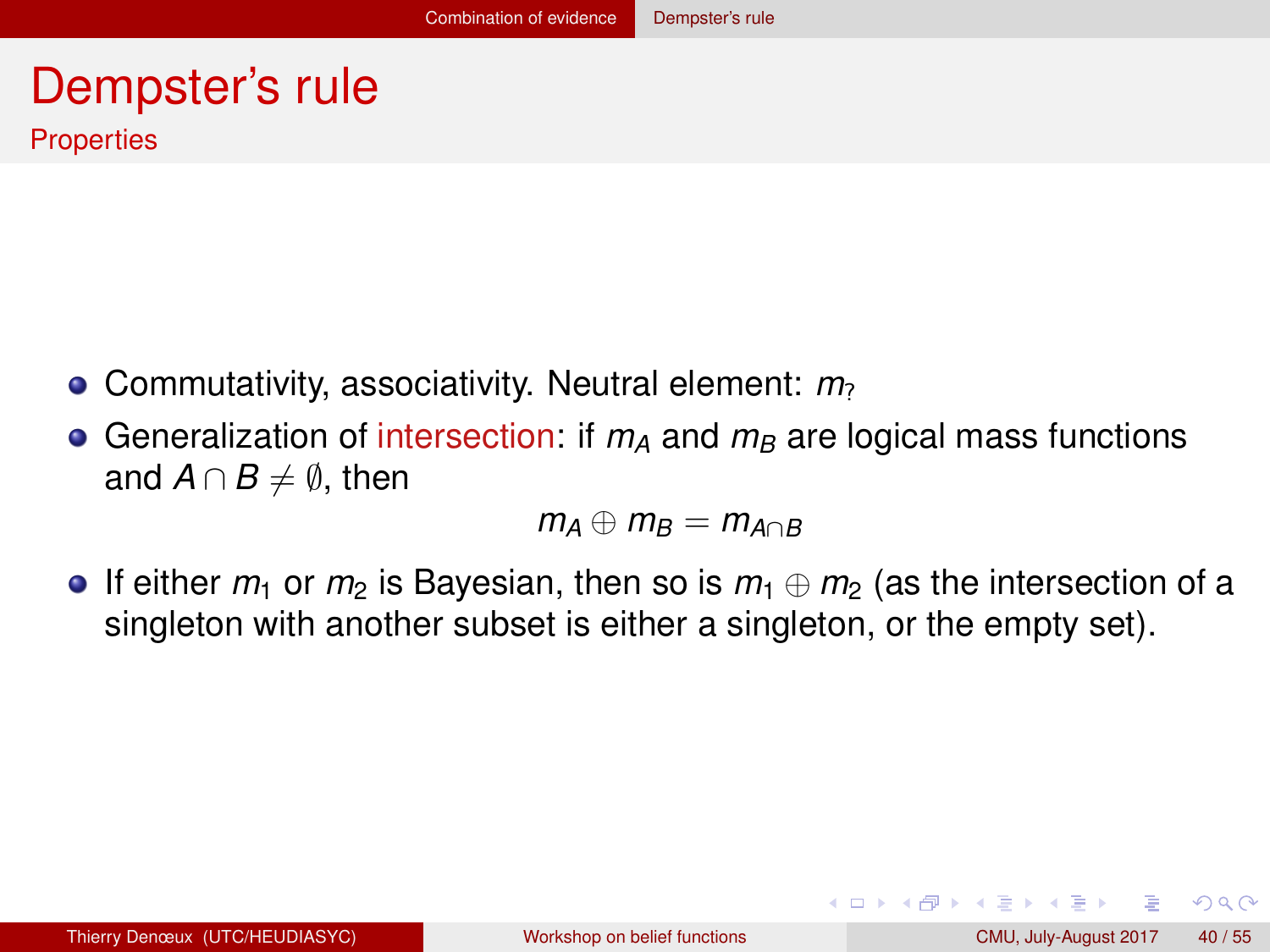#### <span id="page-39-0"></span>Dempster's rule **Properties**

- Commutativity, associativity. Neutral element: *m*?
- Generalization of intersection: if  $m_A$  and  $m_B$  are logical mass functions and  $A \cap B \neq \emptyset$ , then

$$
m_A \oplus m_B = m_{A \cap B}
$$

If either *m*<sup>1</sup> or *m*<sup>2</sup> is Bayesian, then so is *m*<sup>1</sup> ⊕ *m*<sup>2</sup> (as the intersection of a singleton with another subset is either a singleton, or the empty set).

 $QQ$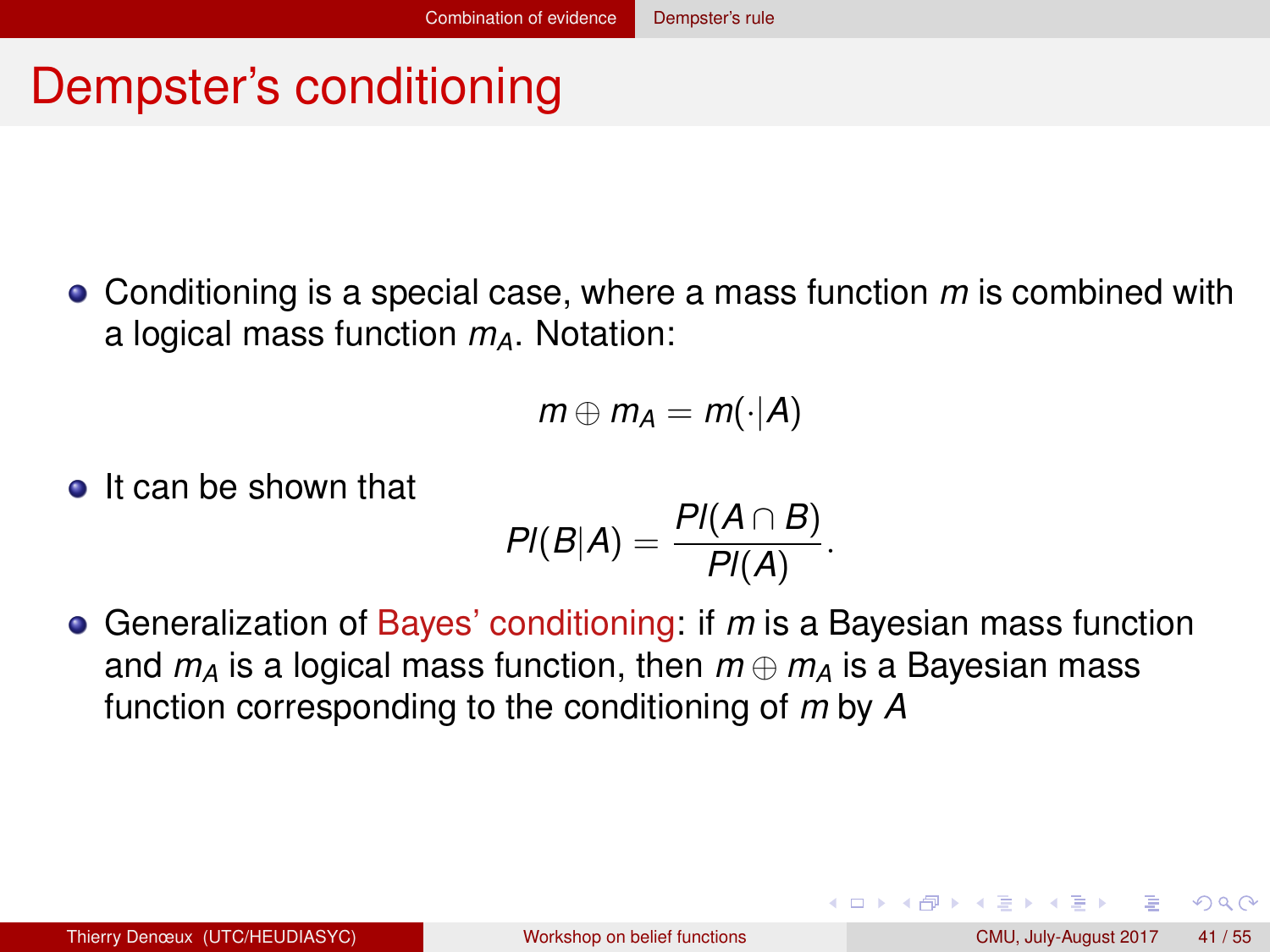## <span id="page-40-0"></span>Dempster's conditioning

Conditioning is a special case, where a mass function *m* is combined with a logical mass function *mA*. Notation:

$$
m\oplus m_A=m(\cdot|A)
$$

**o** It can be shown that

$$
PI(B|A)=\frac{PI(A\cap B)}{PI(A)}.
$$

Generalization of Bayes' conditioning: if *m* is a Bayesian mass function and  $m_A$  is a logical mass function, then  $m \oplus m_A$  is a Bayesian mass function corresponding to the conditioning of *m* by *A*

 $QQ$ 

イロト イ押ト イヨト イヨト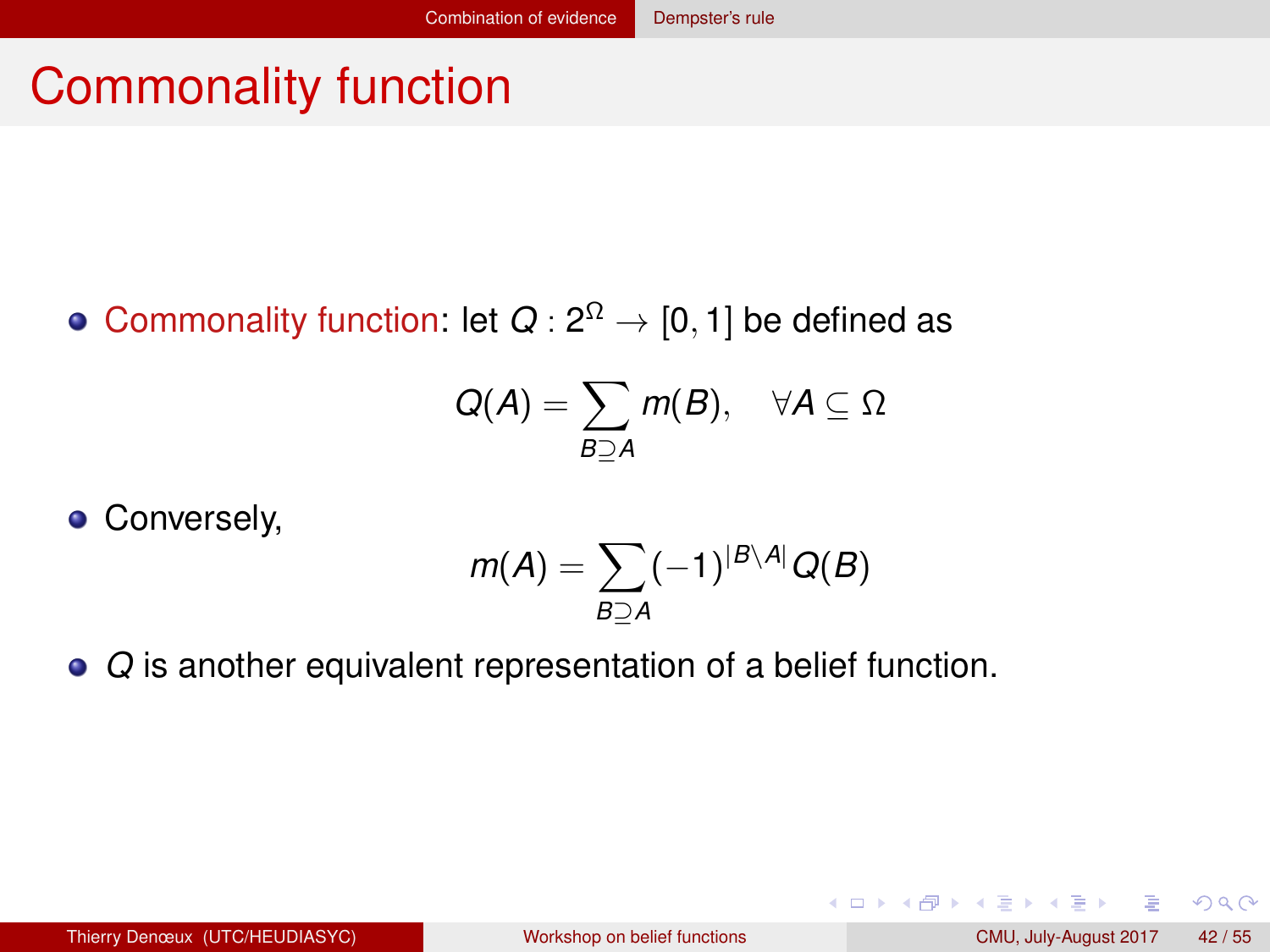## <span id="page-41-0"></span>Commonality function

Commonality function: let  $Q: 2^{\Omega} \rightarrow [0,1]$  be defined as

$$
Q(A) = \sum_{B \supseteq A} m(B), \quad \forall A \subseteq \Omega
$$

Conversely,

$$
m(A) = \sum_{B \supseteq A} (-1)^{|B \setminus A|} Q(B)
$$

*Q* is another equivalent representation of a belief function.

 $QQQ$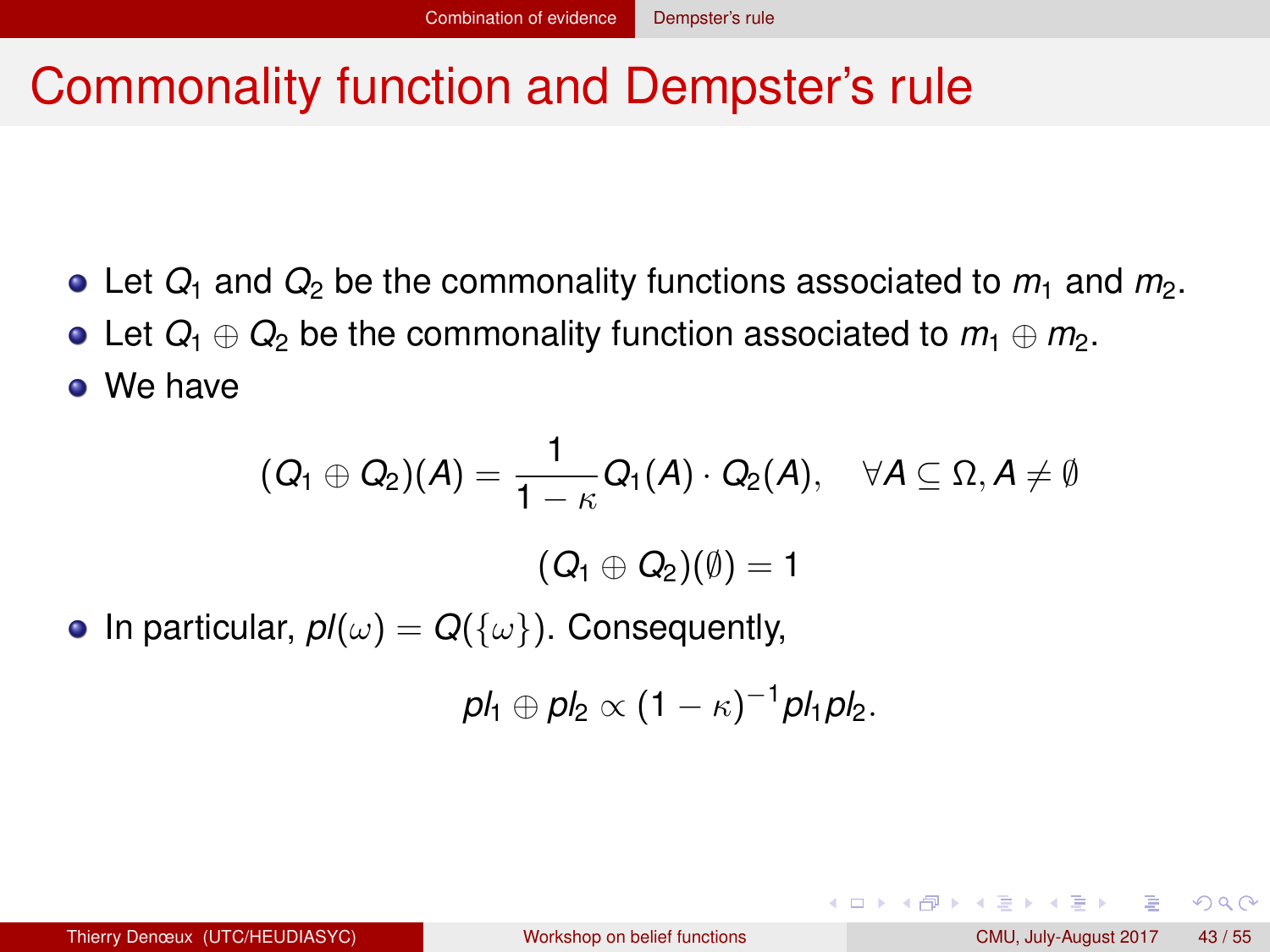## <span id="page-42-0"></span>Commonality function and Dempster's rule

- Let  $Q_1$  and  $Q_2$  be the commonality functions associated to  $m_1$  and  $m_2$ .
- Let  $Q_1 \oplus Q_2$  be the commonality function associated to  $m_1 \oplus m_2$ . We have

$$
(Q_1 \oplus Q_2)(A) = \frac{1}{1 - \kappa} Q_1(A) \cdot Q_2(A), \quad \forall A \subseteq \Omega, A \neq \emptyset
$$

$$
(Q_1 \oplus Q_2)(\emptyset) = 1
$$

• In particular,  $pI(\omega) = Q({\{\omega\}})$ . Consequently,

$$
pl_1\oplus pl_2\propto (1-\kappa)^{-1}pl_1pl_2.
$$

 $QQQ$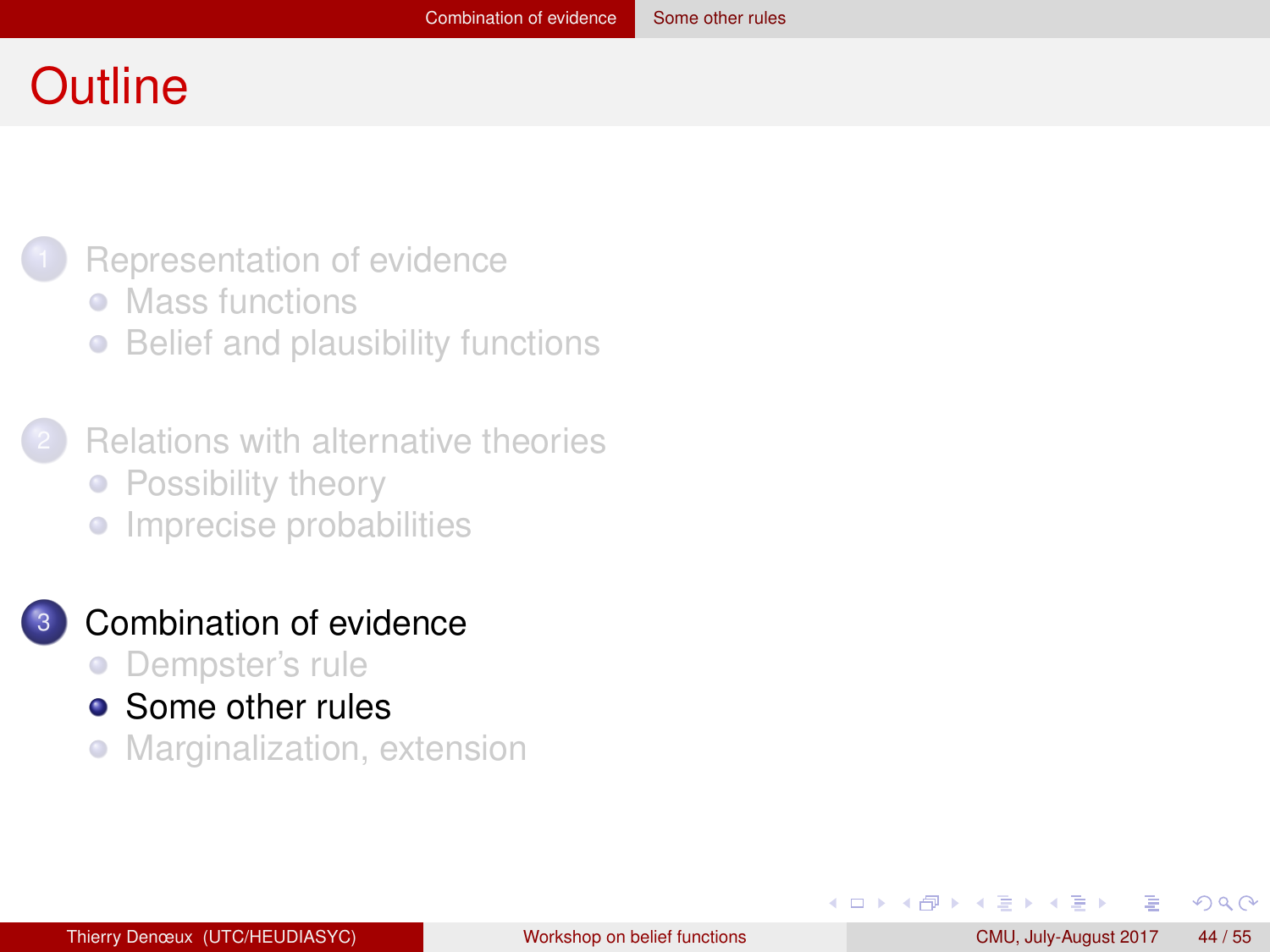#### <span id="page-43-0"></span>**Outline**



- [Mass functions](#page-3-0)
- [Belief and plausibility functions](#page-9-0)  $\bullet$
- **[Relations with alternative theories](#page-17-0)** • [Possibility theory](#page-18-0)
	- **•** [Imprecise probabilities](#page-23-0)

#### [Combination of evidence](#page-30-0)

- [Dempster's rule](#page-31-0)  $\bullet$
- **•** [Some other rules](#page-43-0)
- [Marginalization, extension](#page-50-0)  $\bullet$

4 B F 4 B F

 $QQ$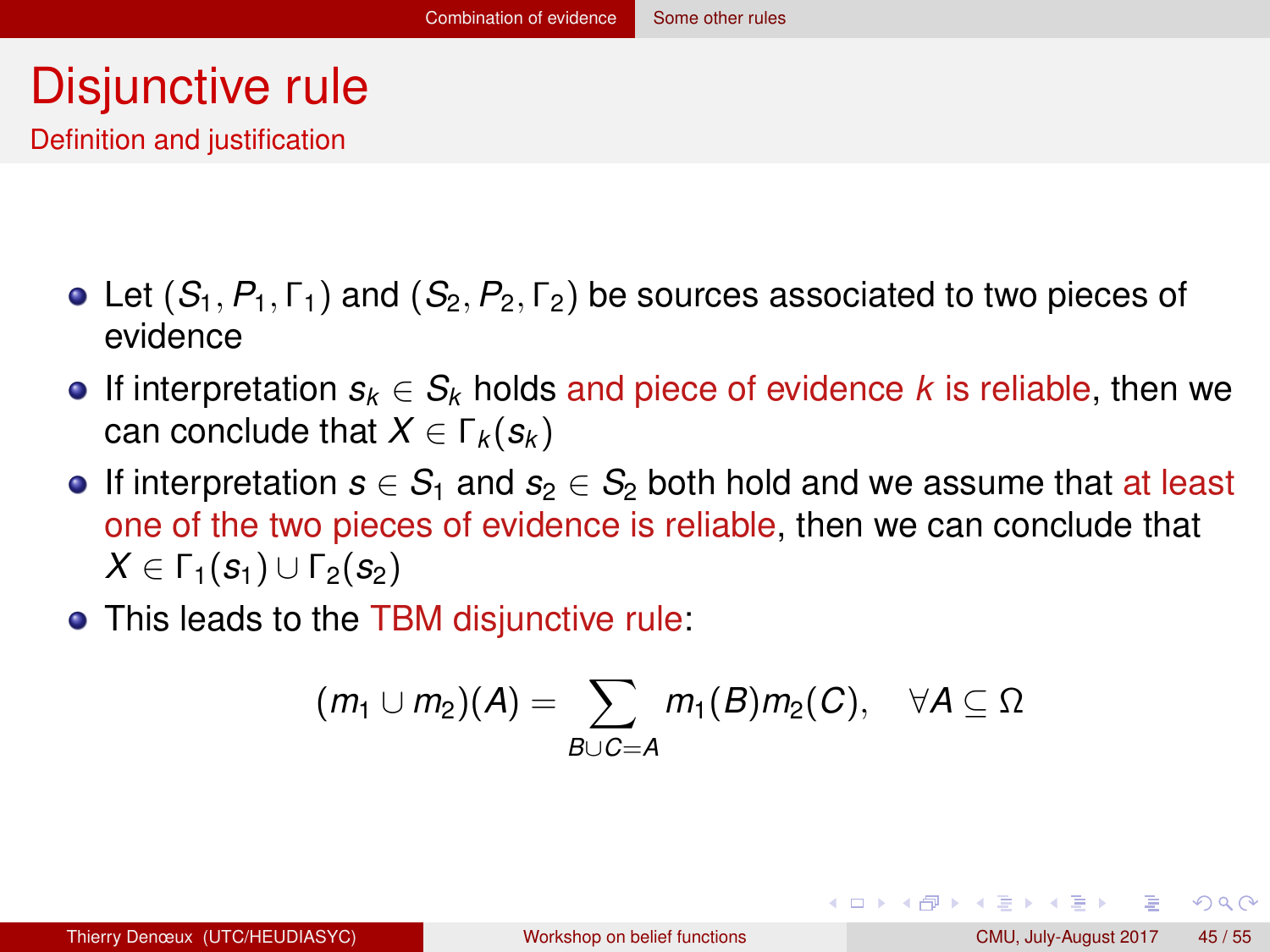## <span id="page-44-0"></span>Disjunctive rule

Definition and justification

- $\bullet$  Let  $(S_1, P_1, \Gamma_1)$  and  $(S_2, P_2, \Gamma_2)$  be sources associated to two pieces of evidence
- If interpretation  $s_k \in S_k$  holds and piece of evidence k is reliable, then we can conclude that  $X \in \Gamma_k(s_k)$
- **If interpretation**  $s \in S_1$  **and**  $s_2 \in S_2$  **both hold and we assume that at least** one of the two pieces of evidence is reliable, then we can conclude that  $X \in \Gamma_1(S_1) \cup \Gamma_2(S_2)$
- This leads to the TBM disjunctive rule:

$$
(m_1\cup m_2)(A)=\sum_{B\cup C=A}m_1(B)m_2(C),\quad \forall A\subseteq \Omega
$$

 $\Omega$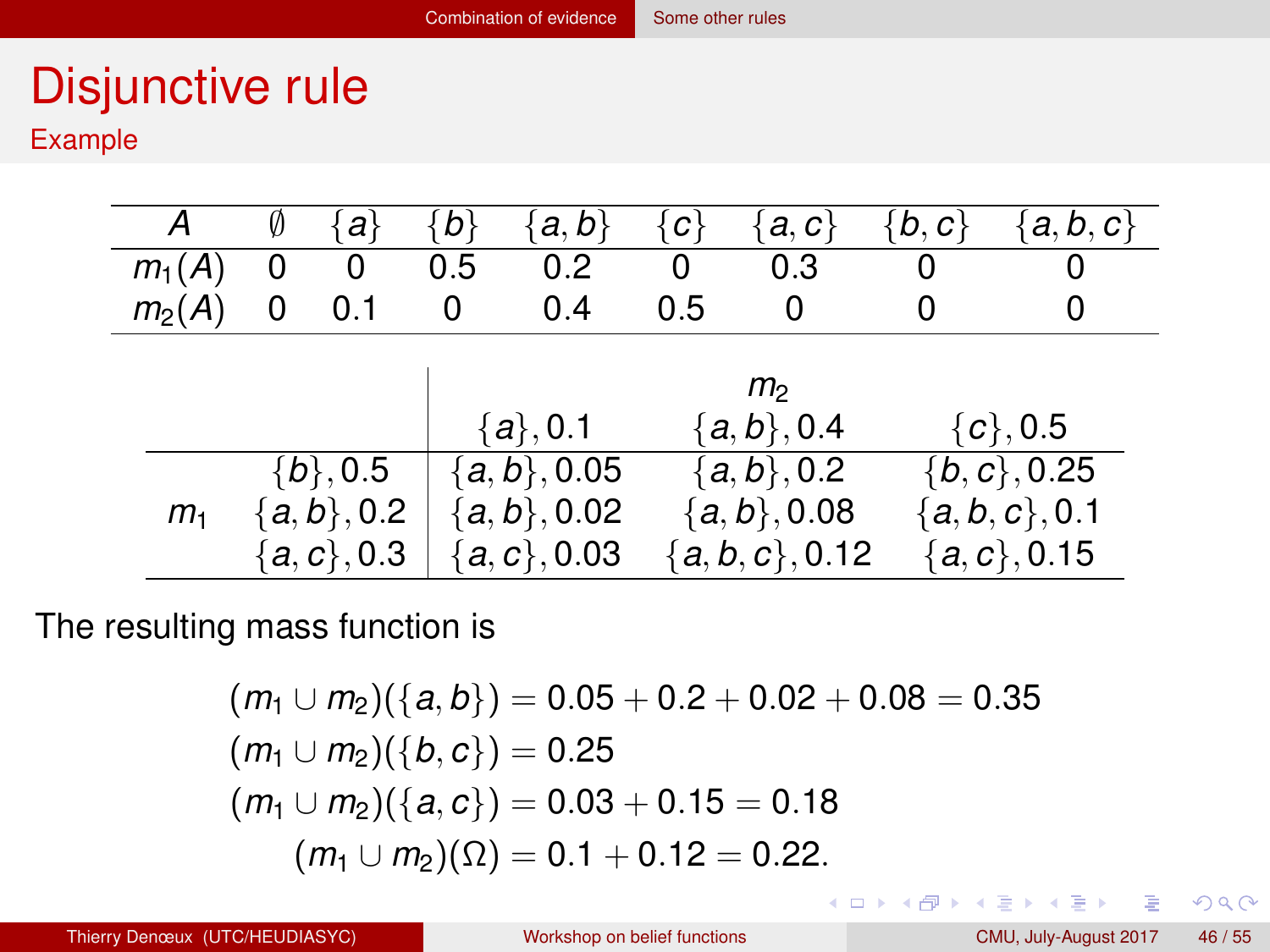# <span id="page-45-0"></span>Disjunctive rule

Example

| А              | Ø | ał            | {b} | a, b                       | $\{c\}$ | a, c                     | b, c        | a, b, c          |
|----------------|---|---------------|-----|----------------------------|---------|--------------------------|-------------|------------------|
| $m_1(A)$       | 0 | 0             | 0.5 | 0.2                        | 0       | 0.3                      | O           |                  |
| $m_2(A)$       | 0 | 0.1           | 0   | 0.4                        | 0.5     | O                        | O           |                  |
|                |   |               |     |                            |         |                          |             |                  |
|                |   |               |     |                            |         | m <sub>2</sub>           |             |                  |
|                |   |               |     | ${a,b}, 0.4$<br>${a}, 0.1$ |         |                          | ${c}$ , 0.5 |                  |
|                |   | ${b\}, 0.5$   |     | ${a,b}, 0.05$              |         | $\overline{\{a,b\},0.2}$ |             | $\{b, c\}, 0.25$ |
| m <sub>1</sub> |   | ${a,b}, 0.2$  |     | ${a,b}, 0.02$              |         | ${a,b}, 0.08$            |             | ${a, b, c}, 0.1$ |
|                |   | ${a, c}, 0.3$ |     | ${a, c}, 0.03$             |         | ${a,b,c}, 0.12$          |             | $\{a, c\}, 0.15$ |

The resulting mass function is

$$
(m_1 \cup m_2)(\{a, b\}) = 0.05 + 0.2 + 0.02 + 0.08 = 0.35
$$
  
\n
$$
(m_1 \cup m_2)(\{b, c\}) = 0.25
$$
  
\n
$$
(m_1 \cup m_2)(\{a, c\}) = 0.03 + 0.15 = 0.18
$$
  
\n
$$
(m_1 \cup m_2)(\Omega) = 0.1 + 0.12 = 0.22.
$$

画

 $299$ 

メロトメ 伊 トメ ミトメ ミト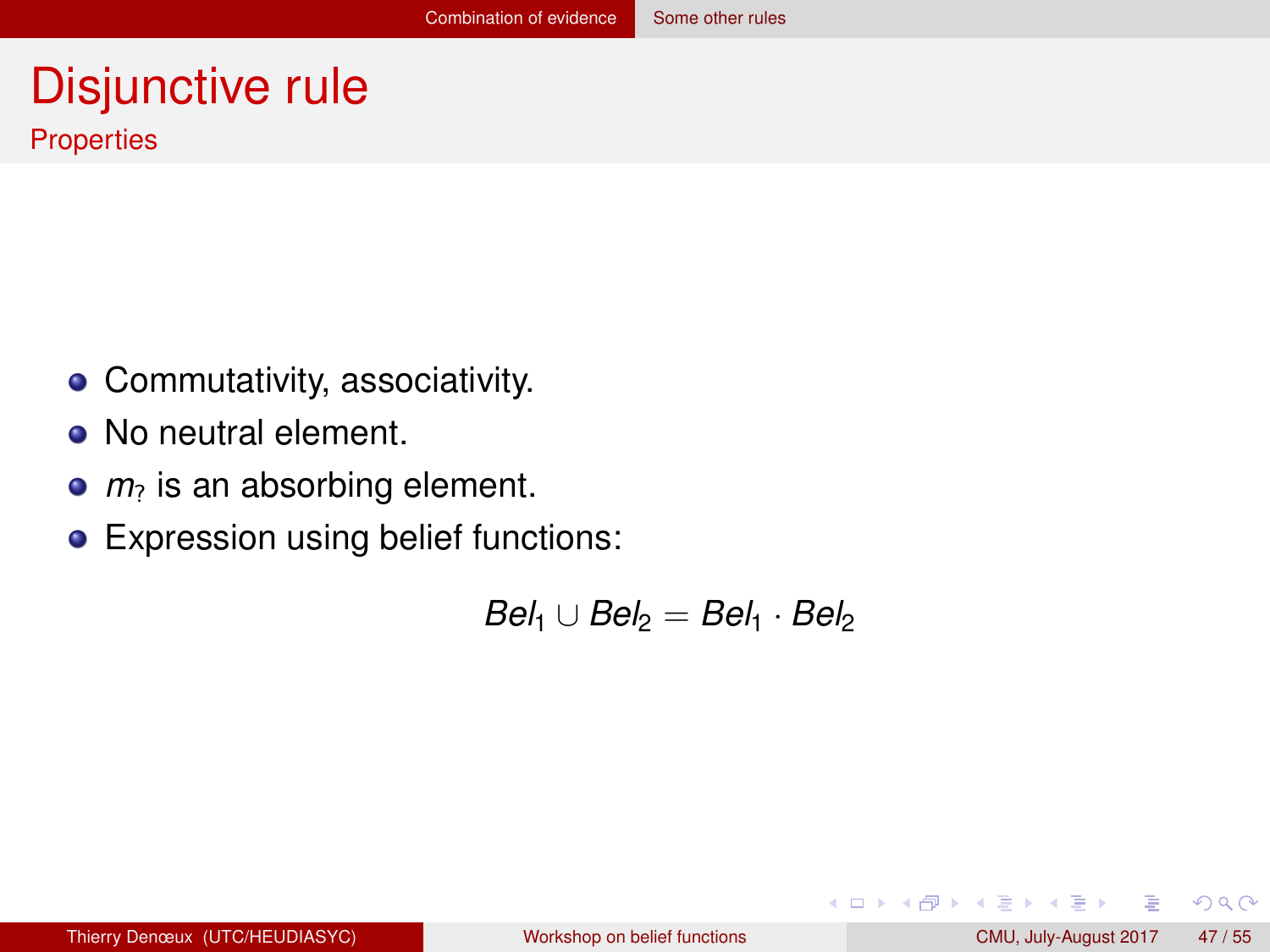#### <span id="page-46-0"></span>Disjunctive rule **Properties**

- Commutativity, associativity.
- No neutral element.
- $m<sub>2</sub>$  is an absorbing element.
- **Expression using belief functions:**

 $Bel_1 \cup Bel_2 = Bel_1 \cdot Bel_2$ 

 $QQ$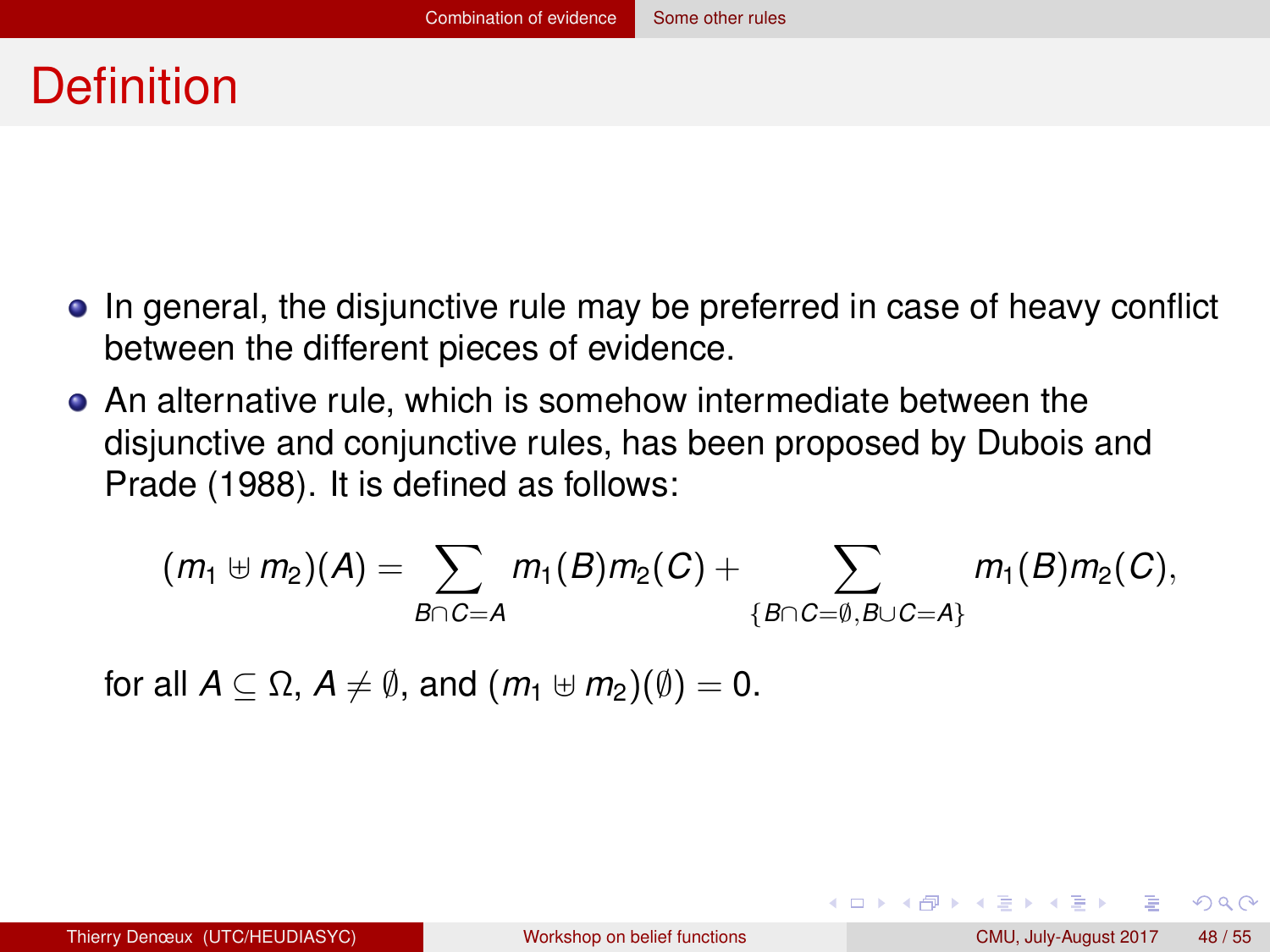#### <span id="page-47-0"></span>**Definition**

- In general, the disjunctive rule may be preferred in case of heavy conflict between the different pieces of evidence.
- An alternative rule, which is somehow intermediate between the disjunctive and conjunctive rules, has been proposed by Dubois and Prade (1988). It is defined as follows:

$$
(m_1 \oplus m_2)(A) = \sum_{B \cap C = A} m_1(B)m_2(C) + \sum_{\{B \cap C = \emptyset, B \cup C = A\}} m_1(B)m_2(C),
$$

for all  $A \subseteq \Omega$ ,  $A \neq \emptyset$ , and  $(m_1 \oplus m_2)(\emptyset) = 0$ .

 $QQQ$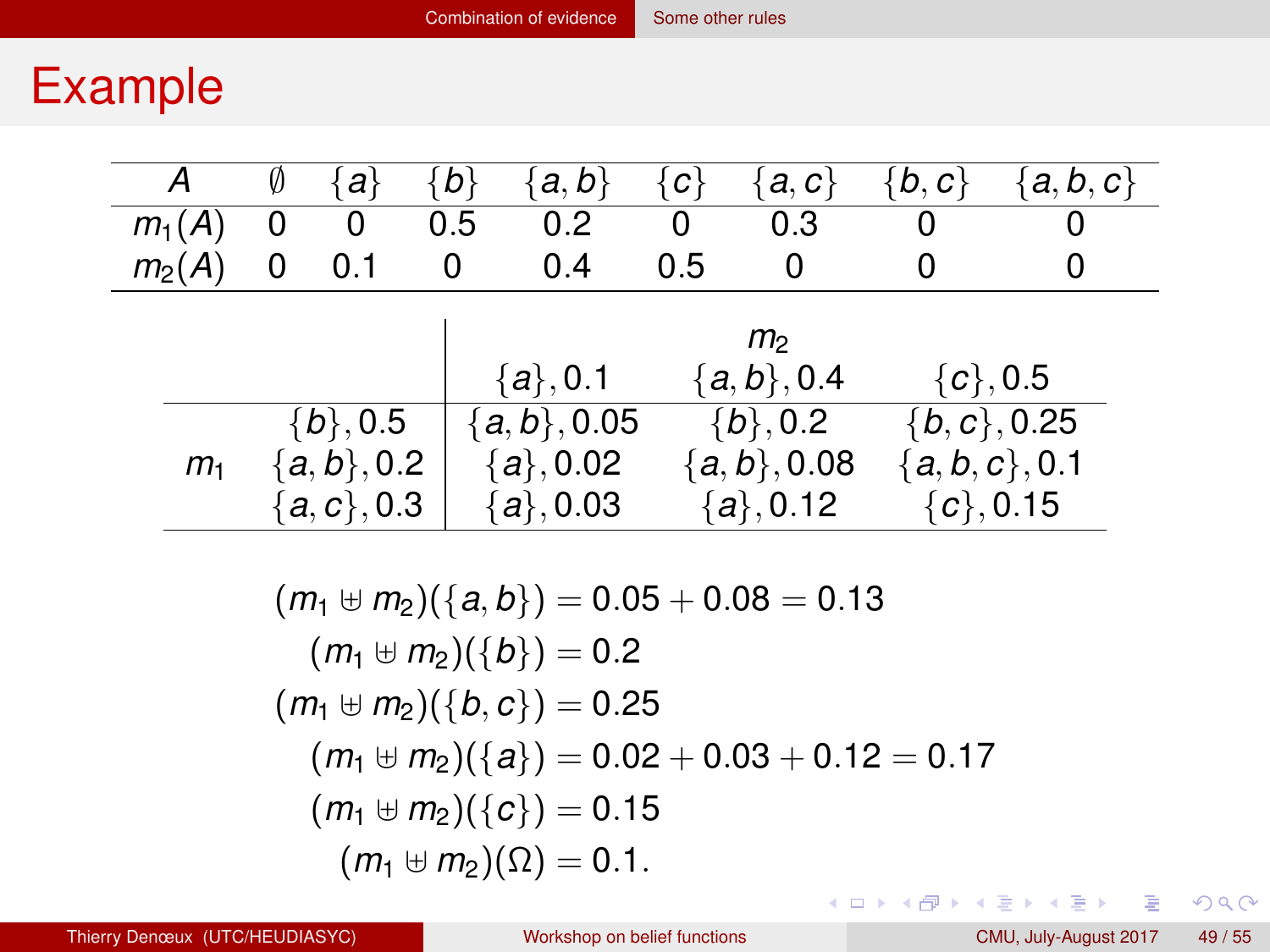#### <span id="page-48-0"></span>Example

| А                             | Ø | al                                            | {b} | a, b                                         | $\{c\}$ | a, c                                         | $\{b,c\}$ | $a, b, c\}$                                          |
|-------------------------------|---|-----------------------------------------------|-----|----------------------------------------------|---------|----------------------------------------------|-----------|------------------------------------------------------|
| $m_1(A)$                      |   | O                                             | 0.5 | 0.2                                          | 0       | 0.3                                          | 0         |                                                      |
| $m_2(A)$                      | 0 | 0.1                                           | 0   | 0.4                                          | 0.5     | O                                            | O         |                                                      |
| m <sub>2</sub><br>${c}$ , 0.5 |   |                                               |     |                                              |         |                                              |           |                                                      |
|                               |   |                                               |     | ${a\}, 0.1$                                  |         | ${a,b}, 0.4$                                 |           |                                                      |
| m <sub>1</sub>                |   | ${b\}, 0.5$<br>${a,b}, 0.2$<br>${a, c}$ , 0.3 |     | ${a,b}, 0.05$<br>${a}, 0.02$<br>${a\}, 0.03$ |         | $\{b\}, 0.2$<br>${a,b}, 0.08$<br>${a}, 0.12$ |           | $\{b, c\}, 0.25$<br>${a, b, c}, 0.1$<br>${c}$ , 0.15 |

$$
(m_1 \oplus m_2)(\{a, b\}) = 0.05 + 0.08 = 0.13
$$
  
\n
$$
(m_1 \oplus m_2)(\{b\}) = 0.2
$$
  
\n
$$
(m_1 \oplus m_2)(\{b, c\}) = 0.25
$$
  
\n
$$
(m_1 \oplus m_2)(\{a\}) = 0.02 + 0.03 + 0.12 = 0.17
$$
  
\n
$$
(m_1 \oplus m_2)(\{c\}) = 0.15
$$
  
\n
$$
(m_1 \oplus m_2)(\Omega) = 0.1.
$$

 $OQ$ 

メロトメ 御 トメ ミトメ ミトリ ミ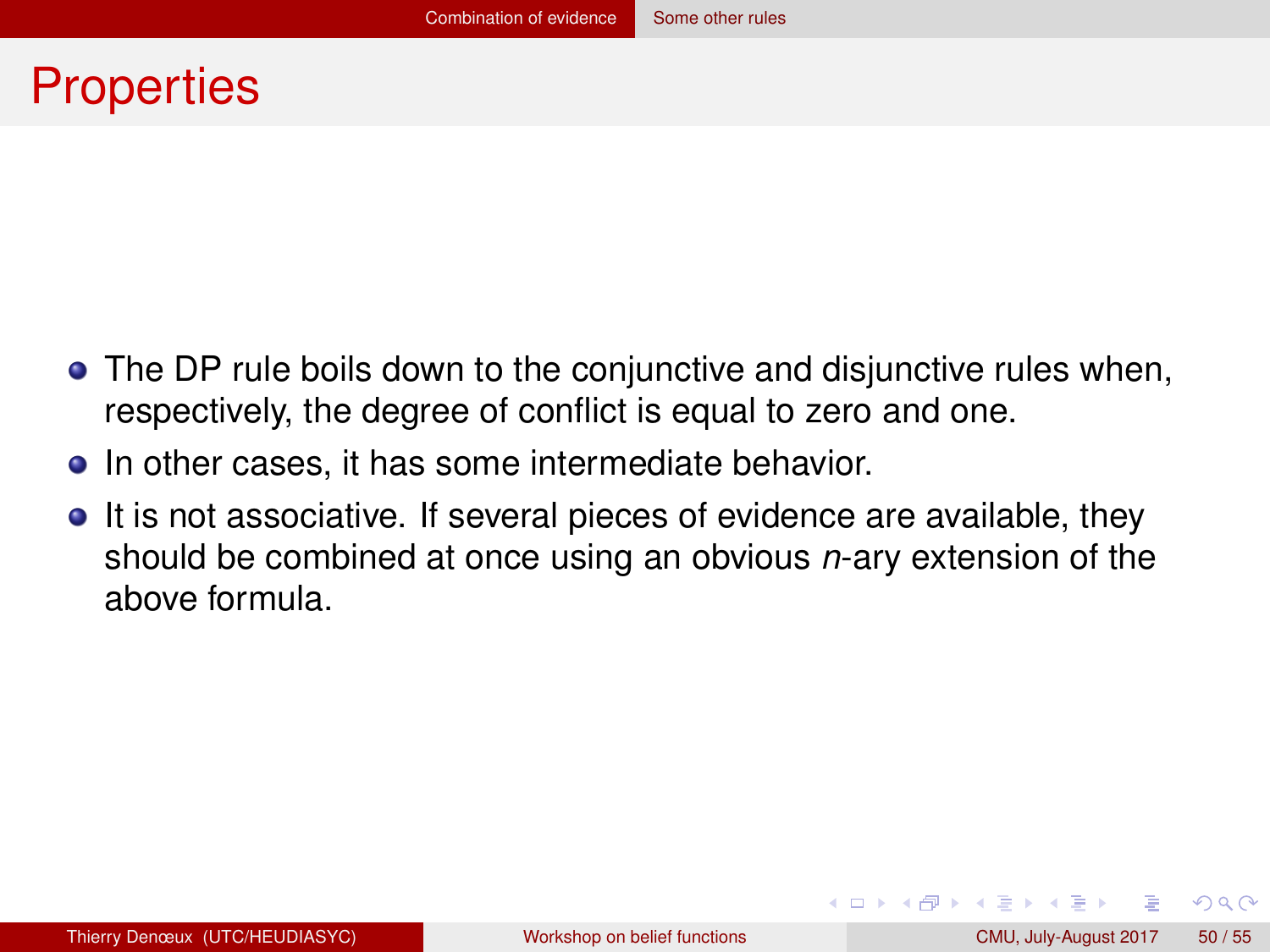#### <span id="page-49-0"></span>**Properties**

- The DP rule boils down to the conjunctive and disjunctive rules when, respectively, the degree of conflict is equal to zero and one.
- In other cases, it has some intermediate behavior.
- It is not associative. If several pieces of evidence are available, they should be combined at once using an obvious *n*-ary extension of the above formula.

 $QQ$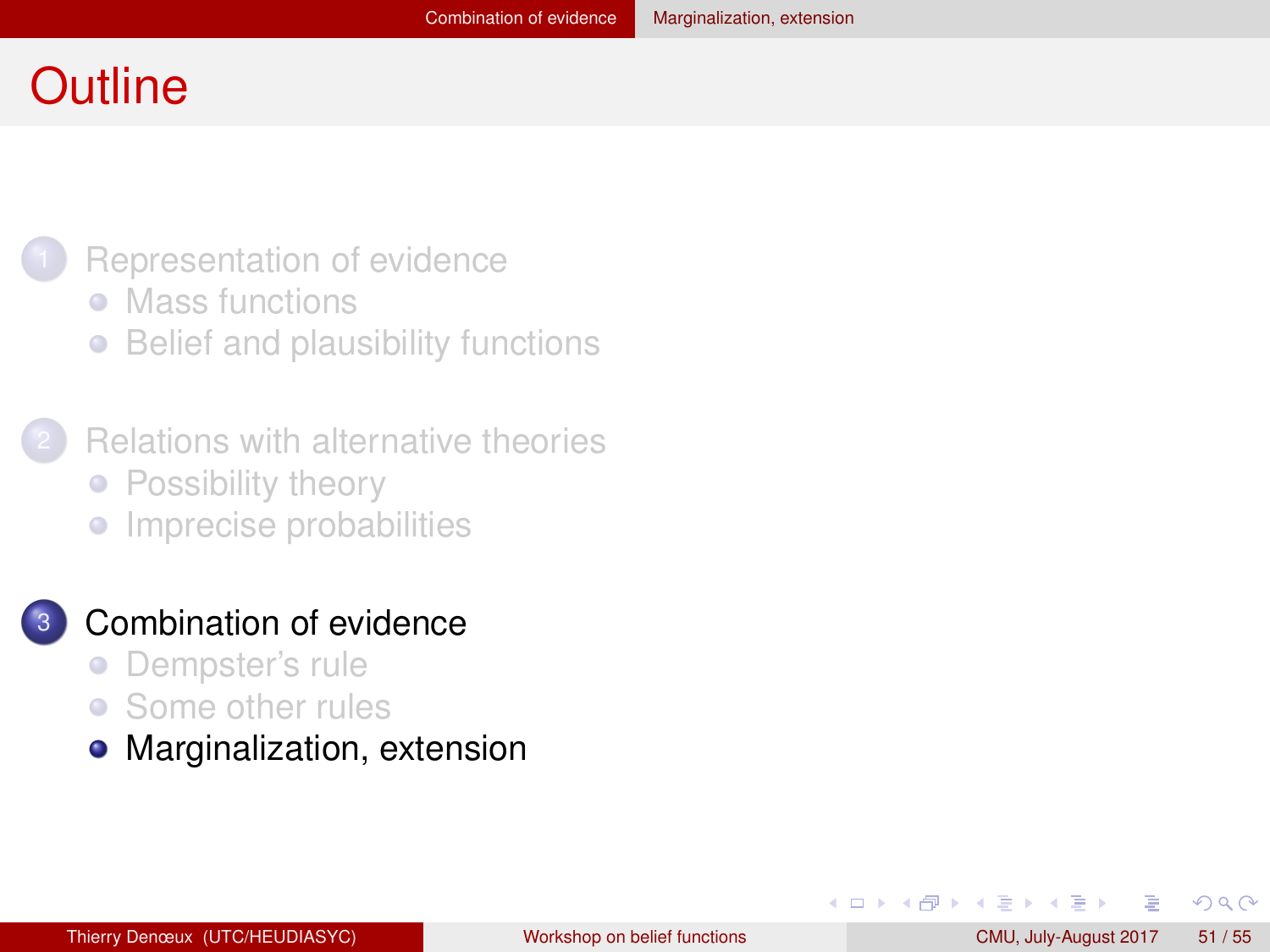#### <span id="page-50-0"></span>**Outline**



- [Mass functions](#page-3-0)
- [Belief and plausibility functions](#page-9-0)  $\bullet$
- **[Relations with alternative theories](#page-17-0)** • [Possibility theory](#page-18-0)
	- **•** [Imprecise probabilities](#page-23-0)

#### [Combination of evidence](#page-30-0)

- [Dempster's rule](#page-31-0)  $\bullet$
- [Some other rules](#page-43-0)  $\bullet$
- [Marginalization, extension](#page-50-0)

 $QQ$ 

不重 的不重的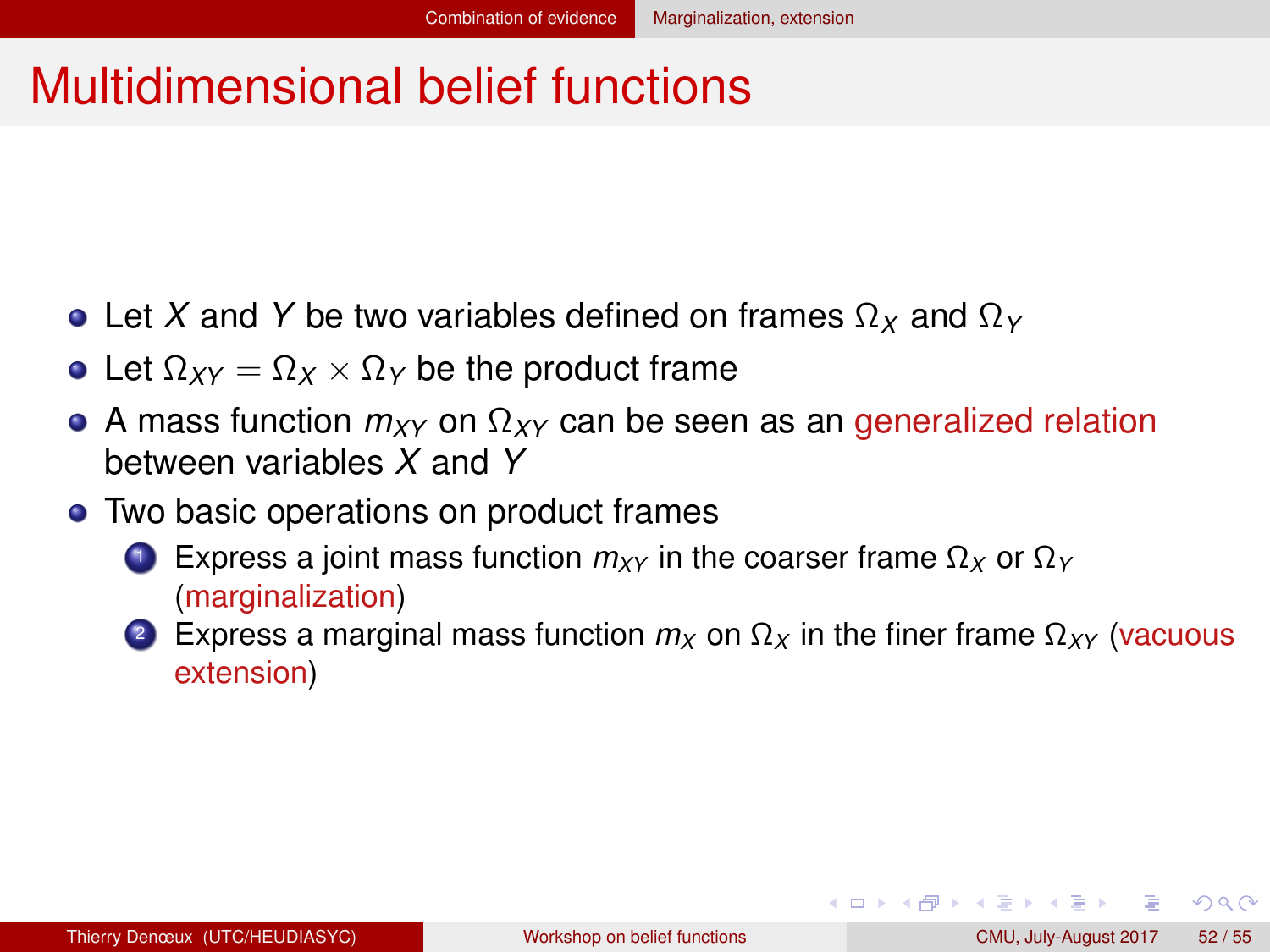## <span id="page-51-0"></span>Multidimensional belief functions

- Let *X* and *Y* be two variables defined on frames Ω*<sup>X</sup>* and Ω*<sup>Y</sup>*
- Let  $\Omega_{XY} = \Omega_X \times \Omega_Y$  be the product frame
- A mass function *mXY* on Ω*XY* can be seen as an generalized relation between variables *X* and *Y*
- Two basic operations on product frames
	- <sup>1</sup> Express a joint mass function *mXY* in the coarser frame Ω*<sup>X</sup>* or Ω*<sup>Y</sup>* (marginalization)
	- 2 Express a marginal mass function  $m_X$  on  $\Omega_X$  in the finer frame  $\Omega_{XY}$  (vacuous extension)

 $QQQ$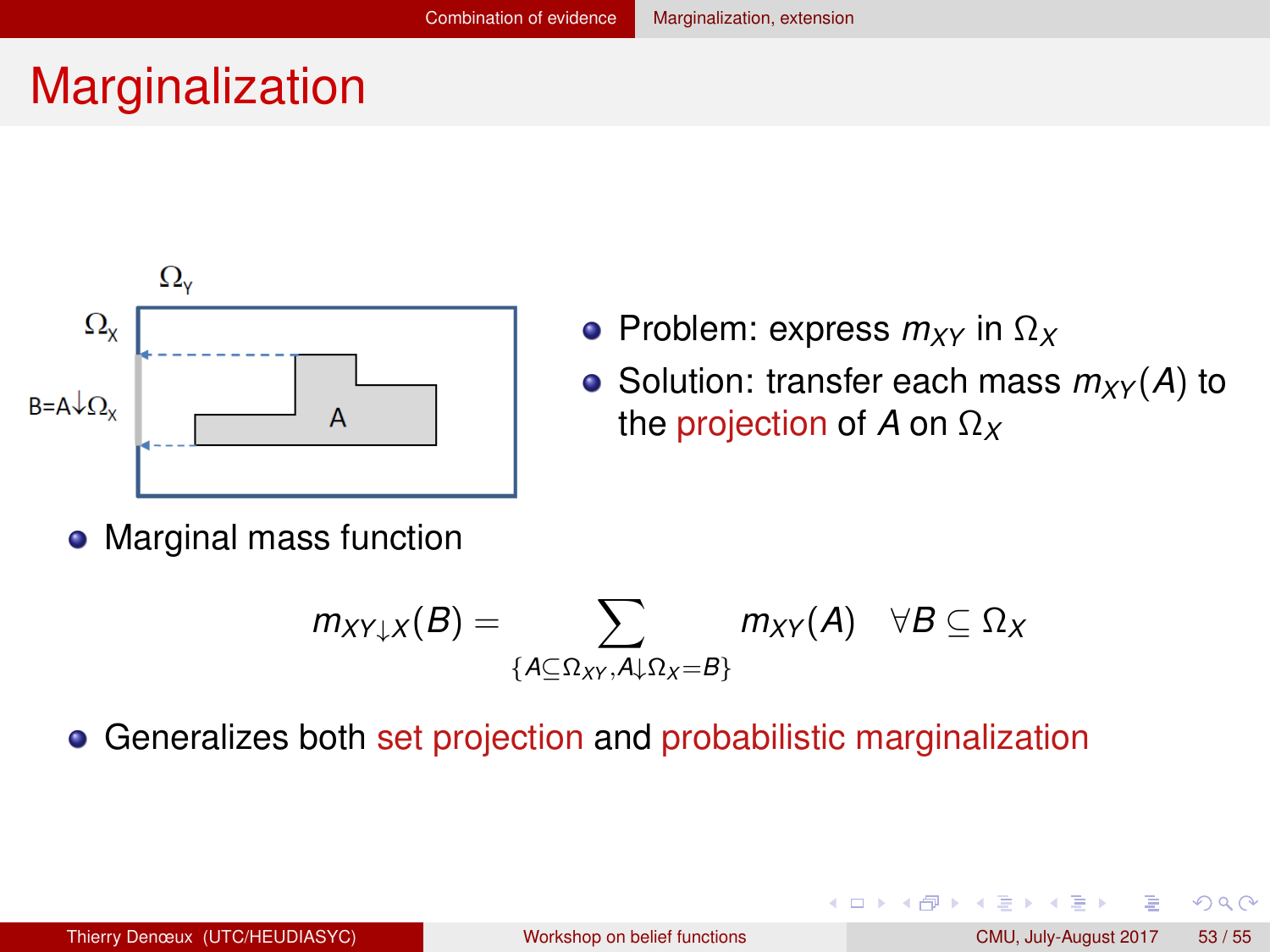## <span id="page-52-0"></span>Marginalization



- Problem: express *mXY* in Ω*<sup>X</sup>*
- Solution: transfer each mass  $m_{XY}(A)$  to the projection of *A* on Ω*<sup>X</sup>*

◂**◻▸ ◂<del>╓</del>▸** 

Marginal mass function

$$
m_{XY\downarrow X}(B) = \sum_{\{A \subseteq \Omega_{XY}, A \downarrow \Omega_{X} = B\}} m_{XY}(A) \quad \forall B \subseteq \Omega_{X}
$$

Generalizes both set projection and probabilistic marginalization

 $2Q$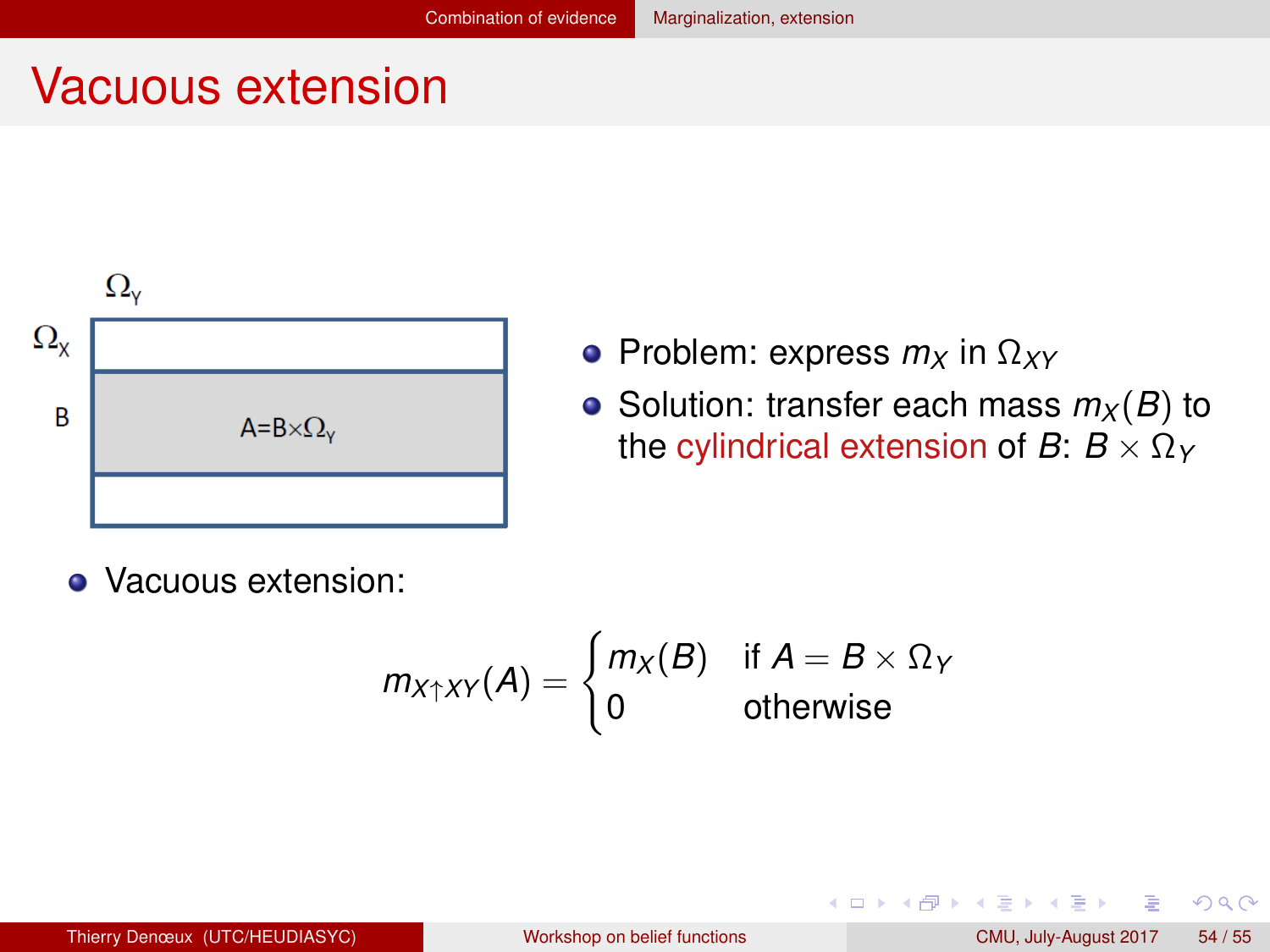#### <span id="page-53-0"></span>Vacuous extension



- Problem: express *m<sup>X</sup>* in Ω*XY*
- Solution: transfer each mass  $m_X(B)$  to the cylindrical extension of *B*:  $B \times \Omega_Y$

• Vacuous extension:

$$
m_{X \uparrow XY}(A) = \begin{cases} m_X(B) & \text{if } A = B \times \Omega_Y \\ 0 & \text{otherwise} \end{cases}
$$

 $QQ$ 

あきする